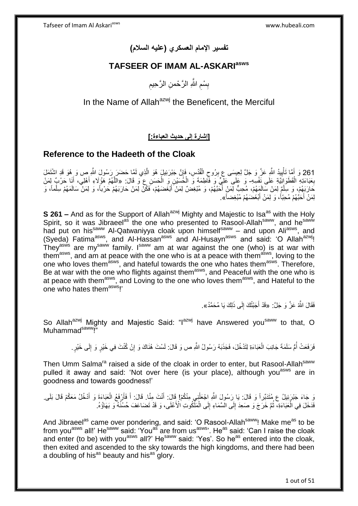# **تفسير اإلمام العسكري )عليه السالم(**

# **TAFSEER OF IMAM AL-ASKARIasws**

ِ بِسْمِ اللَّهِ الرَّحْمنِ الرَّحِيمِ ِ ِ

# In the Name of Allah<sup>azwj</sup> the Beneficent, the Merciful

**]إشارة إلى حديث العباءة:[**

# **Reference to the Hadeeth of the Cloak**

261 وَ أَهَّا تَأْيِيدُ اللَّهِ عَزَّ وَ جَلَّ لِعِيسَى عِ بِرُوحِ الْقُدُسِ، فَإِنَّ جَبْرَئِيلٍ هُوَ الْذِي لَمَّا حَضَرَ رَسُولَ اللَّهِ ص وَ هُوَ قَدِ اشْتَمَلَ َ ه ِ ْ ِ ِ بِعَبَاءَتِهِ الْقَطَوَانِّيَّةِ عَلَى نَفْسِهِ- وَ عَلَى عَلِّيٍّ وَ فَأَطِمَةَ وَ الْخُسَيْنِ وَ الْحَسَنِ ع<br>وَقَالَ: «اللَّهُمَّ هَؤُلَاءِ أَهْلِي، أَنَا حَرْبٌ لِمَنْ ْ **∶** ْ ْ َ َ كَارَبَهُمْ، وَ سِلْمٌ لِمَنْ سَالَمِهُمْ، مُحِبٌّ لِمَنْ أَحَبَّهُمْ، وَ مُبْغِضٌ لِمَنْ أَبْغَضَهُمْ، فَكُنْ لِمَنْ حَارَبَهُمْ حَرْباً، وَ لِمَنْ سَالَمَهُمْ سِلْماً، وَ َ َ ْ ْ لِمَنْ أَحَبَّهُمْ مُحِبّاً، وَ لِمَنْ أَبْغَضَهُمْ مُبْغِضاً». َ َ

**S 261 –** And as for the Support of Allah<sup>azwj</sup> Mighty and Majestic to Isa<sup>as</sup> with the Holy Spirit, so it was Jibraeel<sup>as</sup> the one who presented to Rasool-Allah<sup>saww</sup>, and he<sup>saww</sup> had put on his<sup>saww</sup> Al-Qatwaniyya cloak upon himself<sup>saww</sup> – and upon Ali<sup>asws</sup>, and (Syeda) Fatima<sup>asws</sup>, and Al-Hassan<sup>asws</sup> and Al-Husayn<sup>asws</sup> and said: 'O Allah<sup>azwj</sup>! They<sup>asws</sup> are my<sup>saww</sup> family. I<sup>saww</sup> am at war against the one (who) is at war with them<sup>asws</sup>, and am at peace with the one who is at a peace with them<sup>asws</sup>, loving to the one who loves themasws, and hateful towards the one who hates themasws. Therefore, One wild loves them as a latter to the conduct themas with the cone who is Be at war with the one who is at peace with them<sup>asws</sup>, and Loving to the one who loves them<sup>asws</sup>, and Hateful to the one who hates themasws!'

> فَقَالَ اللَّهُ عَزَّ وَ جَلَّ: «قَدْ أَجَبْتُكَ إِلَى ذَلِكَ يَا مُحَمَّدُ». ِ َ

So Allah<sup>azwj</sup> Mighty and Majestic Said: "I<sup>azwj</sup> have Answered you<sup>saww</sup> to that, O Muhammad<sup>saww</sup>!"

> فَرَفَعَتْ أُمُّ سَلَمَةَ جَانِبَ الْعَبَاءَةِ لِتَدْخُلَ، فَجَذَبَهُ رَسُولُ اللَّهِ ص وَ قَالَ: لَسْتَ هُذَاكَ وَ إِنْ كُنْتَ فِي خَيْرٍ وَ إِلَى خَيْرٍ. ُ ِ ِ ْ

Then Umm Salma<sup>ra</sup> raised a side of the cloak in order to enter, but Rasool-Allah<sup>saww</sup> pulled it away and said: 'Not over here (is your place), although you<sup>asws</sup> are in goodness and towards goodness!'

وَ جَاءَ جَبْرَئِيلُ ع مُتَدَبِّراً وَ قَالَ: يَا رَسُولَ اللَّهِ اجْعَلْنِي مِنْكُمْ! قَالَ: أَنْتَ مِنًا. قَالَ: أَ فَأَرْفَعُ الْعَبَاءَةَ وَ أَدْخُلُ مَعَكُمْ قَالَ بَلَى َ ْ َ ْ َ َ ْ فَدَخَلَ فِي الْعَبَاءَةِ، ثُمَّ خَرَجَ وَ صَعِدَ إِلَى الْسَّمَاءِ إِلَى الْمَلِّكُوتِ الْأَعْلَى، وَ قَدْ تَضَاعَفَ حُسْنُهُ وَ بَهَاؤُهُ. ْ ِ ِ ا ماہ<br>سال

And Jibraeel<sup>as</sup> came over pondering, and said: 'O Rasool-Allah<sup>saww</sup>! Make me<sup>as</sup> to be from you<sup>asws</sup> all!' He<sup>saww</sup> said: 'You<sup>as</sup> are from us<sup>asws</sup>'. He<sup>as</sup> said: 'Can I raise the cloak and enter (to be) with you<sup>asws</sup> all?' He<sup>saww</sup> said: 'Yes'. So he<sup>as</sup> entered into the cloak, then exited and ascended to the sky towards the high kingdoms, and there had been a doubling of his<sup>as</sup> beauty and his<sup>as</sup> glory.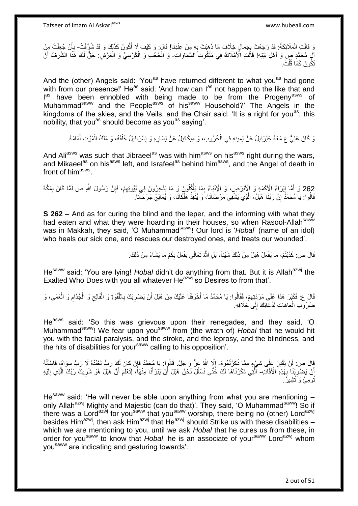وَ قَالَتِ الْمَلَائِكَةُ: قَدْ رَجَعْتَ بِجَمَالٍ خِلَافَ مَا ذَهَبْتَ بِهِ مِنْ عِنْدِنَا! قَالَ: وَ كَيْفَ لَإِ أَكُونُ كَذَلِكَ وَ قَدْ شُرٌّفْتُ- بِأَنْ جُعِلْتُ مِنْ َ ِ ِ ْ ْ َ ِ الِّ مُحَمَّدٍ صٍ وَ أَهْلِ بَيْتِهِ! قَالَتِ الْأَمْلَاكُ فِي مَلَكُوتِ السَّمَاوَاتِ- وَ الْحُجْبِ وَ الْكُرْسِيِّ وَ الْعَرْشِ: حَقٌّ لَكَ هَذَا الشَّرَفُ أَنَّ َ َ ْ ْ تَكُونَ كَمَا قُلْتَ. ْ

And the (other) Angels said: 'You<sup>as</sup> have returned different to what you<sup>as</sup> had gone with from our presence!' He<sup>as</sup> said: 'And how can l<sup>as</sup> not happen to the like that and l<sup>as</sup> have been ennobled with being made to be from the Progeny<sup>asws</sup> of Muhammad<sup>saww</sup> and the People<sup>asws</sup> of his<sup>saww</sup> Household?' The Angels in the kingdoms of the skies, and the Veils, and the Chair said: 'It is a right for you<sup>as</sup>, this nobility, that you<sup>as</sup> should become as you<sup>as</sup> saying'.

وَ كَانَ عَلِيٌّ ع مَعَهُ جَبْرَئِيلُ عَنْ يَمِينِهِ فِي الْحُرُوبِ، وَ مِيكَائِيلُ عَنْ يَسَارِهِ وَ إِسْرَافِيلُ خَلْفَهُ، وَ مَلَكُ الْمَوْتِ أَمَامَهُ. ْ ِ ِ ْ ْ َ

And Ali<sup>asws</sup> was such that Jibraeel<sup>as</sup> was with him<sup>asws</sup> on his<sup>asws</sup> right during the wars, and Mikaeel<sup>as</sup> on his<sup>asws</sup> left, and Israfeel<sup>as</sup> behind him<sup>asws</sup>, and the Angel of death in front of him<sup>asws</sup>.

262 وَ أَمَّا إِبْرَاءُ الْأَكْمَهِ وَ الْأَبْرَصِ، وَ الْإِنْبَاءُ بِمَا يَأْكُلُونَ وَ مَا يَذَّخِرُونَ فِي بُيُوتِهِمْ، فَإِنَّ رَسُولَ اللَّهِ ص لَمَّا كَانَ بِمَكَّةَ<br>262 وَ أَمَّا إِبْرَاءُ الْأَكْمَهِ وَ الْأَبْرَص ِْ ֦֦֧֦֧֦֧֦֦֧֦֦֦֧֦֦֧֦֧֦֧֦֦֦֧֦֧֦֧֦֧֦֚֚֚֚֚֝֝֝֜֡֜֡֟֓֡ َ ِ ِ ِ قَالُوا: يَا مُحَمَّذُ إِنَّ رَبَّنَا هُبَلُ، الَّذِي يَشْفِي مَرْضَانَا، وَ يُنْقِذُ هَلْكَانَا، وَ يُعَالِجُ جَرْحَانَا. ْ ه ِ

**S 262 –** And as for curing the blind and the leper, and the informing with what they had eaten and what they were hoarding in their houses, so when Rasool-Allah<sup>saww</sup> was in Makkah, they said, 'O Muhammad<sup>saww</sup>! Our lord is '*Hobal*' (name of an idol) who heals our sick one, and rescues our destroyed ones, and treats our wounded'.

> قَالَ ص: كَذَبْتُمْ، مَا يَفْعَلُ هُبَلُ مِنْ ذَلِكَ شَيْئاً، بَلِ اللَّهُ تَعَالَى يَفْعَلُ بِكُمْ مَا يَشَاءُ مِنْ ذَلِكَ. ِ

He<sup>saww</sup> said: 'You are lying! *Hobal* didn't do anything from that. But it is Allah<sup>azwj</sup> the Exalted Who Does with you all whatever He $^{a}$ zwj so Desires to from that'.

قَالَ ع: فَكَبُرَ هَذَا عَلَى مَرَدَتِهِمْ، فَقَالُوا: يَا مُحَمَّدُ مَا أُخْوَفَنَا عَلَيْكَ مِنْ هُبَلَ أَنْ يَضْرِبَكَ بِاللَّقْوَةِ وَ الْفَالِج وَ الْجُذَامِ وَ الْعَمَى، وَ ِ ِ اُ َ ِ ْ ِ ْ  $\zeta$ ْ ضُرُوَبِ الْعَاهَاتِ لِدُعَائِكَ إِلَى خِلَافِهِ  $\frac{1}{2}$ ْ

He<sup>asws</sup> said: 'So this was grievous upon their renegades, and they said, 'O Muhammad<sup>saww</sup>! We fear upon you<sup>saww</sup> from (the wrath of) *Hobal* that he would hit you with the facial paralysis, and the stroke, and the leprosy, and the blindness, and the hits of disabilities for your<sup>saww</sup> calling to his opposition'.

قَالَ ص: لَنْ يَقْدِرَ عَلَى شَيْءٍ مِمَّا ذَكَرْتُمُوهُ- إِلَّا اللَّهُ عَزَّ وَ جَلَّ ۚ قَالُوا: يَا مُحَمَّدُ فَإِنْ كَانَ لَكَ رَبٌّ تَعْبُدُهُ لَا رَبَّ سِوَاهُ، فَاسْأَلْهُ ِ ْ َ ِ أَنْ يَضْرِبَنَا بِهَذِهِ الْآفَاتِ- أَلَّتِي ذَكَرْنَاهَا لَكَ خَتَّى نَسْأَلَ نَحْنُ هُبَلَ أَنْ يَبْرَأَنَا مِنْهَا، لِتَعْلَمَ أَنَّ هُبَلَ هُوَ شَرِيكُ رَبِّكَ الَّذِي إِلَيْهِ  $\overline{\phantom{a}}$ ِ اً ِ َ َ َ َ لَ ِ ه تُومِئُ وَ تُشْبِيرُ.

He<sup>saww</sup> said: 'He will never be able upon anything from what you are mentioning  $$ only Allah<sup>azwj</sup> Mighty and Majestic (can do that)'. They said, 'O Muhammad<sup>saww</sup>! So if there was a Lord<sup>azwj</sup> for you<sup>saww</sup> that you<sup>saww</sup> worship, there being no (other) Lord<sup>azwj</sup> besides Him<sup>azwj</sup>, then ask Him<sup>azwj</sup> that He<sup>azwj</sup> should Strike us with these disabilities – which we are mentioning to you, until we ask *Hobal* that he cures us from these, in order for you<sup>saww</sup> to know that *Hobal*, he is an associate of your<sup>saww</sup> Lord<sup>azwj</sup> whom yousaww are indicating and gesturing towards'.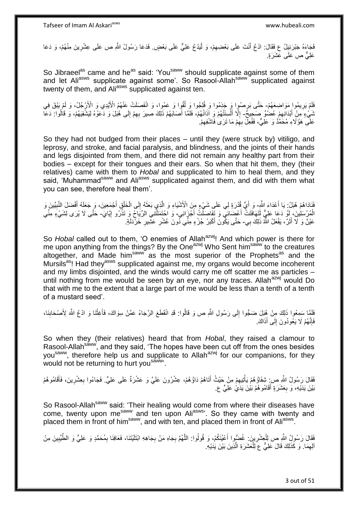فَجَاءَهُ جَبْرَئِيلُ ع فَقَالَ: ادْعُ أَنْتَ عَلَى بَعْضِهِمْ، وَ لْيَدْعُ عَلِيٌّ عَلَى بَعْضٍ فَدَعَا رَسُولُ اللّهِ ص عَلَى عِشْرِينَ مِنْهُمْ، وَ دَعَا ْ ِ َ ِ عَلِيٌّ ص عَلَى عَشَرَةٍ.

So Jibraeel<sup>as</sup> came and he<sup>as</sup> said: 'You<sup>saww</sup> should supplicate against some of them and let Aliasws supplicate against some'. So Rasool-Allah<sup>saww supplicated against</sup> twenty of them, and Ali<sup>asws</sup> supplicated against ten.

فَلَمْ يَرِيمُوا ِمَوَاضِعَهُمْ- حَتَّى بَرِصُوٍا وَ جَذِمُوا وَ فُلِجُوا وَ لْقُوا وَ عَمُوا، وَ انْفَصَلَتْ عَنْهُمُ الْأَيْدِي وَ الْأَرْجُلُ، وَ لَمْ يَبْقَ فِي ِ ُ ِ نْبَيْءٍ مِنْ أَبْدَانِهِمْ عُضْنُوٌ صَحِيحٌ- إِلَّا أَلْسِنَتُهُمْ وَ آذَاتُهُمْ، فَلَمَّا أَصَابَهُمْ ذَلِكَ صِبِرَ بِهِمْ إِلَى هُبَلَ وَ دَعَوْهُ لِيَشْفِيَهُمْ، وَ قَالُوا: دَعَا ِ َ ْ َ ِ اُ ِ ِ عَلَى هَؤُلَاءِ مُحَمَّدٌ وَ عَلِيٌّ، فَفُعِلٓ بِهِمْ مَا ثَرَىٰ فَاشْفِهِمْ. ِ ِ

So they had not budged from their places – until they (were struck by) vitiligo, and leprosy, and stroke, and facial paralysis, and blindness, and the joints of their hands and legs disjointed from them, and there did not remain any healthy part from their bodies – except for their tongues and their ears. So when that hit them, they (their relatives) came with them to *Hobal* and supplicated to him to heal them, and they said, 'Muhammad<sup>saww</sup> and Ali<sup>asws</sup> supplicated against them, and did with them what you can see, therefore heal them'.

فَادَاهُمْ هُبَلُ: يَا أَعْدَاءَ اللَّهِ- وَ أَيُّ قُدْرَةٍ لِي عَلَى شَيْءٍ مِنَ الْأَسْيَاءِ وَ الَّذِي بَعَثَهُ إِلَى الْخَلْقِ أَجْمَعِينَ، وَ جَعَلَهُ أَفْضَلَ النَّبِيِّينَ وَ<br>فَقَادَاهُمْ هُبَلُ: يَا أَعْدَاءَ اللَ اً<br>ا ِ َ َ ْ ْ ِ َ ه الْمُرْسَلِينَ، لَوْ دَعَا عَلِيٌّ لَنَهَافَتَتْ أَعْضَائِي وَ تَفَاصَلْتُ أَجْزَائِي، وَ احْتَمَلْتُنِي الرِّيَاحُ وَ تَذْرُو إِيَّايَ- حَتَّى لَا يُرَى لِشَيْءٍ مِنِّي **ٔ:** َ َ ון<br>≀ عَيْنٌ وَ لَا أَثَرٌ، يَفْعَلُ اللَّهُ ذَلِكَ بِي- حَتَّى يَكُونَ أَكْبَرُ جُزْءٍ مِنِّي دُونَ عُشْرِ عَثْمِيرِ خَرْدَلَةٍ. ة<br>ا َ **∶** ِ َ

So *Hobal* called out to them, 'O enemies of Allah<sup>azwj</sup>! And which power is there for me upon anything from the things? By the One<sup>azwj</sup> Who Sent him<sup>saww</sup> to the creatures altogether, and Made him<sup>saww</sup> as the most superior of the Prophets<sup>as</sup> and the Mursils<sup>as</sup>! Had they<sup>asws</sup> supplicated against me, my organs would become incoherent and my limbs disjointed, and the winds would carry me off scatter me as particles – until nothing from me would be seen by an eye, nor any traces. Allah<sup>azwj</sup> would Do that with me to the extent that a large part of me would be less than a tenth of a tenth of a mustard seed'.

فَلَمَّا سَمِعُوا ذَلِكَ مِنْ هُِبَلَ ضَجُوا إِلَى رَسُولِ اللَّهِ ص وَ قَالُوا: قَدِ انْقَطَعَ الرَّجَاءُ عَمَّنْ سِوَاكَ، فَأَغِثْنَا وَ ادْعُ اللَّهَ لِأَصْحَابِنَا، ْ َ ِ ِ فَإِنَّهُمْ لَا يَعُودُونَ إِلَى أَذَاكَ. َ  $\frac{1}{2}$ ِ

So when they (their relatives) heard that from *Hobal*, they raised a clamour to Rasool-Allahsaww, and they said, 'The hopes have been cut off from the ones besides you<sup>saww</sup>, therefore help us and supplicate to Allah<sup>azwj</sup> for our companions, for they would not be returning to hurt you<sup>saww</sup>.

فَقَالَ رَسُولُ اللَّهِ صِ شِفَاؤُهُمْ يَأْتِيهِمْ مِنْ حَيْثُ أَتَاهُمْ دَاؤُهُمْ، عِشْرُونَ عَلَيَّ وَ عَشْرَةٌ عَلَى عَلِيٍّ. فَجَاءُوا بِعِشْرِينَ، فَأَقَامُوهُمْ ِ ِ َ ِ ْ َ بَيْنَ يَدَيْهِ، وَ بِعَشَرَةٍ أَقَامُوهُمْ بَيْنَ يَدَيْ عَلِيٍّ ع. َ **∶** 

So Rasool-Allah<sup>saww</sup> said: 'Their healing would come from where their diseases have come, twenty upon me<sup>saww</sup> and ten upon Ali<sup>asws</sup>'. So they came with twenty and placed them in front of him<sup>saww</sup>, and with ten, and placed them in front of Ali<sup>asws</sup>.

فَقَالَ رَسُولُ اللَّهِ ص لِلْعِشْرِينَ: غُضُيُوا أَعْيُنَكُمْ، وَ قُولُوا: اللَّهُمَّ بِجَاهِ مِنْ بِجَاهِهِ ابْتَلَيْتَنَا، فَعَافِنَا بِمُحَمَّدٍ وَ عَلِيٍّ وَ الطَّيِّبِينَ مِنْ َ ِ ْ ِ ِ **∶ ∶** ه آلِهِمَا. وَ كَذَلِكَ قَالَ عَلِيٌّ عَ لِلْعَشَرَةِ الَّذِينَ بَيْنَ يَدَيْهِ. ه ْ ِ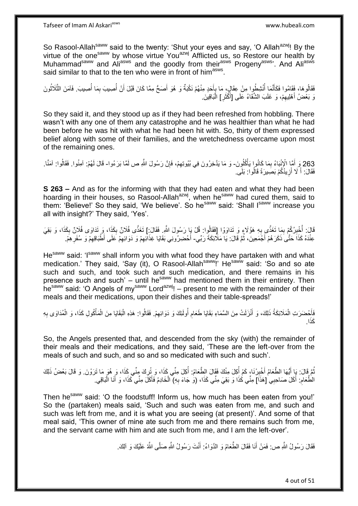So Rasool-Allah<sup>saww</sup> said to the twenty: 'Shut your eyes and say, 'O Allah<sup>azwj</sup>! By the virtue of the one<sup>saww</sup> by whose virtue You<sup>azwj</sup> Afflicted us, so Restore our health by Muhammad<sup>saww</sup> and Ali<sup>asws</sup> and the goodly from their<sup>asws</sup> Progeny<sup>asws</sup>'. And Ali<sup>asws</sup> said similar to that to the ten who were in front of him<sup>asws</sup>.

فَقَالُوهَا، فَقَامُوا فَكَأَنَّمَا أُنْشِطُوا مِنْ عِقَالٍِ، مَا بِأَحَدٍ مِنْهُمْ نَكْبَةٌ وَ هُوَ أَصَحُّ مِمَّا كَانَ قَبْلَ أَنْ أُصِيبَ بِمَا أُصِيبَ. فَاَمَنَ الثَّلَاثُونَ َ ِ ا<br>ا َ ا<br>ا ِ ُ ُ ه وَ بَعْضُ أَهْلِيهِمْ، وَ غَلَبَ الشَّقَاءُ عَلَى [أَكْثَرِ] الْمَاقِينَ. ِ :<br>ا ِ َ

So they said it, and they stood up as if they had been refreshed from hobbling. There wasn't with any one of them any catastrophe and he was healthier than what he had been before he was hit with what he had been hit with. So, thirty of them expressed belief along with some of their families, and the wretchedness overcame upon most of the remaining ones.

263 وَ أَمَّا الْإِنْبَاءُ بِمَا كَانُوا يَأْكُلُونَ- وَ مَا يَدَّخِرُونَ فِي بُيُوتِهِمْ، فَإِنَّ رَسُولَ اللَّهِ ص لَمَّا بَرَءُوا- قَالَ لَهُمْ: آمِنُوا. فَقَالُوا: آمَنَّا. ֦֧֦֖֖֖֧֚֚֟֟֓֝֟֓֝֟֓֝֬֝<u>֓</u> ِ َ ِ ِ فَقَالَ: أَ لَا أَزِيذُكُمْ بَصَبِيرَةً قَالُوا: بَلَى ِ َ **∫** 

**S 263 –** And as for the informing with that they had eaten and what they had been hoarding in their houses, so Rasool-Allahazwj, when he<sup>saww</sup> had cured them, said to them: 'Believe!' So they said, 'We believe'. So he<sup>saww</sup> said: 'Shall I<sup>saww</sup> increase you all with insight?' They said, 'Yes'.

قَالَ: أُخْبِرُكُمْ بِمَا تَغَذَّى بِهِ هَؤُلَاءٍ وَ تَدَاوَوْا [فَقَالُوا: قُلْ يَا رَسُولَ اللَّهِ. فَقَالَ:] تَغَذَّى فُلَانٌ بِكَذَا، وَ يَقِيَ قَالَ: **∶** ِ ِ .<br>ا ِ ِ عِنْدَهُ كَذَاَ حَتَّىٰ ذَكَرَ هُمْ أَجْمَعِينَ، ثُمَّ قَالَ: يَا مَلَائِكَةَ رَبّي- أَحْضِرُونِي بَقَايَا غِذَائِهِمْ وَ دَوَائِهِمْ عَلَى أَطْبَاقِهِمْ وَ سُفَرِهِمْ. .<br>• • • • َ ِ ِ ِ ِ َ

He<sup>saww</sup> said: 'I<sup>saww</sup> shall inform you with what food they have partaken with and what medication.' They said, 'Say (it), O Rasool-Allah<sup>saww</sup>!' He<sup>saww</sup> said: 'So and so ate such and such, and took such and such medication, and there remains in his presence such and such' – until he<sup>saww</sup> had mentioned them in their entirety. Then he<sup>saww</sup> said: 'O Angels of my<sup>saww</sup> Lord<sup>azwj</sup>! – present to me with the remainder of their meals and their medications, upon their dishes and their table-spreads!'

فَأَحْضَرَتِ الْمَلَائِكَةُ ذَلِكَ، وَ أَنْزَلَتْ مِنَ السَّمَاءِ بَقَايَا طَعَامِ أُولَئِكَ وَ دَوَائِهِمْ. فَقَالُوا: هَذِهِ الْبَقَايَا مِنَ الْمَأْكُولِ كَذَا، وَ الْمُدَاوَى بِهِ ِ ُ ِ َ ْ َ ْ ْ ْ ْ ِ ا. َكذَ

So, the Angels presented that, and descended from the sky (with) the remainder of their meals and their medications, and they said, 'These are the left-over from the meals of such and such, and so and so medicated with such and such'.

نُمَّ قَالَ: يَا أَيُّهَا الطَّعَامُ أَخْبِرْنَا، كَمْ أُكِلَ مِنْكَ فَقَالَ الطَّعَامُ: أُكِلَ مِنِّي كَذَا، وَ بِثْنِي كَذَا، وَ هُوَ مَا تَرَوْنَ. وَ قَالَ بَعْضُ ذَلِكَ ِ ا<br>ا ا<br>ا ِ َ الطُّعَامِ. أَكَلَ صَاحِبِي [هَذَا] مِنِّي كُذَا وَ بَقِيَ مِنِّي كَذَا، (وَ جَاءَ بِهِ) ۗ الْخَادِمُ فَأَكَلَ مِنِّي كَذَا، وَ أَنَا الْبَاقِي. ِ ْ َ َ ْ ِ

Then he<sup>saww</sup> said: 'O the foodstuff! Inform us, how much has been eaten from you!' So the (partaken) meals said, 'Such and such was eaten from me, and such and such was left from me, and it is what you are seeing (at present)'. And some of that meal said, 'This owner of mine ate such from me and there remains such from me, and the servant came with him and ate such from me, and I am the left-over'.

> فَقَالَ رَسُولُ اللَّهِ ص: فَمَنْ أَنَا فَقَالَ الطَّعَامُ وَ الذَّوَاءُ: أَنْتَ رَسُولُ اللَّهِ صَلَّى اللَّهُ عَلَيْكَ وَ أَلِكَ. َ َ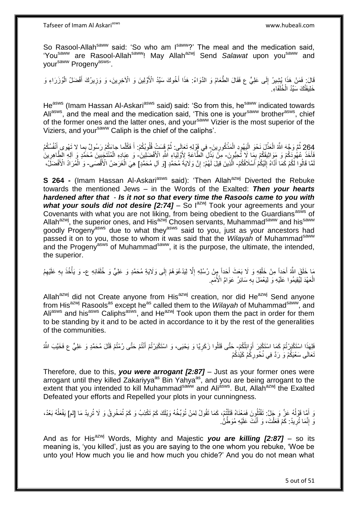Tafseer of Imam Al Askariasws www.hubeali.com

So Rasool-Allah<sup>saww</sup> said: 'So who am Isaww?' The meal and the medication said, 'You<sup>saww</sup> are Rasool-Allah<sup>saww</sup>! May Allah<sup>azwj</sup> Send Salawat upon you<sup>saww</sup> and vour<sup>saww</sup> Progeny<sup>asws</sup>'.

ِ قَالَ: فَمَنْ هَذَا بُشِيرُ إِلَى عَلِيٍّ ع فَقَالَ الطَّعَامُ وَ الدَّوَاءُ: هَذَا أَخُوكَ سَيِّدُ الْأَوَّلِينَ وَ الْآخِرِينَ، وَ وَزِيرُكَ أَفْضَلُ الْوُزَرَاءِ وَ َ ∣∣<br>∶ ْ َ ِ خَلِيفَتُكَ سَيِّدُ الْخُلَفَاءِ.

He<sup>asws</sup> (Imam Hassan Al-Askari<sup>asws</sup> said) said: 'So from this, he<sup>saww</sup> indicated towards Aliasws, and the meal and the medication said, 'This one is your<sup>saww</sup> brotherasws, chief of the former ones and the latter ones, and your<sup>saww</sup> Vizier is the most superior of the Viziers, and your<sup>saww</sup> Caliph is the chief of the caliphs'.

264 ثُمَّ وَجَّهَ اللَّهُ الْعَذْلِ نَحْوَ الْيَهُودِ الْمَذْكُورِينَ- فِي قَوْلِهِ تَعَإِلَى: ثُمَّ قَسَتْ قُلُوبُكُمْ: أَ فَكُلَّما جاءَكُمْ رَسُولٌ بِما لا تَهْوى أَنْفُسُكُمُ ْ َ َ ان<br>المقام المقام المقام المقام المقام المقام المقام المقام المقام المقام المقام المقام المقام المقام المقام المقا ْ ْ ْ ِ فَأَخَذَ عُهُوكَكُمْ وَ مَوَاثِيقَكُمْ بِمَا لَا تُحِبُّونَ- مِنَّ بَذْلِ ٱلطَّاعَةِ لِأَوْلِيَاءِ اللَّهِ الْأَفْضَلِينَ- وَ عِبَادِهِ الْمُنْتَجِبِينَ مُحَمَّدٍ وَ اللهِ الظَّاهِرِينَ َ **∶** ِ ْ لَمَّا قَالُوا لِّكُمْ كُمَّا أَدَّاهُ إِلَيْكُمْ أَسْلَافُكُمْ- الَّذِينَ قِيلَ لَهُمْ: إِنَّ وَلَايَةَ مُحَمَّدٍ [وَ آلِ مُحَمَّدٍ] هِيَ الْغَرَضُ الْأَقْصَـَى- وَ الْمُرَادُ الْأَفْضَلِّ، َ لَ  $\frac{1}{2}$ َ יֲ<br>י ْ ْ

**S 264 -** (Imam Hassan Al-Askari<sup>asws</sup> said): 'Then Allah<sup>azwj</sup> Diverted the Rebuke towards the mentioned Jews – in the Words of the Exalted: *Then your hearts hardened after that* - *Is it not so that every time the Rasools came to you with*  what your souls did not desire [2:74] – So lazwj Took your agreements and your Covenants with what you are not liking, from being obedient to the Guardians<sup>asws</sup> of Allah<sup>azwj</sup>, the superior ones, and His<sup>azwj</sup> Chosen servants, Muhammad<sup>saww</sup> and his<sup>saww</sup> goodly Progeny<sup>asws</sup> due to what they<sup>asws</sup> said to you, just as your ancestors had passed it on to you, those to whom it was said that the *Wilayah* of Muhammad<sup>saww</sup> and the Progeny<sup>asws</sup> of Muhammad<sup>saww</sup>, it is the purpose, the ultimate, the intended, the superior.

مَا خَلَقَ اللَّهُ أَحَدِاً مِنْ خَلْقِهِ وَ لَا بَعَثَ أَحَداً مِنْ رُسُلِهِ إِلَّا لِيَدْعُوَهُمْ إِلَى وَلَايَةِ مُحَمَّدٍ وَ عَلِيٍّ وَ خُلَفَائِهِ ع- وَ يَأْخُذَ بِهِ عَلَيْهِمُ ِ ِ َ ْ َ ِ ِ ْ الْعَهْدَ لِّيُقِيمُوا عَلَيْهِ وَ لِيَعْمَلَ بِهِ سَائِرُ عَوَامٍّ الْأُمَمِ ْ ِ **∶** 

Allah<sup>azwj</sup> did not Create anyone from His<sup>azwj</sup> creation, nor did He<sup>azwj</sup> Send anyone from His<sup>azwj</sup> Rasools<sup>as</sup> except he<sup>as</sup> called them to the *Wilayah* of Muhammad<sup>saww</sup>, and Ali<sup>asws</sup> and his<sup>asws</sup> Caliphs<sup>asws</sup>, and He<sup>azwj</sup> Took upon them the pact in order for them to be standing by it and to be acted in accordance to it by the rest of the generalities of the communities.

َفَلِهَذَا اسْتَكْبَرُتُمْ كَمَا اسْتَكْبَرَ أَوَائِلُكُمْ- حَتَّى قَتَلُوا زَكَرِيًا وَ يَحْيَى، وَ اسْتَكْبَرْتُمْ أَنْتُمْ حَتَّى رُمْتُمْ قَتْلَ مُحَمَّدٍ وَ عَلِيٍّ ع فَخَيَّبَ اللَّهُ َ **∶** َ َنَعَالَى سَعْيَكُمْ وَ رَدَّ فِي نُحُورِكُمْ كَيْدَكُمْ ِ

Therefore, due to this, *you were arrogant [2:87]* – Just as your former ones were arrogant until they killed Zakariyya<sup>as</sup> Bin Yahya<sup>as</sup>, and you are being arrogant to the extent that you intended to kill Muhammad<sup>saww</sup> and Ali<sup>asws</sup>. But, Allah<sup>azwj</sup> the Exalted Defeated your efforts and Repelled your plots in your cunningness.

وَ أَمَّا قَوْلُهُ عَزَّ وَ جَلَّ: تَقْتُلُونَ فَمَعْنَاهُ قَتَلْتُمْ، كَمَا تَقُولُ لِمَنْ تُوَبِّخُهُ وَيْلَكَ كَمْ تَكْذِبُ وَ كَمْ تُمَخْرِقُ وَ لَا تُرِيدُ مَا [لم] يَفْعَلُهُ بَعْدُ، ا<br>ا ا<br>ا ֺ֦֦֦֧֦֦֪ׅ֧֦֧֦֧֦֧֦֧֦֪ׅ֦֧֦֪֪֦֧֦֧֝֟֟֓֕֓֕֓֕֓֕֓֕֓֓֡֓֓֡֟֓֡֟֓֡֟֓֡֟֓֡֟֓֡֟֩֓֓֞֓֞֓֞֟֓֡֟֓֡֟֓֟֩֓֟֓֟֓֟֟<br>֧֧֧֪֧֪֝֩֘֝֬֞֟׆<br>֧֪֘ ِ ِ  $\overline{a}$ وَ إِنَّمَا تُرِيدُ: كَمْ فَعَلْتَ، وَ أَنْتَ عَلَيْهِ مُوَطِّنٌٰ. **∶** ֺ֧ׅ֧ׅ֧֧֚֚֚֚֚֚֚֚֚֚֚֚֚֚֚֚֚֝֝֬֓֡֡֡֡֡֡֡֬֓֡֟֓֡֟֓֡֟֓֡֡֡֬֓֡֡֬֩֓֓֬֩ َ ْ

And as for His<sup>azwj</sup> Words, Mighty and Majestic *you are killing [2:87]* – so its meaning is, 'you killed', just as you are saying to the one whom you rebuke, 'Woe be unto you! How much you lie and how much you chide?' And you do not mean what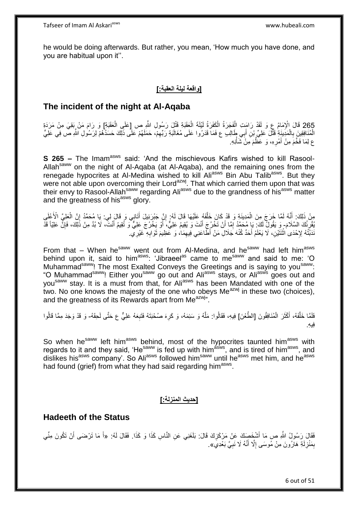he would be doing afterwards. But rather, you mean, 'How much you have done, and you are habitual upon it''.

#### **]واقعة ليلة العقبة:[**

#### **The incident of the night at Al-Aqaba**

265 قَالَ الْإِمَامُ عِ وَ لَقَدْ رَامَتِ الْفَجَرَةُ الْكَفَرَةُ لَيْلَةَ الْعَقَبَةِ قَتْلَ رَسُولِ اللَّهِ ص<br>وَاحْقَبْ الْعَقَبَةِ إِنَّ وَ الْقَدْ رَامَتِ الْفَجَرَةُ الْكَفَرَةُ لَيْلَةَ الْعَقَبَةِ وَ تَيْنِ رَسُولِ ْ ْ ْ ْ الْمُنَافِقِينَ بِالْمَدِينَةِ قَتْلَ عَلِيٍّ بِن أَبِي طَالِبِ ع فَمَا قَدَرُوا عَلَى مُغَالَبَةِ رَبِّهِمْ، حَمَلَهُمْ عَلَى ذَلِكَ حَسَدُهُمْ لِرَسُولِ اللَّهِ صَّ فِي عَلِيٍّ ِ ْ ِ ع لِمَا فَخَّمَ مِنْ أَمْرِهِ، وَ عَظَّمَ مَِنْ شَأْنِهِ. ِ َ ْ

**S 265 –** The Imam<sup>asws</sup> said: 'And the mischievous Kafirs wished to kill Rasool-Allah<sup>saww</sup> on the night of Al-Aqaba (at Al-Aqaba), and the remaining ones from the renegade hypocrites at Al-Medina wished to kill Aliasws Bin Abu Talibasws. But they were not able upon overcoming their Lord<sup>azwj</sup>. That which carried them upon that was their envy to Rasool-Allah<sup>saww</sup> regarding Ali<sup>asws</sup> due to the grandness of his<sup>asws</sup> matter and the greatness of his<sup>asws</sup> glory.

مِنْ ذَلِكَ: أَنَّهُ لَمَّا خَرَجَ مِنَ الْمَدِينَةِ وَ قَدْ كَانَ خَلَّفَهُ عَلَيْهَا قَالَ لَهُ: إِنَّ جَبْرَئِيلَ أَتَانِي وَ قَالَ لِي: يَا مُحَمَّدُ إِنَّ الْعَلِيَّ الْأَعْلَى ْ َ :<br>نا ْ ِ َ ِ ه يُقْرِئُكَ السَّلَامَ- وَ يَقُولُ لَكَ: يَإِ مُحَمَّدُ إِمَّا أَنْ تَخْرُجَ أَنْتَ وَ يُقِيمُ عَلِيٌّ، أَوْ يَخْرُجَ عَلِيٌّ وَ تُقِيمُ أَنْتَ، لَا بُدَّ مِنْ ذَلِكَ، فَإِنَّ عَلِيِّاً قَدْ ِ َ َ ِ ∣ٍ إ َ َنَدَبْتُهُ لِإِحْدَى اٰثْنَثَيْنِ، لَا يَعْلَمُ أَحَدٌ كُنْهَ جَلَالِ مَنْ أَطَّاعَنِي فِيهِمَا، وَ عَظِيمَ ثَوَابِهِ غَيْرِيّ. ِ َ ِ **ٔ** 

From that – When he<sup>saww</sup> went out from Al-Medina, and he<sup>saww</sup> had left him<sup>asws</sup> behind upon it, said to him<sup>asws</sup>: 'Jibraeel<sup>as</sup> came to me<sup>saww</sup> and said to me: 'O Muhammad<sup>saww</sup>! The most Exalted Conveys the Greetings and is saying to you<sup>saww</sup>: "O Muhammad<sup>saww</sup>! Either you<sup>saww</sup> go out and Ali<sup>asws</sup> stays, or Ali<sup>asws</sup> goes out and you<sup>saww</sup> stay. It is a must from that, for Ali<sup>asws</sup> has been Mandated with one of the two. No one knows the majesty of the one who obeys Me<sup>azwj</sup> in these two (choices), and the greatness of its Rewards apart from Me<sup>azwj</sup>".

فَلَمَّا خَلَّفَهُ، أَكْثَرَ الْمُنَافِقُونَ [الطَّعْنَ] فِيهِ، فَقَالُوا: مَلَّهُ وَ سَئِمَهُ، وَ كَرِهَ صُحْبَتَهُ فَتَبِعَهُ عَلِيٌّ ع حَتَّى لَحِقَهُ- وَ قَدْ وَجَدَ مِمَّا قَالُوا ْ ة<br>أ َ ه ِ ِ ه ُ ِفي ِه.

So when he<sup>saww</sup> left him<sup>asws</sup> behind, most of the hypocrites taunted him<sup>asws</sup> with regards to it and they said, 'He<sup>saww</sup> is fed up with him<sup>asws</sup>, and is tired of him<sup>asws</sup>, and dislikes his<sup>asws</sup> company'. So Ali<sup>asws</sup> followed him<sup>saww</sup> until he<sup>asws</sup> met him, and he<sup>asws</sup> had found (grief) from what they had said regarding him<sup>asws</sup>.

#### **]حديث المنزلة:[**

#### **Hadeeth of the Status**

فَقَالَ رَسُولُ اللَّهِ ص مَا أَشْخَصِكَ عَنْ مَرْكَزِكَ قَالَ: بَلَغَنِي عَنِ النَّاسِ كَذَا وَ كَذَا. فَقَالَ لَهُ: «أَ مَا تَرْضَى أَنْ تَكُونَ مِنِّي ِ َ َ بِمَنْزِلَةِ هَارُونَ مِنْ مُوسَى إِلَّا أَنَّهُ لَا نَبِيَّ بَعْدِيَ». ِ َ ِ لَ ِ ِ

6 out of 51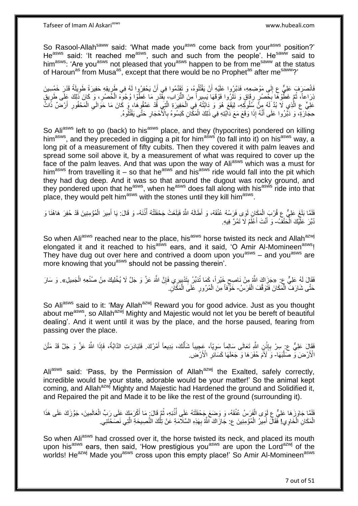Tafseer of Imam Al Askariasws www.hubeali.com

So Rasool-Allah<sup>saww</sup> said: 'What made you<sup>asws</sup> come back from your<sup>asws</sup> position?' Heasws said: 'It reached measws, such and such from the people'. Hesaww said to him<sup>asws</sup>: 'Are you<sup>asws</sup> not pleased that you<sup>asws</sup> happen to be from me<sup>saww</sup> at the status of Haroun<sup>as</sup> from Musa<sup>as</sup>, except that there would be no Prophet<sup>as</sup> after me<sup>saww</sup>?'

فَانْصَرَفَ عَلِيٌّ ع إِلَى مَوْضِعِهِ، فَدَبَّرُوا عَلَيْهِ أَنْ يَقْتُلُوهُ، وَ تَقَدَّمُوا فِي أَنْ يَحْفِرُوا لَهُ فِي طَرِيقِهِ حَفِيرَةً طَوِيلَةً قَدْرَ خَمْسِينَ َ َ  $\frac{1}{2}$ ِ ٍ<br>آ نِرَاعاً، ثُمَّ غَطُّْوهَا بِجُصُرٍ رِقَاقٍ وَ نَثَرُوا فَوْقَهَا يَسِيراً مِنَ التُّرَابِ، بِقَّدْرِ مَا غَطَّوْا وُجُوِّهَ الْخَصُرِ، وَ كَانَ ذَلِكَ عَلَى طَرِيقٍ ُ **∶** ْ ِ **∣** َ ِ **∶** ِ عَلِيٍّ عِ الَّذِي لَا بُدَّ لَهُ مِنَّ سَلُوكِهِ- لِيَقَعَ هُوَ وَ دَابَّتُهُ فِي الْحَفِيرَةِ الَّتِي قَدْ عَمَّقُوهَا، وَ كَانَ مَا حَوَالَي الْمَحْفُورِ أَرْضٌ ذَاتً ه ْ َ ِ ْ ِ حِجَارَةٍ، وَ دَبَّرُوا عَلَى أَنَّهُ إِذَا وَقَعَ مَعَ دَابَّتِهِ فِي ذَلِكَ الْمَكَّانِ كَبَسُوهُ بِالْأَحْجَارِ حَتَّى يَقْتُلُوهُ. **∶ ∶** ْ َ ا<br>ا

So Ali<sup>asws</sup> left to go (back) to his<sup>asws</sup> place, and they (hypocrites) pondered on killing him<sup>asws</sup>, and they preceded in digging a pit for him<sup>asws</sup> (to fall into it) on his<sup>asws</sup> way, a long pit of a measurement of fifty cubits. Then they covered it with palm leaves and spread some soil above it, by a measurement of what was required to cover up the face of the palm leaves. And that was upon the way of Aliasws which was a must for him<sup>asws</sup> from travelling it – so that he<sup>asws</sup> and his<sup>asws</sup> ride would fall into the pit which they had dug deep. And it was so that around the dugout was rocky ground, and they pondered upon that he<sup>asws</sup>, when he<sup>asws</sup> does fall along with his<sup>asws</sup> ride into that place, they would pelt him<sup>asws</sup> with the stones until they kill him<sup>asws</sup>.

لَمَا بَلَغَ عَلِيٌّ عِ قُرْبَ الْمَكَانِ لَوَى فَرَسُهُ عُنُقَهُ، وَ أَطَالَهُ اللَّهُ فَبَلَغَتْ جَحْفَلَتُهُ أُذُنَهُ- وَ قَالَ: يَا أَمِيرَ الْمُؤْمِنِينَ قَدْ حُفِرَ هَاهُنَا وَ ْ ْ َ نُبِّرَ عَلَّيْكَ الْحَتْفَـُ- وَ أَنْتَ أَعْلَمُ لَا تَمُرَّ فِيهِ. ا<br>ا َ َ

So when Aliasws reached near to the place, his<sup>asws</sup> horse twisted its neck and Allah<sup>azwj</sup> elongated it and it reached to his<sup>asws</sup> ears, and it said, 'O Amir Al-Momineen<sup>asws</sup>! They have dug out over here and contrived a doom upon you<sup>asws</sup> – and you<sup>asws</sup> are more knowing that you<sup>asws</sup> should not be passing therein'.

فَقَالَ لَهُ عَلِيٌّ ع: ِ«جَزَاكَ اللَّهُ مِنْ نَاصِحٍ خَيْراً، كَمَا تُدَبِّرُ بِتَدْبِيرِي فَإِنَّ اللَّهَ عَزَّ وَ جَلَّ لَا يُخْلِيكَ مِنْ صُنْعِهِ الْجَمِيلِ». وَ سَارَ ِ ׀֧֧֧֧֧ **!** ٍ ْ ِ ْ حَتَّى شَارَفَ الْمَكَانَ فَتَوَقَّفَ الْفَرَسُ- خَوَّفاً مِنَ الْمُرُورِ عَلَى الْمَكَانِ. ْ ْ **∶** ْ

So Aliasws said to it: 'May Allah<sup>azwj</sup> Reward you for good advice. Just as you thought about me<sup>asws</sup>, so Allah<sup>azwj</sup> Mighty and Majestic would not let you be bereft of beautiful dealing'. And it went until it was by the place, and the horse paused, fearing from passing over the place.

فَقَالَ عَلِيٌّ ع: بِسِرْ بِإِذْنِ اللَّهِ تَعَالَى سَالِماً سَوِيّاً، عَجِبِيباً شَأْنُكَ، بَدِيعاً أَمْرُكَ. فَتَبَادَرَتِ الذَّابَّةُ، فَإِذَا اللَّهُ عَزَّ وَ جَلَّ قَدْ مَثَّنَ َ ْ ِ ْ ِ الْأَرْضَ وَّ صَلَّبَهَا- وَ َلَأَمَ حُفَرَهَا وَ جَعَلَهَا كَسَاَئِرِ الْأَرْضِ. ن<br>ا **∶** 

Ali<sup>asws</sup> said: 'Pass, by the Permission of Allah<sup>azwj</sup> the Exalted, safely correctly, incredible would be your state, adorable would be your matter!' So the animal kept coming, and Allah<sup>azwj</sup> Mighty and Majestic had Hardened the ground and Solidified it, and Repaired the pit and Made it to be like the rest of the ground (surrounding it).

فَلَمَّا جَاوَزَ هَا عَلِيٌّ ع لَوَى الْفَرَسُ عُنُقَهُ، وَ وَضَعَ جَحْفَلَتَهُ عَلَى أُذُنِهِ، ثُمَّ قَالَ مَا أَكْرَمَكَ عَلَى رَبِّ الْعَالَمِينَ، جَوَّزَكَ عَلَى هَذَا ا پایا<br>سال ُ ْ ْ َ الْمَكَانِ الْخَاوِي! فَقَالَ أَمِيرُ الْمُؤْمِنِينَ ع: جَازَاكَ اللَّهُ بِهَذِهِ السَّلَامَةِ عَنْ تِلْكَ النَّصِيحَةِ الَّتِي نَصَحْتَنِي. ْ ْ ِ ْ َ ه

So when Ali<sup>asws</sup> had crossed over it, the horse twisted its neck, and placed its mouth upon his<sup>asws</sup> ears, then said, 'How prestigious you<sup>asws</sup> are upon the Lord<sup>azwj</sup> of the worlds! He<sup>azwj</sup> Made you<sup>asws</sup> cross upon this empty place!' So Amir Al-Momineen<sup>asws</sup>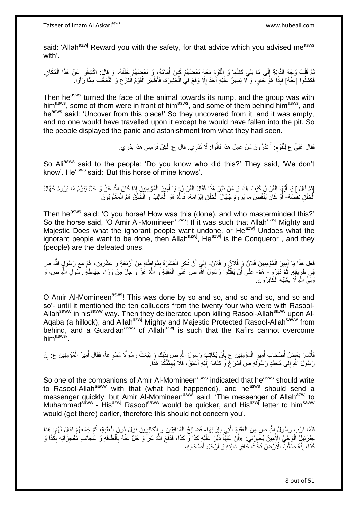said: 'Allah<sup>azwj</sup> Reward you with the safety, for that advice which you advised me<sup>asws</sup> with'.

ثُمَّ قَلَبَ وَجْهَ الدَّاِبَّةِ إِلَى مَا يَلِي كَفَلَهَا وَ الْقَوْمُ مَعَهُ بَعْضُهُمْ كَانَ أَمَامَهُ، وَ بَعْضُهُمْ خَلْفَهُ، وَ قَالَ: اكْشِفُوا عَنْ هَذَا الْمَكَانِ َ ْ ِ ُ ْ ْ فَكْشَفُوا [عَنْهُ] فَإِذَا هُوَّ خَاوٍ، وَ "لَا يَسِيرُ عَلَيْهِ أَحَدٌ إِلَّا وَقَعَ فِي الْحَفِيرَةِ، فَأَظْهَرَ الْقَوْمُ الْفَزَعَ وَ التَّعَجُّبَ مِمَّا رَأَوْا آ ْ ْ ْ ِ َ َ

Then he<sup>asws</sup> turned the face of the animal towards its rump, and the group was with him<sup>asws</sup>, some of them were in front of him<sup>asws</sup>, and some of them behind him<sup>asws</sup>, and he<sup>asws</sup> said: 'Uncover from this place!' So they uncovered from it, and it was empty, and no one would have travelled upon it except he would have fallen into the pit. So the people displayed the panic and astonishment from what they had seen.

> فَقَالَ عَلِيٌّ عِ لِلْقَوْمِ. أَ تَدْرُونَ مَنْ عَمِلَ هَذَا قَالُوا: لَا نَدْرِي. قَالَ ع: لَكِنْ فَرَسِي هَذَا يَدْرِي. َ ِ ِ

So Aliasws said to the people: 'Do you know who did this?' They said, 'We don't know'. He<sup>asws</sup> said: 'But this horse of mine knows'.

ِ [ثُمَّ قَالَ:] يَا أَيُّهَا الْفَرَسُ كَيْفَ هَذَا وَ مَنْ دَبَّرَ هَذَا فَقَالَ الْفَرَسُِ بِيَا أَمِيرَ الْمُؤْمِنِينَ إِذَا كَانَ اللَّهُ عَزَّ وَ جَلَّ يَبْرُمُ مَا يَرُومُ جُهَّالُ ْ َ ْ ْ َ الْخُلْقِ نَقْضَهُ- أَوْ كَانَ يَنْقُضُ مَا يَرُومُ جُهَّالُ الْخَلْقِ إِبْرَامَهُ، فَاللَّهُ هُوَ الْغَالِبُ وَ الْخَلْقُ هُمُ الْمَغْلُوبُونَ ْ ا<br>ا ْ ْ ْ ْ ِ ْ ْ َ

Then he<sup>asws</sup> said: 'O you horse! How was this (done), and who masterminded this?' So the horse said, 'O Amir Al-Momineen<sup>asws</sup>! If it was such that Allah<sup>azwj</sup> Mighty and Majestic Does what the ignorant people want undone, or He<sup>azwj</sup> Undoes what the ignorant people want to be done, then Allah<sup>azwj</sup>, He<sup>azwj'</sup> is the Conqueror, and they (people) are the defeated ones.

فَعَلَ هَذَا يَا أُمِيرَ الْمُؤْمِنِينَ فُلَانٌ وَ فُلَانٌ وَ فُلَانٌ- إِلَي أَنْ ذَكَرَ الْعَشَرَةَ بِمُوَاطَةٍ مِِنْ أَرْبَعَةٍ وَ عِشْرِينَ، هُمْ مَعَ رَسُولٍ اللَّهِ ص ْ َ ِ َ ِ ْ َ ∣∣<br>∶ فِي طَرِيقِهِ. ثُمَّ دَبَّرُوا- هُمْ- عَلَى أَنْ يَقْتُلُوا رَسُولَ اللَّهِ ص عَلَى الْعَقَبَةِ وَ اللَّهُ عَزَّ وَ جَلَّ مِنْ وَرَاءِ حِيَاطَةِ رَسُولِ اللَّهِ ص، وَ **⊥** ُ ْ اُ وَلِّيُّ اللَّهِ لَا يَغْلِبُهُ الْكَافِرُونَ. ْ

O Amir Al-Momineen<sup>asws</sup>! This was done by so and so, and so and so, and so and so'- until it mentioned the ten colluders from the twenty four who were with Rasool-Allah<sup>saww</sup> in his<sup>saww</sup> way. Then they deliberated upon killing Rasool-Allah<sup>saww</sup> upon Al-Aqaba (a hillock), and Allah<sup>azwj</sup> Mighty and Majestic Protected Rasool-Allah<sup>saww</sup> from behind, and a Guardian<sup>asws</sup> of Allah<sup>azwj</sup> is such that the Kafirs cannot overcome him<sup>asws</sup>'.

ِّأَشَارَ بَعْضُ أَصْحَابِ أَمِيرِ الْمُؤْمِنِينَ عِ بِأَنْ يُكَاتِبَ رَسُولَ النَّهِ صِ بِذَلِكَ وَ يَبْعَثَ رَسُولًا مُسْرِعاً، فَقَالَ أَمِيرُ الْمُؤْمِنِينَ عِ: إِنَّ أ ِ ْ ِ َ َ َ ِ ْ َ رَسُولَ اللَّهِ إِلَى مُحَمَّدٍ رَسُولِهِ ص أَسْرَعُ وَ كِتَابَهُ إِلَيْهِ أَسْبَقُ، فَلَا يُهِمَّنَّكُمْ هَذَا  $\ddot{\xi}$ َ لَ ِ ِ

So one of the companions of Amir Al-Momineen<sup>asws</sup> indicated that he<sup>asws</sup> should write to Rasool-Allah<sup>saww</sup> with that (what had happened), and he<sup>asws</sup> should send a messenger quickly, but Amir Al-Momineen<sup>asws</sup> said: 'The messenger of Allah<sup>azwj</sup> to Muhammad<sup>saww</sup> - His<sup>azwj</sup> Rasool<sup>saww</sup> would be quicker, and His<sup>azwj</sup> letter to him<sup>saww</sup> would (get there) earlier, therefore this should not concern you'.

فَلَمَّا قَرُبَ رَسُولُ اِللَّهِ صِ مِنَ الْعَقَبَةِ الَّتِي بِإِزَائِهَا- فَضَائِحُ الْمُنَافِقِينَ وَ الْكَافِرِينَ نَزَلَ دُونَ الْعَقَبَةِ، ثُمَّ جَمَعَهُمْ فَقَالَ لَهُمْ: هَذَا ِ ្ត្ ه ْ ُ ْ ِ ْ ْ جَبْرَنِيلٍۢ الْوَجْيُ الْإِمِينُ يُخْبِرُنِي. «أَنَّ عَلِيّاً ذُبِّرَ عَلَيْهِ كَذَا وَ كَذَا، فَدَفَعَ اللَّهُ عَزَّ وَ جَلٍّ عَنْهُ بِأَلْطَافِهِ وَ عَجَائِبِ مُعْجِزَاتِهِ بِكَذَا و ِ ْ َ **∶** ِ كَذَا، إِنَّهُ صَلَّب ۖ الْأَرْضَ تَخْتَ حَافِرِ دَابَّتِهِ وَ أَرْجُلِ أَصْحَابِهِ، اُ **∶** ه ِ ِ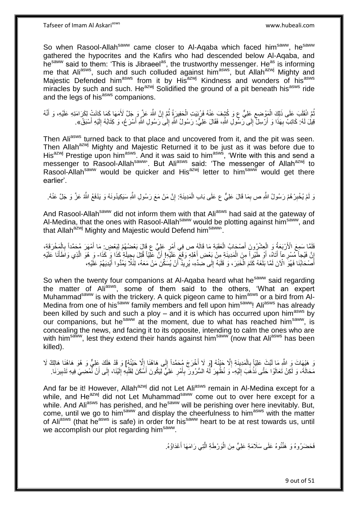So when Rasool-Allah<sup>saww</sup> came closer to Al-Aqaba which faced him<sup>saww</sup>, he<sup>saww</sup> gathered the hypocrites and the Kafirs who had descended below Al-Aqaba, and he<sup>saww</sup> said to them: 'This is Jibraeel<sup>as</sup>, the trustworthy messenger. He<sup>as</sup> is informing me that Aliasws, such and such colluded against him<sup>asws</sup>, but Allah<sup>azwj</sup> Mighty and Majestic Defended him<sup>asws</sup> from it by His<sup>azwj</sup> Kindness and wonders of his<sup>asws</sup> miracles by such and such. He<sup>azwj</sup> Solidified the ground of a pit beneath his<sup>asws</sup> ride and the legs of his<sup>asws</sup> companions.

ُمَّ انْقَلَبَ عَلَى ذَلِكَ الْمَوْضِعِ عَلِيٌّ عٖ وَ كُشِفَ عَنْهُ فَرُبُيَتِ الْحَفِيرَةُ ثُمَّ إِنَّ اللَّهَ عَزَّ وَ جَلَّ لَأَمَهَا كَمَا كَانَتْ لِكَرَامَتِهِ عَلَيْهِ، وَ أَنَّهُ ِ ا دیکھیے ْ ِ ْ َ قِيلَ لَمُ: كَاتِبٌ بِهَذَا وَ أَرْسِلٌ إِلَى رَسُولِ اللَّهِ، فَقَالَ عَلِيٌّ: رَسُولُ اللَّهِ إِلَى رَسُولِ اللَّهِ أَسْرَعُ، وَ كِتَابُهُ إِلَيْهِ أَسْبَقُ». ِ َ لَ ِ َ ِ  $\frac{1}{2}$ 

Then Aliasws turned back to that place and uncovered from it, and the pit was seen. Then Allah<sup>azwj</sup> Mighty and Majestic Returned it to be just as it was before due to Hien Allah Indian Indian and majocule is computed in the server of the with this and send a His<sup>azwj</sup> Prestige upon him<sup>asws</sup>. And it was said to him<sup>asws</sup>, 'Write with this and send a messenger to Rasool-Allahsaww. But Aliasws said: 'The messenger of Allahazwj to Rasool-Allah<sup>saww</sup> would be quicker and His<sup>azwj</sup> letter to him<sup>saww</sup> would get there earlier'.

وَ لَمْ يُخْبِرْ هُمْ رَسُولُ اللَّهِ ص بِمَا قَالَ عَلِيٌّ ع عَلَى بَابِ الْمَدِينَةِ: إِنَّ مَنْ مَعَ رَسُولِ اللَّهِ سَيَكِيدُونَهُ وَ يَدْفَعُ اللَّهُ عَزَّ وَ جَلَّ عَنْهُ. ِ ْ ِ **ِ** 

And Rasool-Allah<sup>saww</sup> did not inform them with that Ali<sup>asws</sup> had said at the gateway of Al-Medina, that the ones with Rasool-Allah<sup>saww</sup> would be plotting against him<sup>saww</sup>, and that Allah<sup>azwj</sup> Mighty and Majestic would Defend him<sup>saww</sup>'.

فَلَمَّا سَمِعَ الْأَرْبَعَةُ وَ الْعِشْرُونَ أَصْحَابُ الْعَقَبَةِ مَا قَالَهُ ص فِي أَمْرِ عَلِيٍّ ع قَالَ بَعْضُهُمْ لِبَعْضٍ مَا أَمْهَرَ مُحَمَّداً بِالْمَخْرَقَةِ، ْ ْ ِ َ **∶** َ ْ َ ِ ِّلَّ فَيْجاً مُسْرِعاً أَنَّاهُ، أَو طَيْراً مِنَ الْمَدِينَةِ مِنْ بَعْضِ أَهْلِهِ وَقَمَّ عَلَيْهِا أَنَّ عَلَيْه<br>أَيْ مَعْ الْجَمَعِينَ مَنْ الْجَمَعِينَ وَالْجَمَعِينَ وَمَنْ بَعْضِ أَهْلِهِ وَقَمَّ عَلَيْهِا أَنَّ ع َ َ ْ َ َ ِ َ ه أَصْحَابُنَا فَهُوَ الْآنَ لَمَّا بَلَغَهُ كَتَمَ الْخَبَرَ ، وَ قَلَبَهُ إِلَى ضِدِّهِ، يُرِيدُ أَنْ يُسَكِّنَ مَنْ مَعَهُ، لِثَلَّا يَمُدُّوا أَيْدِيَهُمْ عَلَيْهِ، اُ ِ  $\frac{1}{2}$ ْ َ َ

So when the twenty four companions at Al-Aqaba heard what he<sup>saww</sup> said regarding the matter of Ali<sup>asws</sup>, some of them said to the others, 'What an expert Muhammad<sup>saww</sup> is with the trickery. A quick pigeon came to him<sup>asws</sup> or a bird from Al-Medina from one of his<sup>saww</sup> family members and fell upon him<sup>saww</sup>! Ali<sup>asws</sup> has already been killed by such and such a ploy – and it is which has occurred upon him<sup>asws</sup> by our companions, but he<sup>saww</sup> at the moment, due to what has reached him<sup>saww</sup>, is concealing the news, and facing it to its opposite, intending to calm the ones who are with him<sup>saww</sup>, lest they extend their hands against him<sup>saww</sup> (now that Ali<sup>asws</sup> has been killed).

نَ هَيْهَاتَ وَ اللَّهِ مَا لَبَّثَ عَلِيّاً بِالْمَدِينَةِ إِلَّا حَيْنُهُ [وَ لَا أَخْرَجَ مُحَمَّداً إِلَى هَاهُنَا إِلَّا حَيْنُهُمْ] وَ قَدْ هَلَكَ عِلِيٌّ وَ هُوَ هَاهُنَا هَالِكٌ لَا ِ ْ **∶** لَ ِ َ  $\frac{1}{2}$ مَحَالَةَ، وَ لَكِنْ تَعَالَوْا حَتَّى نَذْهَبَ إِلَيْهِ- وَ نُظْهِرَ لَهُ السُّرُورَ بِأَمْرٍ عَلِيٍّ لِيَكُونَ أَسْكَنَ لِقَلْبِهِ إِلَيْنَا، إِلَى أَنْ نَمْضِيَ فِيهِ تَدْبِيرَنَا لَ ِ **ٔ** ِ أ ِ لَ ِ **∶** ْ َ ِ َ ِ ِ

And far be it! However, Allah<sup>azwj</sup> did not Let Ali<sup>asws</sup> remain in Al-Medina except for a while. and He<sup>azwj</sup> did not Let Muhammad<sup>saww</sup> come out to over here except for a while. And Ali<sup>asws</sup> has perished, and he<sup>saww</sup> will be perishing over here inevitably. But, come, until we go to him<sup>saww</sup> and display the cheerfulness to him<sup>asws</sup> with the matter of Ali<sup>asws</sup> (that he<sup>asws</sup> is safe) in order for his<sup>saww</sup> heart to be at rest towards us, until we accomplish our plot regarding him<sup>saww</sup>.

> فَحَضَرُوهُ وَ ۚ هَنَّفُوهُ عَلَى سَلَامَةِ عَلِيٍّ مِنَ الْوَرْطَةِ الَّتِي رَامَهَا أَعْدَاؤُهُ. َ ه ْ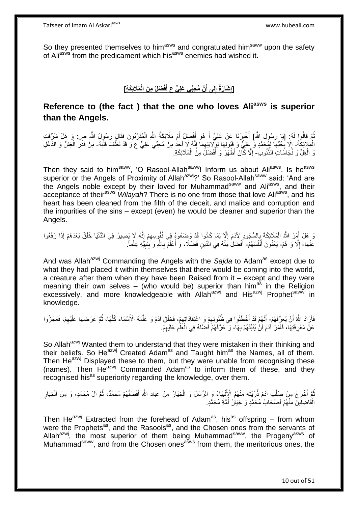So they presented themselves to him<sup>asws</sup> and congratulated him<sup>saww</sup> upon the safety of Aliasws from the predicament which hisasws enemies had wished it.

#### [إِشَارَةٌ إِلَى أَنَّ مُحِبِّى عَلِيٍّ عِ أَفْضَلُ مِنَ الْمَلَائِكَةِ] **َ َ ِ ِ**

# **Reference to (the fact ) that the one who loves Aliasws is superior than the Angels.**

ُمَّ قَالُوا لَهُ: [يَا رَسُولَ اللَّهِ] أَخْبِرْنَا عَنْ عَلِيٍّ أَ هُوَ أَفْضَلْ أَمْ مَلَائِكَةُ اللَّهِ الْمُقَرَّبُونَ فَقَالَ رَسُولُ اللَّهِ ص: وَ هَلْ شُرِّفَتِ َ َ َ ׇ֧֝֓**֓**ׇׇ֧֧֓ ْ الْمَلَائِكَةُ- إِلَّا بِحُدِّهَا لِمُحَمَّدٍ وَ عِلِيٍّ وَ قَبُولِهَا لِوَِلَايَتِهِمَا إِنَّهُ لَا أَحَدُ مِنْ مُحِبِّي عَلِيٍّ ع وَ قَدْ نَظَّفَ قَلْبَهُ- مِنْ قَذَرِ الْغِشِّ وَ الدَّغَلِ ْ َ ِ ِ **∶**  $\ddot{\phantom{a}}$ ْ ْ ِ وَ الْغِلِّ وَ نَّجَاسَاتِ الذُّنُوبِ ۖ إِلَّا كَانَ أَطْهَرَ وَ أَفْضَلَ مِنَّ الْمَلَائِكَةِ. ْ ْ َ ِ

Then they said to him<sup>saww</sup>. 'O Rasool-Allah<sup>saww</sup>! Inform us about Ali<sup>asws</sup>. Is he<sup>asws</sup> superior or the Angels of Proximity of Allah<sup>azwj</sup>?' So Rasool-Allah<sup>saww</sup> said: 'And are the Angels noble except by their loved for Muhammad<sup>saww</sup> and Ali<sup>asws</sup>, and their acceptance of their<sup>asws</sup> Wilayah? There is no one from those that love Ali<sup>asws</sup>, and his heart has been cleaned from the filth of the deceit, and malice and corruption and the impurities of the sins – except (even) he would be cleaner and superior than the Angels.

وَ هَلْ أَمَرَ اللَّهُ الْمَلَائِكَةَ بِإِلسُّجُودٍ لِآدَمَ إِلَّا لِمَا كَانُوا قَدْ وَضَعُوهُ فِي نُفُوسِهِمْ إِنَّهُ لَإِ يَصِيرُ فِي الدُّنْيَا خَلْقٌ بَعْدَهُمْ إِذَا رَفَعُوا ِ ِ ِ ¦ ْ َ عَنْهَا- إِلَّا وَ هُمْ- يَعْنُونَ أَنْفُسَهُمْ- أَفْضَلُ مِنْهُ فِي الدِّينِ فَضْلًا، وَ أَعْلَمَ بِاللَّهِ وَ بِنُبِيِّهِ عِلْماً.  $\ddot{\phantom{a}}$ َ ِ ِ ِ َ َ ْ

And was Allah<sup>azwj</sup> Commanding the Angels with the *Saida* to Adam<sup>as</sup> except due to what they had placed it within themselves that there would be coming into the world, a creature after them when they have been Raised from it – except and they were meaning their own selves – (who would be) superior than him<sup>as</sup> in the Religion excessively, and more knowledgeable with Allah<sup>azwj</sup> and His<sup>azwj</sup> Prophet<sup>saww</sup> in knowledge.

فَأَرَادَ اللَّهُ أَنْ يُعَرِّفَهُمْ- أَنَّهُمْ قَدْ أَخْطَئُوا فِي ظُنُونِهِمْ وَ اِعْتِقَادَاتِهِمْ، فَخَلَقَ آدَمَ وَ عَلَّمَهُ الْأَسْمَاءَ كُلَّهَا، ثُمَّ عَرَضَهَا عَلَيْهِمْ، فَعَجَزُوا اُ ُ ه ه ِ ِ َ َ ِ عَنْ مَعْرِ فَنِهَا، فَأَمَرَ ۚ آدَمَ أَنْ يُنَبِّئَهُمْ بِهَا، وَ عَرَّفَهُمْ فَضْلُهُ فِي الْعِلْمِ عَلَيْهِمْ ِ ِ ْ ْ **∶** اً َ ِ

So Allah<sup>azwj</sup> Wanted them to understand that they were mistaken in their thinking and their beliefs. So He<sup>azwj</sup> Created Adam<sup>as</sup> and Taught him<sup>as</sup> the Names, all of them. Then He<sup>azwj</sup> Displayed these to them, but they were unable from recognising these (names). Then He<sup>azwj</sup> Commanded Adam<sup>as</sup> to inform them of these, and they recognised his<sup>as</sup> superiority regarding the knowledge, over them.

ُمَّ أَخْرَجَ مِنْ صِلْب آدَمَ ذُرِّيَّتَهُ مِنْهُمُ الْإِنْبِيَاءُ وَ الرُّسُلُ وَ الْخِيَارُ مِنْ عِبَادِ اللَّهِ أَفْضَلُهُمْ مُحَمَّدٌ، ثُمَّ آلُ مُحَمَّدٍ، وَ مِنَ الْخِيَارِ ْ َ ا دیکھیے ُ َ ْ ِ ِ ْ الْفَاضِلِينّ مِنْهُمْ أَصْحَابُ مُحَمَّدٍ وَ خِيَارُ أُمَّةٍ مُحَمَّدٍ. َ ْ ُ

Then He<sup>azwj</sup> Extracted from the forehead of Adam<sup>as</sup>, his<sup>as</sup> offspring – from whom were the Prophets<sup>as</sup>, and the Rasools<sup>as</sup>, and the Chosen ones from the servants of Allah<sup>azwj</sup>, the most superior of them being Muhammad<sup>saww</sup>, the Progeny<sup>asws</sup> of Muhammad<sup>saww</sup>, and from the Chosen ones<sup>asws</sup> from them, the meritorious ones, the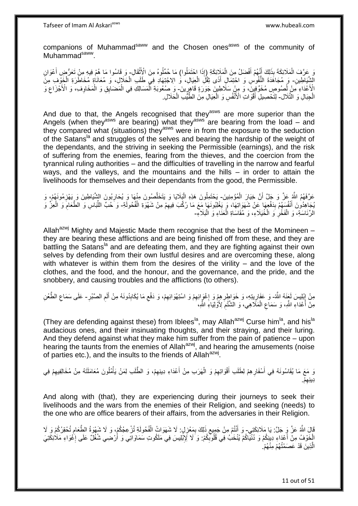companions of Muhammad<sup>saww</sup> and the Chosen ones<sup>asws</sup> of the community of Muhammad<sup>saww</sup>.

وَ عَرَّفَ الْمَلَائِكَةَ بِذَلِكَ أَنَّهُمْ أَفْضَلُ مِنَ الْمَلَإِئِكَةِ (إِذَا إِحْتَمَلُوا) مَا حُمِّلُوهُ مِنَ الْأَنْقَالِ- وَ قَاسُوا مَا هُمْ فِيهِ مِنْ تَعَرُّضِ أَعْوَانِ ْ َ َ ْ **ٔ** َ اشَّيَاطِينِ- وَ مُجَاهَدَةَ النُّفُوسِ وَ احْتِمَالِ أَذَى ثِقْلَ الْعِيَالِ، وَ الِاجْتِهَادِ فِي طَلَبِ الْحَلَإِلِ، وَ مُعَانَاٰةٍ مُخَاطَرَةِ الْخَوْفِ مِنَ ْ ْ َ الْأَعْدَاءِ مَنْ لُصُوصٍ مُخَوِّفِينَ، وَ مِنْ سَلَاطِينَ جَوَرَةٍ قَاهِرٍينَ- وَ صُعُوبَةِ الْمَسَالِكِ فِي الْمَضَايِقِ وَ الْمَخَاوِفِ، وَ الْأَجْزَاعِ وَ ِ ا<br>ا ِ **∶** ْ ْ ْ الْجِبَالِ وَ الثَّلَال- لِتَّخْصِيلِ أَقْوَاتِ الْأَنْفُسِ وَ الْعِيَالِ مِنَ الطَّيِّبِ الْحَلالِ. ْ ْ

And due to that, the Angels recognised that they<sup>asws</sup> are more superior than the Angels (when they<sup>asws</sup> are bearing) what they<sup>asws</sup> are bearing from the load – and they compared what (situations) they<sup>asws</sup> were in from the exposure to the seduction of the Satans<sup>la</sup> and struggles of the selves and bearing the hardship of the weight of the dependants, and the striving in seeking the Permissible (earnings), and the risk of suffering from the enemies, fearing from the thieves, and the coercion from the tyrannical ruling authorities – and the difficulties of travelling in the narrow and fearful ways, and the valleys, and the mountains and the hills – in order to attain the livelihoods for themselves and their dependants from the good, the Permissible.

عَرَّفَهُمُ اللَّهِ عَنَّ وَ جَلَّ أَنَّ خِيَارَ الْمُؤْمِنِينَ- يَحْتَمِلُونَ هَذِهِ الْيَلَايَا وَ يَتَخَلَّصُونَ مِنْهَا وَ يُحَارِبُونَ الشَّيَاطِينَ وَ يَهْزِمُونَهُمْ، وَ ْ ِ ِ ه ْ يُجَاهِدُونَ أَنْفُسَهُمْ بَدَفْعِهَا عَنْ شَهَوَاتِهَا، وَ يَغْلِبُونَهَا مَعَ مَا رُكِّبَ فِيهِمْ مِنْ شَهْوَةِ الْفُحُولَةِ- وَ َحُبَّ اللَّبَاسِ وَ الطَّعَامِ وَ الْعِزُ وَ **∣** ْ ِ ْ ِ ِّ **∶** الرِّئَاسَةِ، وَ الْفَخْْرِ وَ الْخُيَلَاءِ، وَ مُقَاسَاةِ الْعَذَاءِ وَ الْبَلَاءِ-ْ ْ

Allah<sup>azwj</sup> Mighty and Majestic Made them recognise that the best of the Momineen – they are bearing these afflictions and are being finished off from these, and they are battling the Satans<sup>la</sup> and are defeating them, and they are fighting against their own selves by defending from their own lustful desires and are overcoming these, along with whatever is within them from the desires of the virility – and the love of the clothes, and the food, and the honour, and the governance, and the pride, and the snobbery, and causing troubles and the afflictions (to others).

مِنْ إِبْلِيسَ لَعَنِمُه النَّهُ- وَ عَفَارِيتِهِ، وَ خَوَاطِرِهِمْ وَ اِغْوَائِهِمْ وَ اسْتِهْوَائِهِمْ، وَ دَفْعِ مَا يُكَابِدُونَهُ مِنْ أَلَمِ الصَّبْرِ- عَلَى سَمَاعِ الطَّعْنِ ِ ِ ِ َ ِ ِ ِ ِ ِ **∶ ∶** ِ مِنَّ أَعْدَاءِ اللَّهِ، وَ سَمَاع الْمَلَّاهِي، وَ الْشَّنْمِ لِأَوْلِيَاءِ اللَّهِ، ِ ْ ِ

(They are defending against these) from Iblees<sup>la</sup>, may Allah<sup>azwj</sup> Curse him<sup>la</sup>, and his<sup>la</sup> audacious ones, and their insinuating thoughts, and their straying, and their luring. And they defend against what they make him suffer from the pain of patience – upon hearing the taunts from the enemies of Allah<sup>azwj</sup>, and hearing the amusements (noise of parties etc.), and the insults to the friends of Allah<sup>azwj</sup>.

وَ مَعَ مَا يُقَاسُونَهُ فِي أَسْفَارِهِمْ لِطَلَبِ أَقْوَاتِهِمْ وَ الْهَرَبِ مِنْ أَعْدَاءِ دِينِهِمْ، وَ الطَّلَبِ لِمَنْ يَأْمُلُونَ مُعَامَلَتَهُ مِنْ مُخَالِفِيهِمْ فِي َ ْ ِ َ ِ ِ ْ ِ ْم. ِديِنه ِ

And along with (that), they are experiencing during their journeys to seek their livelihoods and the wars from the enemies of their Religion, and seeking (needs) to the one who are office bearers of their affairs, from the adversaries in their Religion.

قَالَ اللَّهُ عَنَّ وَ جَلَّ: يَا مَلَائِكَتِي- وَ أَنْتُمْ مِنْ جَمِيعِ ذَلِكَ بِمَعْزِلٍ: لَا شَهَوَاتُ الْفُحُولَةِ تُزْعِجُكُمْ، وَ لَا شَهْوَةُ الطَّعَامِ تُحْقِرُكُمْ وَ لَا ِ ْ **∶** ِ ِ الْخَوْفُ مِنْ أَعْدَاءِ دِينِكُمْ وَ دُنْيَاكُمْ يُنْخَبُ فِي قُلُوكِّكُمْ: وَ لَا لَإِبْلِيسَ فِي مَلَكُوتِ سَمَاوَاتِي وَ أَرْضِي شُغُلٌ عَلَى إِغْوَاءِ مَلَائِكَتِيَ َ َ ِ ا<br>ا الَّذِينَ قَدْ عَصَمْتُهُمْ مِنْهُمْ. ه

11 out of 51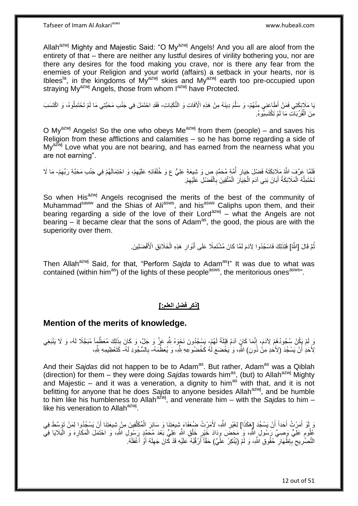Allah<sup>azwj</sup> Mighty and Majestic Said: "O My<sup>azwj</sup> Angels! And you all are aloof from the entirety of that – there are neither any lustful desires of virility bothering you, nor are there any desires for the food making you crave, nor is there any fear from the enemies of your Religion and your world (affairs) a setback in your hearts, nor is Iblees<sup>la</sup>, in the kingdoms of My<sup>azwj</sup> skies and My<sup>azwj</sup> earth too pre-occupied upon straying My<sup>azwj</sup> Angels, those from whom  $1^{azwj}$  have Protected.

يَا مَلَإِنِكَتِي فَمَنْ أَطَاعَنِي مِنْهُمْ- وَ سَلَّمَ دِينَهُ مِنْ هَذِهِ الْأَفَاتِ وَ النَّكَبَاتِ- فَقَدِ احْتَمَلَ فِي جَنْبِ مَحَبَّتِي مَا لَمْ تَحْتَمِلُوهُ، وَ اكْتَسَبَ مِنَ الْقُرُبَاتِ مَا لَمْ تَكْتَسِبُوهُ. ْ

O My<sup>azwj</sup> Angels! So the one who obeys Me<sup>azwj</sup> from them (people) – and saves his Religion from these afflictions and calamities – so he has borne regarding a side of  $Mv^{a\bar{z}wj}$  Love what you are not bearing, and has earned from the nearness what you are not earning".

لَفَلَمَا عَرَّفَ اللَّهُ مَلِائِكَتَهُ فَضْلَ خِيَارِ أُمَّةٍ مُحَمَّدٍ ص وَ شِيعَةِ عَلِيٍّ ع وَ خُلَفَائِهِ عَلَيْهِمْ، وَ احْتِمَالَهُمْ فِي جَنْبِ مَحَدَّةِ رَبِّهِمْ- مَا لَا ُ **∶** ِ ِ نَحْتَمِلُهُ الْمَلَائِكَةُ أَبَانَ بَنِي آدَمَ الْخِيَارَ الْمُتَّقِينَ بِالْفَضْلِ عَلَيْهِمْ. ِ ْ ِ ْ ْ َ ْ ا<br>ا

So when His<sup>azwj</sup> Angels recognised the merits of the best of the community of Muhammad<sup>saww</sup> and the Shias of Ali<sup>asws</sup>, and his<sup>asws</sup> Caliphs upon them, and their bearing regarding a side of the love of their Lord $a^{2}$  – what the Angels are not bearing – it became clear that the sons of Adam<sup>as</sup>, the good, the pious are with the superiority over them.

> نُّمَّ قَالَ [اللَّهُ] فَلِذَلِكَ فَاسْجُدُوا لِآدَمَ لَمَّا كَانَ مُشْتَمِلًا عَلَى أَنْوَالِ هَذِهِ الْخَلَائِقِ الْأَفْضَلِينَ ُ ْ **∶** َ

Then Allah<sup>azwj</sup> Said, for that, "Perform Sajda to Adam<sup>as</sup>!" It was due to what was contained (within him<sup>as</sup>) of the lights of these people<sup>asws</sup>, the meritorious ones<sup>asws</sup>".

## **]ذكر فضل العلم:[**

## **Mention of the merits of knowledge.**

وَ إِمْ يَكُنْ سُجُودُهُمْ لِأَدَمَ، إِنَّمَا كَانٍَ آدَمُ قِبْلَةً لَهُمْ- يَسْجُدُونَ نَحْوَهُ لِلَّهِ عَزَّ وَ جَلَّ، وَ كَانَ بِذَلِكَ مُعَظَّمٍاً مُبَجَّلًا لَهُ، وَ لَا يَنْبَغِي لَ ِ لِّأَخَدٍ أَنْ يَسْجُدَ (لِأَخَدٍ مِنْ دُونِ) الثَّهِ، وَ يَخْضَعَ لَٰهُ كَخُضُورٍ عِهِ بِلَّهِ، وَ يُعَظِّمَهُ- بِالسُّجُودِ لَهُ- كَتَعْظِيمِهِ بِلَّهِ، اً َ **∶** 

And their *Sajdas* did not happen to be to Adam<sup>as</sup>. But rather, Adam<sup>as</sup> was a Qiblah (direction) for them – they were doing Sajdas towards him<sup>as</sup>, (but) to Allah<sup>azwj</sup> Mighty and Majestic – and it was a veneration, a dignity to him<sup>as</sup> with that, and it is not befitting for anyone that he does *Sajda* to anyone besides Allahazwj, and be humble to him like his humbleness to Allah<sup>azwj</sup>, and venerate him – with the *Sajda*s to him – like his veneration to Allah<sup>azwj</sup>.

وَ أَوْ أَمَرْتُ أَحَداً أَنْ يَسْجُدَ [هَكَذَا] لِغَيْرِ اللَّهِ، لَأَمَرْتُ ضُعَفَاءَ شِيعَتِنَا وَ سَائِرَ الْمُكَلَّفِينَ مِنْ شِيعَتِنَا أَنْ يَسْجُدُوا لِمَنْ تَوَسَّطَ فِي َ ِ َ ه ْ عُلُومِ عَلِيٍّ وَصِيٍّ رَسُولِ النَّهِ، وَ مَحَضَ وِدَادَ خَيْرٍ خَلْقِ اللَّهِ عَلِيٍّ بَعْدَ مُحَمَّدٍ رَسُولِ اللَّهِ، وَ احْتَمَلَ الْمَكَارِهَ وَ الْبَلَايَا فِي ْ ِ ِ ِ ْ ِ ْ التَّصَّرِيحِ بِّبِظُّهَارِ ۖ حُقُوقِ اللَّهِ، وَ لَمْ (يُنْكِرْ عَلَّيَ) حَقَّاً أَرْقُبُهُ عَلَيْهِ قَدْ كَانَ جَهِلَهُ أَوْ أَغْفَلَهُ. ِ ِ **∶** ِ **∶** َ َ لَ ِ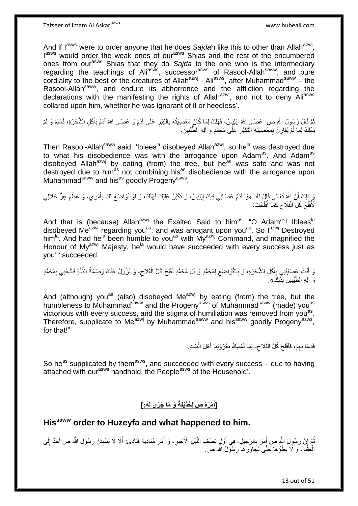And if l<sup>asws</sup> were to order anyone that he does Sajdah like this to other than Allah<sup>azwj</sup>, lasws would order the weak ones of our<sup>asws</sup> Shias and the rest of the encumbered ones from our<sup>asws</sup> Shias that they do Sajda to the one who is the intermediary regarding the teachings of Ali<sup>asws</sup>, successor<sup>asws</sup> of Rasool-Allah<sup>saww</sup>, and pure cordiality to the best of the creatures of Allah $a^{z}$ wj - Ali $a^{ss}$ ws, after Muhammad $a^{saww}$  – the Rasool-Allah<sup>saww</sup>, and endure its abhorrence and the affliction regarding the declarations with the manifesting the rights of Allah<sup>azwj</sup>, and not to deny Aliasws collared upon him, whether he was ignorant of it or heedless'.

نُّمَّ قَالَ رَسُولُ اللَّهِ ص: عَصَمِي اللَّهَ إِبْلِيِسُ، فَهَلَكَ لِمَا كَانَ مَعْصِيَتُهُ بِالْكِبْرِ عَلَى آدَمَ وَ عَصَمى اللَّهَ آدَمُ بِأَكْلِ الشَّجَرَةِ، فَسَلِمَ وَ لَمْ ِ ْ ِ ِ َ ِ يَهْٰلِكُ لِمَا لَمْ يُقَارِنْ بِمَعْصِيَتِهِ النَّكَبُّرَ ۚ عَلَى مُحَمَّدٍ وَ اَلِهِ الطَّيِّبِينَ، ِ **∶** ِ

Then Rasool-Allah<sup>saww</sup> said: 'Iblees<sup>la</sup> disobeyed Allah<sup>azwj</sup>, so he<sup>la</sup> was destroyed due to what his disobedience was with the arrogance upon Adam<sup>as</sup>. And Adam<sup>as</sup> disobeyed Allah<sup>azwj</sup> by eating (from) the tree, but he<sup>as</sup> was safe and was not destroyed due to him<sup>as</sup> not combining his<sup>as</sup> disobedience with the arrogance upon Muhammad<sup>saww</sup> and his<sup>as</sup> goodly Progeny<sup>asws</sup>.

، ذَلِكَ أَنَّ اللَّهَ تَعَالَى فَالَ لَهُ: «يَا آدَمُ عَصَانِي فِيكَ إِبْلِيسُ، وَ تَكَبَّرَ عَلَيْكَ فَهَلَكَ، وَ لَوْ تَوَاضَعَ لَكَ بِأَمْرِي، وَ عَظَّمَ عِزَّ جَلَالِي<br>وَوَيَدِ مُا يَجْ أَنَّهُ تَعَالَى فَئَقَ وَيَقَ َ :<br>نا َ **∶** لَأَفْلَحَ كُلَّ الْفَلَاحِ كَمَّا أَفْلَحْتَ، لَ َ  $\zeta$ ْ لَ

And that is (because) Allah<sup>azwj</sup> the Exalted Said to him<sup>as</sup>: "O Adam<sup>as</sup>! Iblees<sup>la</sup> disobeyed Me<sup>azwj</sup> regarding you<sup>as</sup>, and was arrogant upon you<sup>as</sup>. So l<sup>azwj</sup> Destroyed him<sup>la</sup>. And had he<sup>la</sup> been humble to you<sup>as</sup> with My<sup>azwj</sup> Command, and magnified the Honour of My<sup>azwj</sup> Majesty, he<sup>la</sup> would have succeeded with every success just as vou<sup>as</sup> succeeded.

وَ أَنْتَ عَصَيْتَنِي بِأَكْلِ الشَّجَرَةِ، وَ بِالتَّوَاضُعِ لِمُحَمَّدٍ وَ أَلِ مُحَمَّدٍ تُفْلِحُ كُلَّ الْفَلَاحِ، وَ تَزُولُ عَنْكَ وَصْمَةُ الذِّلَّةِ فَادْعُنِي بِمُحَمَّدٍ َ **∶** َ ه ِ ْ ِ ِ ِ وَ آلِهِ الطَّيِّبِينَ لِذَّلِكَ». **!** 

And (although) you<sup>as</sup> (also) disobeyed Me<sup>azwj</sup> by eating (from) the tree, but the humbleness to Muhammad<sup>saww</sup> and the Progeny<sup>asws</sup> of Muhammad<sup>saww</sup> (made) you<sup>as</sup> victorious with every success, and the stigma of humiliation was removed from you<sup>as</sup>. Therefore, supplicate to Me<sup>azwj</sup> by Muhammad<sup>saww</sup> and his<sup>saww</sup> goodly Progeny<sup>asws</sup>, for that!"

> ِ فَدَعَا بِهِمْ، فَأَفْلَحَ كُلَّ الْفَلَاحِ- لِمَا تُمْسِكُ بِعُرْوَتِنَا أَهْلَ الْبَيْتِ. ْ لَ َ ِ :<br>ا َ ِ

So he<sup>as</sup> supplicated by them<sup>asws</sup>, and succeeded with every success – due to having attached with our<sup>asws</sup> handhold, the People<sup>asws</sup> of the Household'.

#### **ُه:[ َو َما َج َرى لَ ْيفَةَ ْم ُرهُ ص لِ ُحذَ ]أ َ**

# **Hissaww order to Huzeyfa and what happened to him.**

نُّمَّ إِنَّ رَسُولَ اللَّهِ ص أَمَرَ بِالرَّحِيلِ- فِي أَوَّلٍ نِصْفِ اللَّيْلِ الْأَخِيرِ ، وَ أَمَرَ مُنَادِيَهُ فَنَادَى: أَلَا لَا يَسْبِقَنَّ رَسُولَ اللَّهِ ص أَحَدٌ إِلَى **∶** َ ِ ُ ِ َ َ ِ ه لَ ِ َ الْعَقَبَةِ، وَ لَا يَطَؤُهَا حَتَّى يُجَاوِزَهَا رَسُولُ اللَّهِ صِ ِ ْ

13 out of 51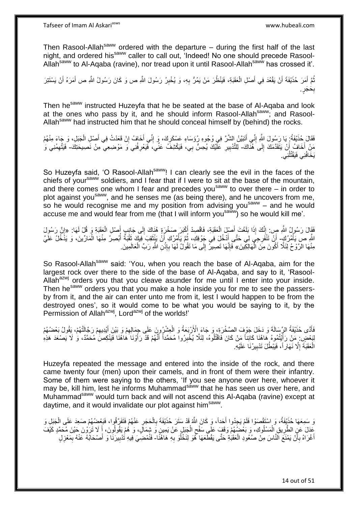Tafseer of Imam Al Askariasws www.hubeali.com

Then Rasool-Allah<sup>saww</sup> ordered with the departure  $-$  during the first half of the last night, and ordered his<sup>saww</sup> caller to call out, 'Indeed! No one should precede Rasool-Allah<sup>saww</sup> to Al-Aqaba (ravine), nor tread upon it until Rasool-Allah<sup>saww</sup> has crossed it'.

نُّمَّ أَمَرَ حُذَيْفَةَ أَنْ يَقْعُدَ فِي أَصْلِ الْعَقَبَةِ، فَيَنْظُرَ مَنْ يَمُرُّ بِهِ، وَ يُخْبِرُ رَسُولَ اللَّهِ ص وَ كَانَ رَسُولُ اللَّهِ ص أَمَرَهُ أَنْ يَسْتَتِرَ ِ ِ ْ َ اً َ ُ َ َ حَجَ ٍر. ِ ب

Then he<sup>saww</sup> instructed Huzeyfa that he be seated at the base of Al-Aqaba and look at the ones who pass by it, and he should inform Rasool-Allah<sup>saww</sup>; and Rasool-Allah<sup>saww</sup> had instructed him that he should conceal himself by (behind) the rocks.

فَقَالَ خُذَيْفَةُ: يَا رَسُولَ الثَّهِ إِنِّي أَتَبَيَّنُ الشَّرَّ فِي وُجُوهِ رُؤَسَاءِ عَسْكَرِكَ، وَ إِنِّي أَخَافُ إِنْ قَعَدْتُ فِي أُصْلِ الْجَبَلِ، وَ جَاءَ مِنْهُمْ ِ َ ِ ِ َ ِ ْ َ مَنْ أَخَافُ أَنْ يَتَقَدَّمَكَ إِلَى هُنَّاكَ- لِلتَّذْبِيرِ عَلَّيْكَ يُحِسُّ بِي، فَيَكْشِفُ عَنِّي، فَيَعْرِفُنِي وَ مَوْضِعِي مِنْ نَصيبحَتِكَ- فَيَتَّهِمُنِي وَ ِ َ **∶ !** ِ ِ يَخَافُنِي فَيَقْتُلُنِي. :<br>إ

So Huzeyfa said, 'O Rasool-Allah<sup>saww</sup>! I can clearly see the evil in the faces of the chiefs of your<sup>saww</sup> soldiers, and I fear that if I were to sit at the base of the mountain, and there comes one whom I fear and precedes you<sup>saww</sup> to over there – in order to plot against you<sup>saww</sup>, and he senses me (as being there), and he uncovers from me, so he would recognise me and my position from advising you<sup>saww</sup> – and he would accuse me and would fear from me (that I will inform you<sup>saww</sup>) so he would kill me'.

فَقَالَ رَسُولُ النَّهِ صِ: إِنَّكَ إِذَا بَلَغْتَ أَصْلِ الْعَقَبَةِ، فَاقْصِدْ أَكْبَرَ صَخْرَةٍ هُنَاكَ إِلَى جَانِبٍ أَصْلِ الْعَقَبَةِ وَ قُلْ لَهَا: «إِنَّ رَسُولِ َ ِ ْ َ ֖֦֦֧֧֦֧֧֦֧֧֦֧֦֧֦֧֧֦֧֧֧֧֦֧֦֧֦֧֦֧֧֧֦֧֦֧֦֧֧֦֧֚֚֚֚֝֟֝֬֝֬֝֝֝֝֬֝֓֝֬֝֝֓֝֬֝֓֝֬֝֓֟֓֟֓֝֓֓֓֓ ْ ِ اللَّهِ ص يَأْمُرُكٍ- أَنْ تَنْفَرِجِيَ لِي حَتَّى أَدْخُلَ فِي جَوْفِكِ، ثُمَّ يَأْمُرُكِ أَنْ يَنْتَقِبَ فَيكَ ثَقْبَةٌ أُبْصِرُ مِنْهَا الْمَارِّينَ، وَ يَذَخُلُ عَلَيَّ **ٔ** ْ ُ َ َ َ ا<br>أ ان<br>المقامات المقامات المقامات المقامات المقامات المقامات المقامات المقامات المقامات المقامات المقامات المقامات<br>المقامات المقامات المقامات المقامات المقامات المقامات المقامات المقامات المقامات المقامات المقامات المقامات َ مِنْهَا الرَّوْحُ لِئَلَّا أَكُونَ مِنَ الْمَهَالِكِّينَ» فَإِنَّهَا تَصِيرُ إِلَى مَا تَقُولُ لَهَا بِإِذْنِ اللَّهِ رَبِّ الْعَالَمِينَ ٔ :<br>. َ ْ **ٔ** ِ ِ ِ

So Rasool-Allah<sup>saww</sup> said: 'You, when you reach the base of Al-Aqaba, aim for the largest rock over there to the side of the base of Al-Aqaba, and say to it, 'Rasool-Allah $a^{2x}$  orders you that you cleave asunder for me until I enter into your inside. Then he<sup>saww</sup> orders you that you make a hole inside you for me to see the passersby from it, and the air can enter unto me from it, lest I would happen to be from the destroyed ones', so it would come to be what you would be saying to it, by the Permission of Allah<sup>azwj</sup>, Lord<sup>azwj</sup> of the worlds!'

فَأَدًى حُذَيْفَةُ الرِّسَالَةَ وَ دَخَلَ جَوْفَ الصَّخْرَةِ، وَ جَاءَ الْأَرْبَعَةُ وَ الْعِشْرُورِزَ عَلَى جِمَالِهِمْ وَ بَيْنَ أَيْدِيهِمْ رَجَّالَتُهُمْ، يَقُولُ بَعْضُهُمْ ِ ْ َ ِ َ لِبَعْضٍ بِمَنْ رَأَيْتُمُوهُ ۪هَاهُنَا كَائِناً مَنْ كَانَ فَاقْتُلُوهُ، لِئَلَّا يُخْبِرُوا مُحَمَّداً أَنَّهُمْ قَدْ رَأَوْنَا هَاهُنَا فَيَنْكِصَنَ مُحَمَّدٌ، وَ لَا يَصْعَدَ هَذِهِ َ َ ِ الْعَقَبَةَ إِلَّا نَـهَاراً، فَيَبْطُلَ تَدْبِيرُنَا عَلَيْهِ ِ ْ **!** 

Huzeyfa repeated the message and entered into the inside of the rock, and there came twenty four (men) upon their camels, and in front of them were their infantry. Some of them were saying to the others, 'If you see anyone over here, whoever it may be, kill him, lest he informs Muhammad<sup>saww</sup> that he has seen us over here, and Muhammad<sup>saww</sup> would turn back and will not ascend this Al-Aqaba (ravine) except at daytime, and it would invalidate our plot against him<sup>saww</sup>.

وَ سَمِعَهَا حُذَيْفَةُ، وَ اسْتَقْصَوْا فَلَمْ يَجِدُوا أَحَداً، وَ كَانَ اللَّهُ قَدْ سَتَرَ حُذَيْفَةَ بِالْحَجَرِ عَنْهُمْ فَتَفَرَّقُوا، فَبَعْضُهُمْ صَعِدَ عَلَى الْجَبَلِ وَ ِ ْ ِ ْ عَدَلَ عَنِ الطَّرِيقِ الْمَسْلُوكِ، وَ بَعْضُهُمْ وَقَفٍ عَلَى سَفْحِ الْجَنَارِ عَنْ يَمِينٍ وَ شِمَالَ، وَ هُمْ يَقُولُونَ، أَ لَا تَرَوُنَ حَيْنَ مُحَمَّدٍ كَيْفَ<br>يَسْتَمَرَّلَ عَنِ الطَّرِيقِ الْمَسْلُوكِ، وَ بَعْضُهُ ْ ِ ْ ِ َ أَغْرَاهُ بِأَنْ يَمْنَعَ النَّاسَ مِنْ صُعُودِ الْعَقَبَٰةِ حَتَّى يَقْطِّعَهَا هُوَ لِنَخْلُوَ بِهِ هَاهُنًّا- فَنُمْضِيَ فِيهِ تُذْبِيرَنَا وَ أَصْحَابُهُ عَنْهُ بِمَعْزِلٍ **∶** ُ ْ َ **∶** ِ َ ِ ِ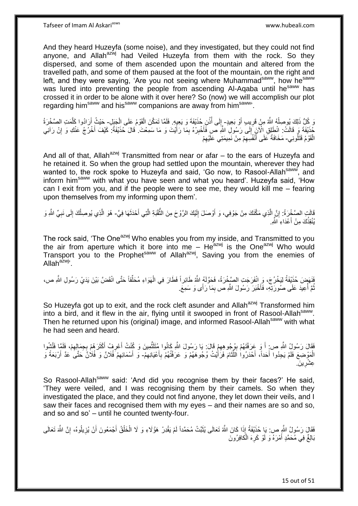And they heard Huzeyfa (some noise), and they investigated, but they could not find anyone, and Allah<sup>azwj</sup> had Veiled Huzeyfa from them with the rock. So they dispersed, and some of them ascended upon the mountain and altered from the travelled path, and some of them paused at the foot of the mountain, on the right and left, and they were saying, 'Are you not seeing where Muhammad<sup>saww</sup>, how he<sup>saww</sup> was lured into preventing the people from ascending Al-Aqaba until he<sup>saww</sup> has crossed it in order to be alone with it over here? So (now) we will accomplish our plot regarding him<sup>saww</sup> and his<sup>saww</sup> companions are away from him<sup>saww</sup>.

رَ كُلُّ ذَلِكَ يُوصِلُهُ اللَّهُ مِنْ قَرِيبٍ أَوْ بَعِيدٍ- إِلَى أُذُنِ حُذَيْفَةَ وَ يَعِيدٍ. فَلَمَّا تَمَكَّنَ الْقَوْمُ عَلَى الْجَبَلِ- حَيْثُ أَرَادُوا كَلَّمَتِ الصَّخْرَةُ ِ ا<br>ا ُ ِ ْ ْ ه َ خَذْفَةَ <sub>فَي</sub> قَالَتْ: انْطَلِقِ الْآنَ إِلَى رَسُولِ اللَّهِ صَ فَأَخْبِرْهُ بِمَا رَأَيْتَ وَ مَا سَمِعْتَ ٰ قَالَ حُذَيْفَةُ: كَيْفَ أَخْرُجُ عَنْكِ وَ إِنْ رَآنِيَ<br>مِنَاهِ مَعْ الْفَرْجُ יִי (ו َ ِ ِ ِ َ الْقَوْمُ قَتَلُونِي- مَخَافَةً عَلَى أَنْفُسِهِمْ مِنْ نَمِيمَتِي عَلَيْهِمْ ِ ِ َ

And all of that, Allah<sup>azwj</sup> Transmitted from near or afar  $-$  to the ears of Huzeyfa and he retained it. So when the group had settled upon the mountain, wherever they had wanted to, the rock spoke to Huzeyfa and said, 'Go now, to Rasool-Allah<sup>saww</sup>, and inform him<sup>saww</sup> with what you have seen and what you heard'. Huzeyfa said, 'How can I exit from you, and if the people were to see me, they would kill me – fearing upon themselves from my informing upon them'.

قَالَتِ الصَّخْرَةُ: إِنَّ الَّذِي مَكَّنَكَ مِنْ جَوْفِي، وَ أَوْصَلَ إِلَيْكَ الرَّوْحَ مِنَ الثَّقْبَةِ الَّتِي أَحْدَثَهَا فِيَّ- هُوَ الَّذِي يُوصِلُكَ إِلَى نَبِيِّ الثَّهِ وَ لَ ِ اُ ه **׀** َ َ ه **∶** ِ ُ ه يُنْقِذُكَ مِنْ أَعْدَاءِ اللَّهِ. َ

The rock said, 'The One<sup>azwj</sup> Who enables you from my inside, and Transmitted to you the air from aperture which it bore into me – He $^{a}$ zwj is the One $^{a}$ zwj Who would Transport you to the Prophet<sup>saww</sup> of Allah<sup>azwj</sup>, Saving you from the enemies of Allah<sup>azwj,</sup>

فَنَهَضَ حُذَيْفَةُ لِيَخْرُجَ، وَ ِانْفَرَجَتِ الصَّخْرَةُ، فَحَوَّلَهُ اللَّهُ طَائِراً فَطَارَ فِي الْهَوَاءِ مُحَلِّقاً حَتَّى انْقَضَّ بَيْنَ يَدَيْ رَسُولِ اللَّهِ ص، ِّ ْ نُّمَّ أُعِيدَ عَلَى صُورَتِهِ، فَأَخْبَرَ رَسُولَ اللَّهِ ص بِمَا رَأَى وَ سَمِعَ. ِ َ ُ

So Huzeyfa got up to exit, and the rock cleft asunder and Allah<sup>azwj</sup> Transformed him into a bird, and it flew in the air, flying until it swooped in front of Rasool-Allah<sup>saww</sup>. Then he returned upon his (original) image, and informed Rasool-Allah<sup>saww</sup> with what he had seen and heard.

ْفَقَالَ رَسُولُ اللَّهِ ص: أَ وَ عَرَفْتَهُمْ بِهُجُوهِهِمْ قَالَ: يَا رَسُولَ اللَّهِ كَانُوا مُتَلَثُّمِينَ وَ كُنْتُ أَعْرِفُ أَكْثَرَهُمْ بِجِمَالِهِمْ، فَلَمَّا فَتَّشُوا ِّ ِ ِ َ ِ َ َ ِ َ الْمَوْضِعَ فَلَمْ يَجِدُوا أَحَداً، أَحْدَرُوا اللَّثَامَ فَرَأَيْتُ وُجُوهَهُمْ وَ عَرَفْتُهُمْ بِأَعْيَانِهِمْ- وَ أَسْمَائِهِمْ فُلَانٌ وَ فُلَانٌ كَتَّى عَدَّ أَرْبَعَةً وَ ِ َ ِ َ ٔ, ِّ َ َ ِ َ ي ِ عِشْرِينَ.

So Rasool-Allah<sup>saww</sup> said: 'And did you recognise them by their faces?' He said, 'They were veiled, and I was recognising them by their camels. So when they investigated the place, and they could not find anyone, they let down their veils, and I saw their faces and recognised them with my eyes – and their names are so and so, and so and so' – until he counted twenty-four.

ْ فَقَالَ رَسُولُ اللَّهِ ص: يَا حُذَيْفَةُ إِذَا كَانَ اللَّهُ تَعَالَى يُثَبِّتُ مُحَمَّداً لَمْ يَقْدِرْ هَؤُلَاءِ وَ لَا الْخَلْقُ أَجْمَعُونَ أَنْ يُزِيلُوهُ، إِنَّ اللَّهَ تَعَالَى لَ َ ِ **ٍ** َ َ ْ بَالِغٌ فِي مُحَمَّدٍ أَمْرَهُ وَ لَوْ كَرِهَ الْكافِرُونَ َ ْ **∶**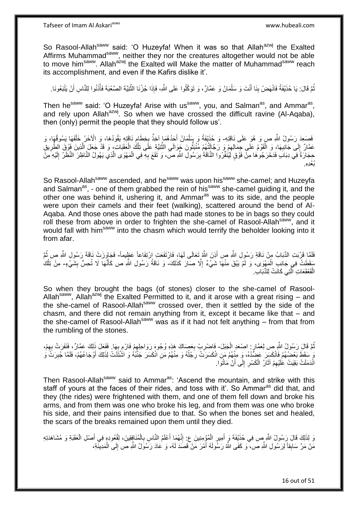Tafseer of Imam Al Askariasws www.hubeali.com

So Rasool-Allah<sup>saww</sup> said: 'O Huzeyfa! When it was so that Allah<sup>azwj</sup> the Exalted Affirms Muhammad<sup>saww</sup>, neither they nor the creatures altogether would not be able to move him<sup>saww</sup>. Allah<sup>azwj</sup> the Exalted will Make the matter of Muhammad<sup>saww</sup> reach its accomplishment, and even if the Kafirs dislike it'.

نْمَّ قَالَ: يَا حُذَيْفَةُ فَانْهَضْ بِنَا أَنْتَ وَ سَلْمَانُ وَ عَمَّارٌ، وَ تَوَكَّلُوا عَلَى اللَّهِ، فَإِذَا جُزْنَا الثَّنِيَّةَ الصَّعْبَةَ فَأَذَنُوا لِلنَّاسِ أَنْ يَتْبَعُونَا. ْ َ ِ ُ اُ ْ ه

Then he<sup>saww</sup> said: 'O Huzeyfa! Arise with us<sup>saww</sup>, you, and Salman<sup>as</sup>, and Ammar<sup>as</sup>, and rely upon Allah $a^{2}$ , So when we have crossed the difficult ravine (Al-Aqaba), then (only) permit the people that they should follow us'.

نَصَعِدَ رَسُولُ اللَّهِ صِ وَ هُوَ عَلَى نَاقَتِهِ- وَ حُذَيْفَةُ وَ بِبَلْمَانُ أَحَدُهُمَا آخِذٌ بِخِطَامٍ نَاقَتِهِ يَقُودُهَا، وَ الْأَخَرُ خَلْفَهَا يَسُوقُهَا، وَ ْ ِ ِ َ ْ عَقَالٌ إِلَى جَانِبِهَا، وَ الْقَوْمُ عَلَى جِمَالِهِمْ وَ رَجَالَتُهُمْ مُنْبَثُّونَ جَوَالَي الثَّنِيَّةِ عَلَى تِلْكَ الْعَقَبَاتِ، وَ قَدْ جَعَلَ الْذِينَ فَوْقَ الطَّرِيقِ ْ ه ِ ُّ  $\ddot{\xi}$ ْ **∶** ِ ْ ِ ه حِجَارَةً فِي دِبَابَ فَدَحْرَجُوهَا مِنْ فَوْقٍ لَيُنْفِّرُوا النَّاقَةُ بِرَسُولِ النَّهِ صَّ، وَ تَقَعَ بِهِ فِي الْمَهْوَى الَّذِي يَهُولُ النَّاظِرَ النَّظَرُ إِلَيْهِ مِنْ ْ **∶** ِ لَ ِ ه .<br>ئىغدە

So Rasool-Allah<sup>saww</sup> ascended, and he<sup>saww</sup> was upon his<sup>saww</sup> she-camel; and Huzeyfa and Salman<sup>as</sup>, - one of them grabbed the rein of his<sup>saww</sup> she-camel guiding it, and the other one was behind it, ushering it, and Ammar<sup>as</sup> was to its side, and the people were upon their camels and their feet (walking), scattered around the bend of Al-Aqaba. And those ones above the path had made stones to be in bags so they could roll these from above in order to frighten the she-camel of Rasool-Allah<sup>saww</sup>, and it would fall with him<sup>saww</sup> into the chasm which would terrify the beholder looking into it from afar.

فَلَمَّا قَرُبَتِ الدِّبَابُ مِنْ نَاقَةِ رَسُولِ اللَّهِ صِ أَذِنَ اللَّهُ تَعَالَى لَمَهَا، فَارْتَفَعَتِ ارْتِفَاعاً عَظٍيماً- فَجَاوَزَتْ نَاقَةَ رَسُولِ اللَّهِ ص ثُمَّ َ ا<br>ا مَقَطَتْ فِي جَانِبِ الْمَهْوَى، وَ لَمْ يَبْقَ مِنْهَا شَيْءٌ إِلَّا صَالَ كَذَلِكَ- وَ نَاقَةُ رَسُولِ اللّهِ ص كَأَنَّهَا لَا تُحِسُّ بِشَيْءٍ- مِنْ تِلْكُ ْ ِ ِ َ ْ الْقَعْقَعَاتِ الَّتِي كَانَتْ لِلدِّبَابِ. ْ ه

So when they brought the bags (of stones) closer to the she-camel of Rasool-Allah<sup>saww</sup>, Allah<sup>azwj</sup> the Exalted Permitted to it, and it arose with a great rising – and the she-camel of Rasool-Allah<sup>saww</sup> crossed over, then it settled by the side of the chasm, and there did not remain anything from it, except it became like that – and the she-camel of Rasool-Allah<sup>saww</sup> was as if it had not felt anything  $-$  from that from the rumbling of the stones.

نُّمَّ قَالَ رَسُولُ اللَّهِ صِ لِعَمَّارٍ. اصْعَدِ الْجَبَلَ- فَاضْرِبْ بِعَصَاكَ هَذِهِ وُجُوهَ رَوَاحِلِهِمْ فَارْمِ بِهَا. فَفَعَلَ ذَلِكَ عَمَّارٌ، فَنَفَرَتْ بِهِمْ، ْ ُ ِ ِ ِ ¦ ِ  $\frac{1}{2}$ ِ ۚ سَقَطَ بَعْضُهُمْ فَانْكَسَرَ عَضُّدُهُ، وَ مِنْهُمْ مَنِ انْكَسَرَتْ رِجُلُهُ وَ مِنْهُمْ مَنِ انْكَسَرَ جَنْبُهُ وَ اشْتَتَّتْ لِذَلِكَ أَوْجَاعُهُمْ، فَلَمَّا جُبِرَتَّ وَ ا<br>ا ِ َ ِ انْدَمَلَتْ بَقِيَتْ عَلَيْهِمْ آثَارُ الْكَسْرِ إِلَى أَنْ مَاتُوا. اُ  $\frac{1}{2}$ **∶** ْ َ ِ

Then Rasool-Allah<sup>saww</sup> said to Ammar<sup>as</sup>: 'Ascend the mountain, and strike with this staff of yours at the faces of their rides, and toss with it'. So Ammar<sup>as</sup> did that, and they (the rides) were frightened with them, and one of them fell down and broke his arms, and from them was one who broke his leg, and from them was one who broke his side, and their pains intensified due to that. So when the bones set and healed, the scars of the breaks remained upon them until they died.

وَ لِذَلِكَ قَالَ رَسُولُ اللَّهِ ص فِي حُذَيْفَةَ وَ أَمِيرِ الْمُؤْمِنِينَ عِ ۚ إِنَّهُمَا أَعْلَمُ النَّاسِ بِالْمُنَافِقِينَ، لِقُعُودِهِ فِي أَصْلِ الْعَقَبَةِ وَ مُشَاهَدَتِهِ ْ **∶** َ ِ ْ ِ َ ْ َ مَنْ مَرَّ سَابِقاً لِرَسُولِ اللَّهِ ص، ۖ وَ كَفَى اللَّهُ رَسُولَهُ أَمْرَ مَنْ قَصَدَ لَهُ، وَ عَادَ رَسُوَلُ اللَّهِ ص إِلَى الْمَدِينَّةِ، ْ ِ َ **ِ**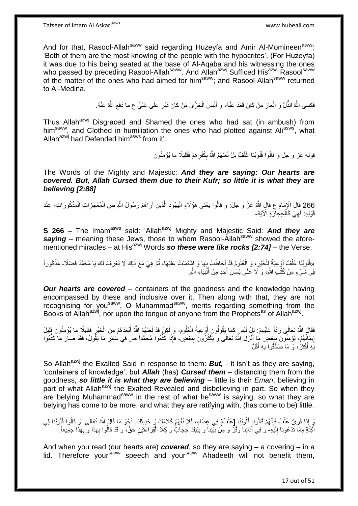And for that, Rasool-Allah<sup>saww</sup> said regarding Huzeyfa and Amir Al-Momineen<sup>asws</sup>: 'Both of them are the most knowing of the people with the hypocrites'. (For Huzeyfa) it was due to his being seated at the base of Al-Aqaba and his witnessing the ones who passed by preceding Rasool-Allah<sup>saww</sup>. And Allah<sup>azwj</sup> Sufficed His<sup>azwj</sup> Rasool<sup>saww</sup> of the matter of the ones who had aimed for him<sup>saww</sup>; and Rasool-Allah<sup>saww</sup> returned to Al-Medina.

> فَكَسَى اللَّهُ الذَّلَّ وَ الْعَارَ مَنْ كَانَ قَعَدَ عَنْهُ، وَ أَلْبَسَ الْخِزْيَ مَنْ كَانَ دَبَّرَ عَلَى عَلِيٍّ ع مَا دَفَعَ اللَّهُ عَنْهُ. ْ ْ َ ْ

Thus Allah<sup>azwj</sup> Disgraced and Shamed the ones who had sat (in ambush) from him<sup>saww</sup>, and Clothed in humiliation the ones who had plotted against Ali<sup>asws</sup>, what Allah<sup>azwj</sup> had Defended him<sup>asws</sup> from it'.

> قوله عز و جل وَ قالُوا قُلُوبُنا غُلْفٌ بَلْ لَعَنَهُمُ اللَّهُ بِكُفْرِ هِمْ فَقَلِيلًا ما يُؤْمِنُونَ ِ ْ **ٍ**

The Words of the Mighty and Majestic: *And they are saying: Our hearts are covered. But, Allah Cursed them due to their Kufr; so little it is what they are believing [2:88]*

266 قَالَ الْإِمَامُ ع قَالَ اللَّهُ عَنَّ وَ جَلَّ: وَ قالُوا يَعْنِي هَؤُلَاءِ الْيَهُودَ الَّذِينَ أَرَاهُمْ رَسُولُ اللَّهِ ص الْمُعْجِزَاتِ الْمَذْكُورَاتِ عِنْدَ ْ ْ َ ه :<br>ا قَوْلِهِ: فَهِيَ كَالْحِجارَةِ الْآيَةَ-ْ ِ

**S 266 –** The Imam<sup>asws</sup> said: 'Allah<sup>azwj</sup> Mighty and Majestic Said: And they are saying – meaning these Jews, those to whom Rasool-Allah<sup>saww</sup> showed the aforementioned miracles – at His<sup>azwj</sup> Words so these were like rocks [2:74] – the Verse.

«قُلُوبُنَا عُلُفٌ أَوْعِيَةٌ لِلْخَيْرِ، وَ الْعُلُومُ قَدْ أَحَاطَتْ بِهَا وَ اشْتَمَلَتْ عَلَيْهَا، ثُمَّ هِيَ مَعَ ذَلِكَ لَا تَعْرِفُ لَكَ يَا مُحَمَّدُ فَضْلَا- مَذْكُوراً ان<br>المقامات المقامات المقامات المقامات المقامات المقامات المقامات المقامات المقامات المقامات المقامات المقامات<br>المقامات المقامات المقامات المقامات المقامات المقامات المقامات المقامات المقامات المقامات المقامات المقامات **∶** َ ْ ْ ا<br>ا فِي شَيْءٍ مِنْ كُتُبِ اللَّهِ، وَ لَا عَلَى لِسَانِ أَحَدٍ مِنْ أَنْبِيَاءِ اللَّهِ. **!** َ َ

**Our hearts are covered** – containers of the goodness and the knowledge having encompassed by these and inclusive over it. Then along with that, they are not recognising for you<sup>saww</sup>, O Muhammad<sup>saww</sup>, merits regarding something from the Books of Allah<sup>azwj</sup>, nor upon the tongue of anyone from the Prophets<sup>as</sup> of Allah<sup>azwj</sup>.

فَقَالَ اللَّهُ تَعَالَى رَدّاً عَلَيْهِمْ: بَلِ لَيْسَ كَمَا يَقُولُونَ أَوْعِيَةُ الْعُلُومِ- وَ لَكِنْ قَدْ لَعَنَهُمُ اللَّهُ أَبْعَدَهُمْ مِنَ الْخَيْرِ فَقَلِيلٌ ما يُؤْمِنُونَ قَلِيلٌ ِ ِ ْ اُ ِ ْ إِيمَانُهُمْ، يُؤْمِنُونَ بِبَعْضِ مَا أَنْزَلَ اللَّهُ تَعَالَى وَ يَكْفُرُونَ بِبَعْضٍ، فَإِذَا كَذَّبُوا مُحَمَّداً ص فِي سَائِرِ مَا يَقُولُ، فَقَدْ صَارَ مَا كَذَّبُوا َ ِ <u>֖֚֚֚֚֚֚֓</u> ِ ِ بِّهِ أَكْثَرُ، وَ مَا صَدَّقُوا بِهِ أَقَلَّ **∶** ن<br>با **∶** 

So Allah<sup>azwj</sup> the Exalted Said in response to them: **But,** - it isn't as they are saying, 'containers of knowledge', but *Allah* (has) *Cursed them* – distancing them from the goodness, *so little it is what they are believing* – little is their *Eman*, believing in part of what Allah<sup>azwj</sup> the Exalted Revealed and disbelieving in part. So when they are belying Muhammad<sup>saww</sup> in the rest of what he<sup>saww</sup> is saying, so what they are belying has come to be more, and what they are ratifying with, (has come to be) little.

نَي إِذَا قُرِيَ غُلْفٌ فَإِنَّهُمْ قَالُوا: قُلُوبُنَا [غُلْفٌ] فِي غِطَاءٍ، فَلَا نَفْهَمُ كَلَامَكَ وَ حَدِيثَكَ. نَحْوَ مَا قَالَ اللَّهُ تَعَالَى: وَ قالُوا قُلُوبُنا فِي ْ ِ ْ ِ ُ َ أَكِنَّةٍ مِمَّا تَدْعُونا إِلَيْهِ- وُ فِي آذانِنا وَقْرٌ وَ مِنْ بَيّْنِنا وَ بَيْنِكَ حِجابٌ وَ كِلَا الْقِرَاءَتَيْنِ حَقٌّ، وَ قَدْ قَالُوا بِهَذَا وَ بِهَذَا جَمِيعاً. لَ  $\frac{1}{2}$ ِ **∶** ْ

And when you read (our hearts are) *covered*, so they are saying – a covering – in a lid. Therefore your<sup>saww</sup> speech and your<sup>saww</sup> Ahadeeth will not benefit them,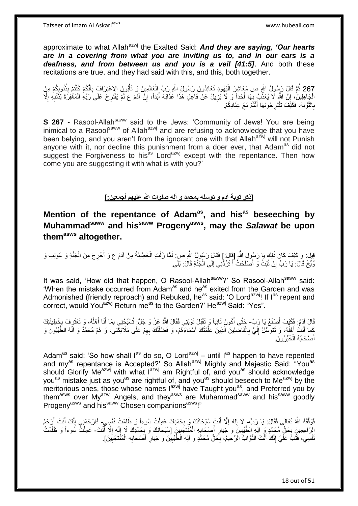approximate to what Allah<sup>azwj</sup> the Exalted Said: **And they are saying, 'Our hearts** *are in a covering from what you are inviting us to, and in our ears is a deafness, and from between us and you is a veil [41:5]*. And both these recitations are true, and they had said with this, and this, both together.

267 ثُمَّ قَالَ رَسُولُ اللَّهِ ص مَعَاشِرَ الْيَهُودِ تُعَانِدُونَ رَسُولَ اللَّهِ رَبِّ الْعَالَمِينَ وَ تَأْبُونَ الإعْتِرَافَ بِأَنَّكُمْ كُنْتُمْ بِذُنُوبِكُمْ مِنَ ِ :<br>: ِ ه َ ْ ْ الْجَاهِلِينَ، إِنَّ اللَّهَ لَا يُعَذِّبُ بِهَا أَحَداً وَ لَا يُزِيلُ عَنْ فَاعِلِ هَذَا عَذَابَهُ أَبَداً، إِنَّ آدَمَ ع لَمْ يَقْتَرِحْ عَلَى َرَبِّهِ الْمَغْفِرَةَ لِذَنْبِهِ إِلَّا ِ َ ِ َ **∶** ا ِ **∶** ْ ِ بِالتَّوْبَةِ، فَكَيْفَ تَقْتَرِ حُونَهَا أَنْثُمْ مَعَ عِنَادِكُمْ. َ ِ **∶** 

**S 267 -** Rasool-Allah<sup>saww</sup> said to the Jews: 'Community of Jews! You are being inimical to a Rasool<sup>saww</sup> of Allah<sup>azwj</sup> and are refusing to acknowledge that you have been belying, and you aren't from the ignorant one with that Allah<sup>azwj</sup> will not Punish anyone with it, nor decline this punishment from a doer ever, that Adam<sup>as</sup> did not suggest the Forgiveness to his<sup>as</sup> Lord<sup>azwj</sup> except with the repentance. Then how come you are suggesting it with what is with you?'

**]ذكر توبة آدم و توسله بمحمد و آله صلوات هللا عليهم أجمعين:[**

**Mention of the repentance of Adamas, and hisas beseeching by Muhammadsaww and hissaww Progenyasws, may the** *Salawat* **be upon themasws altogether.**

قِيلَ: وَ كَيْفَ كَانَ ذَلِكَ يَا رَسُولَ اللَّهِ [قَالَ:] فَقَالَ رَسُولُ اللَّهِ صِ لَمَّا زَلَّتِ الْخَطِيئَةُ مِنْ آدَمَ ع وَ أُخْرِجَ مِنَ الْجَنَّةِ وَ عُونِبَ وَ ه ْ ِ ا<br>ا ْ رُبِّخَ قَالَ: يَا رَبِّ إِنْ تُبْتُ وَ أَصْلَحْتُ أَ تَرُدُّنِي إِلَى الْجَنَّةِ قَالَ: بَلَى. َ ֧<u>׀</u> ْ ِ َ

It was said, 'How did that happen, O Rasool-Allah<sup>saww</sup>?' So Rasool-Allah<sup>saww</sup> said: When the mistake occurred from Adam<sup>as</sup> and he<sup>as</sup> exited from the Garden and was Admonished (friendly reproach) and Rebuked, he<sup>as</sup> said: 'O Lord<sup>azwj</sup>! If I<sup>as</sup> repent and correct, would You<sup>azwj</sup> Return me<sup>as</sup> to the Garden?' He<sup>azwj</sup> Said: "Yes".

قَالَ آدَمُ: فَكَيْفَ أَصِنْعُ يَا رَبِّ- جَتَّى أَكُونَ تَائِباً وَ تَقْبَلَ تَوْبَنِي فَقَالَ اللَّهُ عَزَّ وَ جَلَّ تُسَبِّحُنِي بِمَا أَنَا أَهْلُهُ، وَ تَعْتَرِفُ بِخَطِيئَتِكَ َ َ َ ِ َ ِ ِ ُ كَمَا أَنْتُ أَهْلُهُ، وَ تَتَوَسَّلُ إِلَيَّ بِالْفَاضِلِينَ الَّذِينَ عَلَّمْتُكَ أَسْمَاءَهُمْ، وَ فَضَّلْتُكَ بِهِمْ عَلَى مَلَائِكِّتِيَ، وَ هُمْ مُحَمَّدٌ وَ آَلُهُ الطَّيِّبُونَ وَ ِ ْ َ ه ه ْ ِ لَ  $\frac{1}{2}$ ا<br>ا َ ۬<sup>ّ</sup> ا<br>ا أَصْحَابُهُ الْخَيِّرُونَ. ْ َ

Adam<sup>as</sup> said: 'So how shall l<sup>as</sup> do so, O Lord<sup>azwj</sup> – until l<sup>as</sup> happen to have repented and my<sup>as</sup> repentance is Accepted?' So Allah<sup>azwj</sup> Mighty and Majestic Said: "You<sup>as</sup> should Glorify Me<sup>azwj</sup> with what l<sup>azwj</sup> am Rightful of, and you<sup>as</sup> should acknowledge you<sup>as</sup> mistake just as you<sup>as</sup> are rightful of, and you<sup>as</sup> should beseech to Me<sup>azwj</sup> by the meritorious ones, those whose names lazwi have Taught you<sup>as</sup>, and Preferred you by them<sup>asws</sup> over My<sup>azwj</sup> Angels, and they<sup>asws</sup> are Muhammad<sup>saww</sup> and his<sup>saww</sup> goodly Progeny<sup>asws</sup> and his<sup>saww</sup> Chosen companions<sup>asws</sup>!"

فَوَقَّقَهُ اللَّهُ تَعَالَى فَقَالَ: يَا رَبِّ- لَا إِلَهَ إِلَّا أَنْتَ سُبْحَانَكَ وَ بِحَمْدِكَ عَمِلْتُ سُوءاً وَ ظَلَمْتُ نَفْسِي- فَارْحَمْنِي إِنَّكَ أَنْتَ أَرْحَمُ ْ **∶** َ ِ لَ  $\frac{1}{2}$ َ َ  $\frac{1}{2}$ الرَّاحِمِينَ بِحَقٌّ مُحَمَّدٍ وَ ٱللِّهِ الطَّيِّبِينَ وَ خِيَارٍ أَصْحَابِهِ الْمُنْتَجَبِينَ [سُبْحَانَكَ وَ بِحَمْدِكَ لَا إِلَهَ إِلَّا أَنْتَ- عَمِلْتٌ سُوءاً وَ ظَلَمْتُ ِ َ ا<br>ا لَ ِ ِ ِ ْ **∶** َ **∶**  ِ ْ نَفْسِي، فَتُبْ عَلَيَ إِنَّكَ أَنْتَ التَّوَّابُ الرَّحِيمُ، بِحَقِّ مُحَمَّدٍ وَ آلِهِ الطَّيِّبِينَ وَ خِيَارِ أَصْحَابِهِ الْمُنْتَجَبِينَ]. َ ֺ֧֖ׅ֧ׅ֧֧֚֚֚֚֚֚֚֚֚֚֚֚֚֚֝֝֬֓֡֡֓֡֟֡֡֡֡֡֡֬֓֡֟֓֡֟֓֡֟֓֡֡֡֬֩֓֓֩ **∶** َ **∶** ِ ِ ِ ْ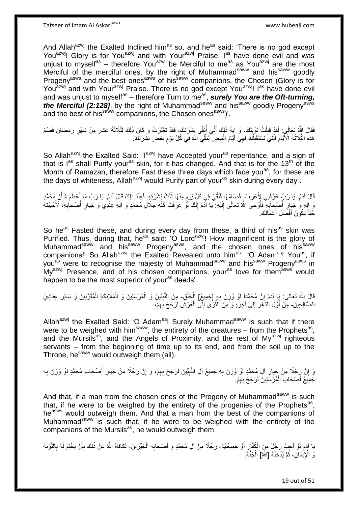And Allah<sup>azwj</sup> the Exalted Inclined him<sup>as</sup> so, and he<sup>as</sup> said: 'There is no god except You<sup>azwj</sup>! Glory is for You<sup>azwj</sup> and with Your<sup>azwj</sup> Praise. I<sup>as</sup> have done evil and was unjust to myself<sup>as</sup> – therefore You<sup>azwj</sup> be Merciful to me<sup>as</sup> as You<sup>azwj</sup> are the most Merciful of the merciful ones, by the right of Muhammad<sup>saww</sup> and his<sup>saww</sup> goodly Progeny<sup>asws</sup> and the best ones<sup>asws</sup> of his<sup>saww</sup> companions, the Chosen (Glory is for You<sup>azwj</sup> and with Your<sup>azwj</sup> Praise. There is no god except You<sup>azwj</sup>! I<sup>as</sup> have done evil and was unjust to myself<sup>as</sup> – therefore Turn to me<sup>as</sup>, **surely You are the Oft-turning,** *the Merciful [2:128]*, by the right of Muhammad<sup>saww</sup> and his<sup>saww</sup> goodly Progeny<sup>asws</sup> and the best of his<sup>saww</sup> companions, the Chosen ones<sup>asws</sup>)'.

فَقَالَ الثَّهُ تَعَالَىِ: لَقَدْ قَبِلْتُ تَوْبَنَكَ، وَ آيَةُ ذَلِكَ أَنَّى أَنَفِّى يَشْرَتَكَ، فَقَدْ تَغَيَّرَتْ وَ كَانَ ذَلِكَ لِثَلَاثَةَ عَشْرَ مِنْ شَهْرِ رَمَضَانَ فَصُمْ ُ ْ ِ ِ هَذِهِ الثَّلَاثَةَ الْأَيَّامِ الَّتِي تَسْتَقْبِلُكَ فَهِيَ أَيَّامُ الْبِيضِ يُنَقِّي اللَّهُ فِي كُلِّ يَوْمِ بَعْضَ بَشَرَتِكَ. اُ ِ ه ِ **!** ْ َ ِ ֧֧֖֧֖֧֖֧֧֧֧֧֧֧֧֧֧֧֧֚֚֚֓֝֝֝֝֝֟֓֝֓֬֝֓֝֬֟֓֟֓֝֬֟֓֟֓֝֬֝֬֝֓֟֓֝֬֜֝֬֝֓֝֬֝֓

So Allah<sup>azwj</sup> the Exalted Said: "I<sup>azwj</sup> have Accepted your<sup>as</sup> repentance, and a sign of that is l<sup>as</sup> shall Purify your<sup>as</sup> skin, for it has changed. And that is for the 13<sup>th</sup> of the Month of Ramazan, therefore Fast these three days which face you<sup>as</sup>, for these are the days of whiteness, Allah<sup>azwj</sup> would Purify part of your<sup>as</sup> skin during every day".

قَالَ آدَمُ: يَا رَبِّ عَرِّفْنِي لِأَعْرِفَ قَصَامَهَا فَنُقِّيَ فِي كُلٍّ يَوْمِ مِنْهَا ثُلُثُ بَشَرَتِهِ. فَعِنْدَ ذَلِكَ قَالَ آدَمُ: يَا رَبِّ مَا أَعْظَمَ شَأْنَ مُحَمَّدٍ ِ ان<br>المعالم م ْ َ نَ آلِهِ وَ خَيَارِ أَصْدِّابِهِ ۖ فَأَوْحَى اللَّهُ تَعَالَى إِلَيْهِ: ۖ يَا أَدَمُ إِنَّكَ لَوُّ عَرَفْتَ كُنْهَ جَلَالِ مُحَمَّدٍ وَ آلِهِ عِنْدِي وَ خِيَارِ أَصْحَابِهِ، لَأَحْبَبْنَهُ ِ لَ ِ َ ِ َ **∶** ِ َ ِ حُبّاً يَكُونُ أَفْضَلَ أَعْمَالِكَ.

So he<sup>as</sup> Fasted these, and during every day from these, a third of his<sup>as</sup> skin was Purified. Thus, during that, he<sup>as</sup> said: 'O Lord<sup>azwj</sup>! How magnificent is the glory of Muhammad<sup>saww</sup> and his<sup>saww</sup> Progeny<sup>asws</sup>, and the chosen ones of his<sup>saww</sup> companions!' So Allah<sup>azwj</sup> the Exalted Revealed unto him<sup>as</sup>: "O Adam<sup>as</sup>! You<sup>as</sup>, if you<sup>as</sup> were to recognise the majesty of Muhammad<sup>saww</sup> and his<sup>saww</sup> Progeny<sup>asws</sup> in  $Mv^{azwj}$  Presence, and of his chosen companions, your<sup>as</sup> love for themasws would happen to be the most superior of your<sup>as</sup> deeds'.

قَالَ اللَّهُ تَعَالَى: يَإِ آدَمُ إِنَّ مُحَمَّداً لَوْ وُزِنَ بِهِ [جَمِيعُ] الْخَلْقِ- مِنَ النَّبِيِّينَ وَ الْمُرْسَلِينَ وَ الْمَلَائِكَةِ الْمُقَرَّبِينَ وَ سَائِرِ عِبَادِيَ ِ **∶** لَ ِ ْ ِ ِ ْ ْ ْ ِ الصَّالِحِينَ- مِنْ أَوَّلِ الذَّهْرِ إِلَى آخِرِهِ وَ مِنَ الثَّرَى إِلَّى الْعَرْشِ لَرَجَحَ بِهِمْ، ِ ْ  $\frac{1}{2}$ ه **∶**  $\frac{1}{2}$ ِ َ

Allah<sup>azwj</sup> the Exalted Said: 'O Adam<sup>as</sup>! Surely Muhammad<sup>saww</sup> is such that if there were to be weighed with him<sup>saww</sup>, the entirety of the creatures  $-$  from the Prophets<sup>as</sup>, and the Mursils<sup>as</sup>, and the Angels of Proximity, and the rest of My<sup>azwj</sup> righteous servants – from the beginning of time up to its end, and from the soil up to the Throne, hesaww would outweigh them (all).

نَ إِنَّ رَجُلًا مِنْ خِيَارِ آلِ مُحَمَّدٍ لَوْ وُزِنَ بِهِ جَمِيعُ آلِ النَّبِيِّينَ لَرَجَحَ بِهِمْ، وَ إِنَّ رَجُلًا مِنْ خِيَارِ أَصْحَابِ مُحَمَّدٍ لَوْ وُزِنَ بِهِ ِ ِ ِ **∶ ٍ** َ ِ ِ ِ ِ **∶** جَمِيعُ أَصْحَابِ الْمُرْسَلِينَ لَرَجَحَ بِهِمْ. ِ ْ َ

And that, if a man from the chosen ones of the Progeny of Muhammad<sup>saww</sup> is such that, if he were to be weighed by the entirety of the progenies of the Prophets<sup>as</sup>, he<sup>asws</sup> would outweigh them. And that a man from the best of the companions of Muhammad<sup>saww</sup> is such that, if he were to be weighed with the entirety of the companions of the Mursils<sup>as</sup>, he would outweigh them.

يَا آدَمُ لَوْ أَحَبَّ رَجُلٌ مِنَ الْكُفَّارِ أَوْ جَمِيعُهُمْ- رَجُلًا مِنْ آلِ مُحَمَّدٍ وَ أَصْحَابِهِ الْخَيِّرِينَ- لَكَافَاهُ اللَّهُ عَنْ ذَلِكَ بِأَنْ يَخْتِمَ لَهُ بِالتَّوْبَةِ َ ِ َ **ٍ** ْ ِ َ **∶** َ ِ وَ الْإِيمَانِ، ثُمَّ يُدْخِلُهُ [الثَّهُ] الْجَنَّةَ ُ ُ ْ

19 out of 51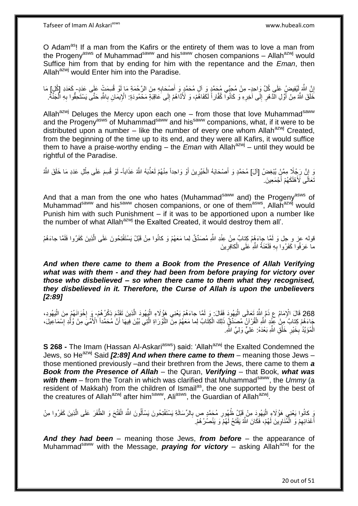Tafseer of Imam Al Askariasws www.hubeali.com

O Adam<sup>as</sup>! If a man from the Kafirs or the entirety of them was to love a man from the Progeny<sup>asws</sup> of Muhammad<sup>saww</sup> and his<sup>saww</sup> chosen companions – Allah<sup>azwj</sup> would Suffice him from that by ending for him with the repentance and the *Eman*, then Allah<sup>azwj</sup> would Enter him into the Paradise.

إِنَّ اللَّهَ لَيُفِيضِ عَلَى كُلِّ وَاحِدٍ- مِنْ مُحِبِّي مُحَمَّدٍ وَ آلِ مُحَمَّدٍ وَ أَصْحَابِهِ مِنَ الرَّحْمَةِ مَا لَوْ قُسِمَتْ عَلَى عَدَدٍ- كَعَدَدِ [كُلِ] مَا لَ ِ ِ لَ ِ خَلَقَ اللَّهُ مِنْ أَوَّلِ الَّذَهْرِ إِلَى آخِرِهِ وَ كَانُوا كُفَّاراً لَكَفَاهُمْ، وَ لَأَذَاهُمْ إِلَى عَاقِبَةٍ مَحْمُودَةٍ: الْإِيمَانِ بِاللَّهِ حَتَّى يَسْتَحِقُّوا بِهِ الْجَنَّةُ: ِ َ ِ  $\frac{1}{2}$ ِ ْ **∶** 

Allah<sup>azwj</sup> Deluges the Mercy upon each one – from those that love Muhammad<sup>saww</sup> and the Progeny<sup>asws</sup> of Muhammad<sup>saww</sup> and his<sup>saww</sup> companions, what, if it were to be distributed upon a number – like the number of every one whom Allah<sup>azwj</sup> Created, from the beginning of the time up to its end, and they were all Kafirs, it would suffice them to have a praise-worthy ending – the *Eman* with Allah<sup>azwj</sup> – until they would be rightful of the Paradise.

نَ إِنَّ رَجُلًا مِمَّنٍْ يُبْغِضُ [ألَ] مُحَمَّدٍ وَ أَصْحَابَهُ الْخَيِّرِينَ أَوْ وَاحِداً مِنْهُمْ لَعَذَّبَهُ اللَّهُ عَذَاباً- لَوْ قُسِمَ عَلَى مِثْلِ عَدَدِ مَا خَلَقَ اللَّهُ ِ َ ِ ْ َ **ٔ** لَ َنَعَالَى لَأَهْلَكَهُمْ أَجْمَعِينَ. َ

And that a man from the one who hates (Muhammad<sup>saww</sup> and) the Progeny<sup>asws</sup> of Muhammad<sup>saww</sup> and his<sup>saww</sup> chosen companions, or one of them<sup>asws</sup>, Allah<sup>azwj</sup> would Punish him with such Punishment – if it was to be apportioned upon a number like the number of what Allah<sup>azwj</sup> the Exalted Created, it would destroy them all'.

قوله عز و جل وَ لَمَّا جاءَهُمْ كِنابٌ مِنْ عِنْدِ اللَّهِ مُصَدِّقٌ لِما مَعَهُمْ وَ كانُوا مِنْ قَبْلُ يَسْتَفْتِحُونَ عَلَى الَّذِينَ كَفَرُوا فَلَمَّا جاءَهُمْ ه ما عَرَفُوا كَفَرُوا بِهِ فَلَعْنَةُ اللَّهِ ٰعَلَى الْكافِرِينَ **∶** ْ ِ

*And when there came to them a Book from the Presence of Allah Verifying what was with them - and they had been from before praying for victory over those who disbelieved – so when there came to them what they recognised, they disbelieved in it. Therefore, the Curse of Allah is upon the unbelievers [2:89]*

268 قَالَ الْإِمَامُ عِ ذَمَّ اللَّهُ تَعَالَى الْيَهُودَ فَقَالَ: وَ لَمَّا جاءَهُمْ يَعْنِي هَؤُلَاءِ الْيَهُودَ الَّذِينَ تَقَدَّمَ ذِكْرُهُمْ- وَ اِخْوَانَهُمْ مِنَ الْيَهُودِ،<br>دينا مسلمان الله عام الله عنه الله عنه ا ْ **∶** ه ْ ا<br>ا جَاءَهُمْ كِنابٌ مِنْ عِنْدِ اللَّهِ الْقُرْآنُ مُصَدِّقٌ ذَلِكَ الْكِتَابُ لِمَا مَعَهُمْ مِنَّ التَّوْرَاةِ الْتَي بُيِّنَ فِيهَا أَنَّ مُحَمَّداً الْأُمِّيَّ مِنْ وُلْدِ إِسْمَاعِيلَ، .<br>ا َ ه ِ ْ الْمُؤَيَّدُ بِخَيْرِ خَلْقِ اللَّهِ بَعْدَهُ: عَلِيٍّ وَلِيٍّ اللَّهِ. ْ **∶ ∶** ْ

**S 268 -** The Imam (Hassan Al-Askari<sup>asws</sup>) said: 'Allah<sup>azwj</sup> the Exalted Condemned the Jews, so He<sup>azwj</sup> Said *[2:89] And when there came to them* – meaning those Jews – those mentioned previously –and their brethren from the Jews, there came to them *a Book from the Presence of Allah* – the Quran, *Verifying* – that Book, *what was*  with them – from the Torah in which was clarified that Muhammad<sup>saww</sup>, the Ummy (a resident of Makkah) from the children of Ismail<sup>as</sup>, the one supported by the best of the creatures of Allah<sup>azwj</sup> after him<sup>saww</sup>, Ali<sup>asws</sup>, the Guardian of Allah<sup>azwj</sup>.

يَ كانُوا يَعْنِي هَؤُلَاءِ الْيَهُودَ مِنْ قَبْلُ ظُهُورِ مُحَمَّدٍ ص بِالرِّسَالَةِ يَسْتَفْتِحُونَ يَسْأَلُونَ اللَّهَ الْفَتْحَ وَ الظَّفَرَ عَلَى الَّذِينَ كَفَرُوا مِنْ ا<br>ا ِ ه ْ َ أَعْدَائِهِمْ وَ الْمُنَاوِينَ لَهُمْ، فَكَانَ اللَّهُ يَفْتَحُ لَهُمْ َو يَنْصُرُ هُمْ. ِ ْ ِ َ

*And they had been* – meaning those Jews, *from before* – the appearance of Muhammad<sup>saww</sup> with the Message, **praying for victory** – asking Allah<sup>azwj</sup> for the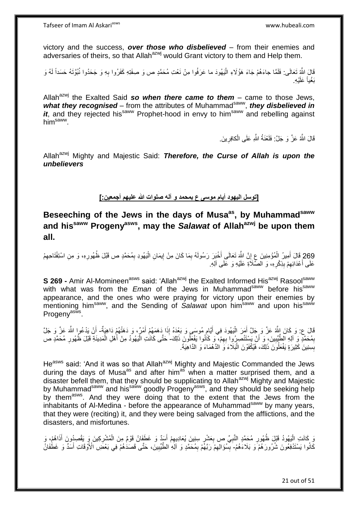victory and the success, *over those who disbelieved* – from their enemies and adversaries of theirs, so that Allah<sup>azwj</sup> would Grant victory to them and Help them.

قَالَ اللَّهِ تَعَالَى: فَلَمَّا جاءَهُمْ جَاءَ هَؤُلَاءِ الْيَهُودَ ما عَرَفُوا مِنْ نَعْتِ مُحَمَّدٍ ص وَ صِفَتِهِ كَفَرُوا بِهِ وَ جَحَدُوا نُبُوَّتَهُ حَسَداً لَهُ وَ :<br>ا ِ لَ بَغْياً عَلَيْهِ.

Allah<sup>azwj</sup> the Exalted Said so when there came to them – came to those Jews, what they recognised – from the attributes of Muhammad<sup>saww</sup>, they disbelieved in *it*, and they rejected his<sup>saww</sup> Prophet-hood in envy to him<sup>saww</sup> and rebelling against him<sup>saww</sup>.

> قَالَ الثَّهُ عَزَّ وَ جَلَّ: فَلَعْنَةُ الثَّهِ عَلَى الْكافِرِينَ. ِ ْ

Allah<sup>azwj</sup> Mighty and Majestic Said: **Therefore, the Curse of Allah is upon the** *unbelievers*

**]توسل اليهود أيام موسى ع بمحمد و آله صلوات هللا عليهم أجمعين:[**

**Beseeching of the Jews in the days of Musaas, by Muhammadsaww and hissaww Progenyasws, may the** *Salawat* **of Allahazwj be upon them all.**

269 قَالَ أَمِيرُ الْمُؤْمِنِينَ عِ إِنَّ اللَّهَ تَعَالَى أَخْيَرَ رَسُولَهُ بِمَا كَانَ مِنْ إِيمَانِ الْيَهُودِ بِمُحَمَّدٍ ص قَبْلَ ظُهُورِهِ، وَ مِنِ اسْتِفْتَاحِهِمْ ِ ْ ِ ِ َ ِ ْ َ عَلَى أَعْدَائِهِمْ بِذِكْرِهِ، وَ الصَّلَاَةِ عَلَيْهِ وَ عَلَى آلِهِ. **∶ ∣** ِ ا<br>ا

**S 269 -** Amir Al-Momineen<sup>asws</sup> said: 'Allah<sup>azwj</sup> the Exalted Informed His<sup>azwj</sup> Rasool<sup>saww</sup> with what was from the *Eman* of the Jews in Muhammad<sup>saww</sup> before his<sup>saww</sup> appearance, and the ones who were praying for victory upon their enemies by mentioning him<sup>saww</sup>, and the Sending of *Salawat* upon him<sup>saww</sup> and upon his<sup>saww</sup> Progeny<sup>asws</sup>.

قَالَ عِ. وَ كَانَ اللَّهُ عَزَّ وَ جَلَّ أَمَرَ الْيَهُودَ فِي أَيَّامٍ مُوسَى وَ بَعْدَهُ إِذَا دَهَمَهُمْ أَمْرٌ، وَ دَهَنْهُمْ ذَاهِيَةٌ- أَنْ يَدْعُوا اللَّهَ عَزَّ وَ جَلَّ<br>- يَمْسَمَعُ اللَّهُ عَزَّ وَ جَلَّ أَمَرَ ِ َ ْ َ َ َ بِمُحَمَّدٍ وَ آلِهِ الطِّيِّبِينَ، وَ أَنْ يَسْتَنْصِرُوا بِهِمْ، وَ كَانُوا يَفْعَلُونَ ذَلِكَ- حَتَّى كَانَتِ الْيَهُودُ مِنْ أَهْلِ الْمَدِينَةِ قَبْلَ ظُهُورِ مُحَمَّدٍ ص ِ َ **!**  ِ ِ ْ َ ْ بِسِنِينَ كَثِيرَةٍ يَفْعَلُونَ ذَلِكَ، فَيُكْفَوْنَ الْبَلَاءَ وَ الذَّهْمَاءَ وَ الدَّاهِيَةَ. :<br>ا

He<sup>asws</sup> said: 'And it was so that Allah<sup>azwj</sup> Mighty and Majestic Commanded the Jews during the days of Musa<sup>as</sup> and after him<sup>as</sup> when a matter surprised them, and a disaster befell them, that they should be supplicating to Allah<sup>azwj</sup> Mighty and Majestic by Muhammad<sup>saww</sup> and his<sup>saww</sup> goodly Progeny<sup>asws</sup>, and they should be seeking help by them<sup>asws</sup>. And they were doing that to the extent that the Jews from the inhabitants of Al-Medina - before the appearance of Muhammad<sup>saww</sup> by many years, that they were (reciting) it, and they were being salvaged from the afflictions, and the disasters, and misfortunes.

وَ كَانَتِ الْيَهُودُ قَبْلَ ظُهُورِ مُحَمَّدٍ النَّبِيِّ ص بِعَشْرِ سِنِينَ يُعَادِيهِمْ أَسَدٌ وَ غَطَفَانُ قَوْمٌ مِنَ الْمُشْرِكِينَ وَ يَقْصِدُونَ أَذَاهُمْ، وَ ِ ِ **∶ ∶** ِ ا<br>ا َ ِ ْ َ كَانُوا يَسْتَدْفِعُونَ شُرُورَ هُمْٓ وَ بَلَاءَهُمْ- بِسُؤَالِهِمْ رَبَّهُمْ بِمُحَمَّدٍ وَ آلِكِ الطَّيِّبِينَ، حَتّى قَصَدَٰهُمْ فِي بَعْضَ ٱلْأَوْقَاتِ أَسَدٌ وَ غَطَٰفَانُ ِ ِ **ِ** َ **!**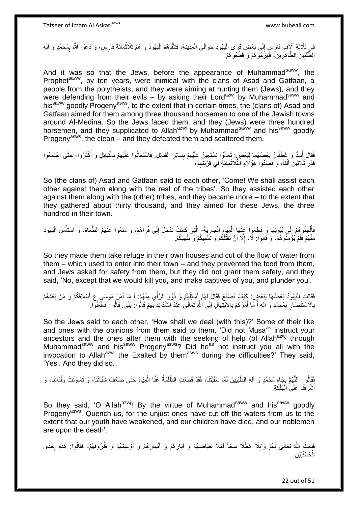فِي ثَلاَثَةِ آلَافِ فَارِسٍ إِلَى بَعْضِ قُرَى الْيَهُودِ حَوَالَيِ الْمَدِينَةِ، فَتَلَقَّاهُمُ الْيَهُودُ وَ هُمْ ثَلَاثُمِائَةِ فَارِسٍ، وَ دَعَوُا اللَّهَ بِمُحَمَّدٍ وَ آلِهِ<br>. يَوْمَ أَيْفَ بِمُحَمَّدٍ وَ الْهِ ا<br>ماہما ْ ْ ِ ْ  $\frac{1}{2}$ َ ِ الطَّّيِّبِينَ الطَّاهِرِينَ- فَمَزَّمُو هُمْ وَ قَطَعُو هُمْ ِ ِ **!** 

And it was so that the Jews, before the appearance of Muhammad<sup>saww</sup>, the Prophet<sup>saww</sup>, by ten years, were inimical with the clans of Asad and Gatfaan, a people from the polytheists, and they were aiming at hurting them (Jews), and they were defending from their evils – by asking their Lord<sup>azwj</sup> by Muhammad<sup>saww</sup> and his<sup>saww</sup> goodly Progeny<sup>asws</sup>, to the extent that in certain times, the (clans of) Asad and Gatfaan aimed for them among three thousand horsemen to one of the Jewish towns around Al-Medina. So the Jews faced them, and they (Jews) were three hundred horsemen, and they supplicated to Allah<sup>azwj</sup> by Muhammad<sup>saww</sup> and his<sup>saww</sup> goodly Progeny<sup>asws</sup>, the clean – and they defeated them and scattered them.

فَقَالَ أَسَدٌ وَ غَطَفَانُ بَعْضُهُمَا لِبَعْضٍ تَعَالَوْا نَسْتَعِينُ عَلَيْهِمْ بِسَائِرِ الْقَبَائِلِ. فَاسْتَعَانُوا عَلَيْهِمْ بِالْقَبَائِلِ وَ أَكْثَرُوا- حَتَّى اجْتَمَعُوا **ٍ !** ِ َ َ َ ْ ِ ِ قَدْرَ ثَلَاثِينَ أَلْفاً، وَ قَصَدُوا هَؤُلَاءِ الثَّلَاثَمِانَةٍ فِي قَرْيَتِهِمْ، َ ه ْ َ ِ

So (the clans of) Asad and Gatfaan said to each other, 'Come! We shall assist each other against them along with the rest of the tribes'. So they assisted each other against them along with the (other) tribes, and they became more – to the extent that they gathered about thirty thousand, and they aimed for these Jews, the three hundred in their town.

فَأَلْجَنُو ِهُمْ إِلَى بُيُوتِهَا وَ قَطَعُوا عَنْهَا الْمِيَاهَ الْجَارِيَةَ- الَّتِي كَانَتْ تَدْخُلُ إِلَى قُرَاهُمْ، وَ مَنَعُوا عَنْهُمُ الطَّعَامَ، وَ اسْتَأْمَنَ الْيَهُودُ ِ ْ ْ יִי (ו .<br>ا َ ِ ْ ْ مِنْهُمْ فَلَمْ يُؤْمِنُو هُمْ، وَ قَالُوا: لَا، إِلَّا أَنْ نَقْتُلَكُمْ وَ نَسْبِيَكُمْ وَ نَنْهَبَكُمْ. ِ ِ

So they made them take refuge in their own houses and cut of the flow of water from them – which used to enter into their town – and they prevented the food from them, and Jews asked for safety from them, but they did not grant them safety, and they said, 'No, except that we would kill you, and make captives of you, and plunder you'.

فَقَالَتِ الْيَهُودُ بَعْضُهَا لِبَعْضٍ. كَيْفَ نَصْنَعُ فَقَالَ لَهُمْ أَمَاتِلُهُمْ وَ ذَوُو الرَّأْيِ مِنْهُمْ. أَ مَا أَمَرَ مُوسَى ع أَسْلَافَكُمْ وَ مَنْ بَعْدَهُمْ ا<br>ا َ َ َ  $\ddot{\phantom{0}}$ ْ ُ َ بِالاسْتِنْصَارِ بِمُحَمَّدٍ وَ آلِهِ أَ مَا أَمَرَكُمْ بِالاَبْتِهَالِ إِلَى اللَّهِ تَعَالَى عِنْدَ الشَّدَائِدِ بِهِمْ قَالُوا: فَالْفَلْوا الشَّائِفَةُوا ا ِ **∶** َ َ ِ **∶ ∶** ُ ِ

So the Jews said to each other, 'How shall we deal (with this)?' Some of their like and ones with the opinions from them said to them, 'Did not Musa<sup>as</sup> instruct your ancestors and the ones after them with the seeking of help (of Allah<sup>azwj</sup> through Muhammad<sup>saww</sup> and his<sup>saww</sup> Progeny<sup>asws</sup>? Did he<sup>as not</sup> instruct you all with the invocation to Allah<sup>azwj</sup> the Exalted by them<sup>asws</sup> during the difficulties?' They said, 'Yes'. And they did so.

فَقَالُوا: اللَّهُمَّ بِجَاهِ مُحَمَّدٍ وَ آلِهِ الطَّيِّبِينَ لَمَّا سَقَيْتَنَا، فَقَدْ قَطَعَتِ الظَّلَمَةُ عَنَّا الْمِيَاهَ حَتَّى ضَعُفَ شُبَّانُنَا، وَ تَمَاوَتَتْ وِلْدَانُنَا، وَ ه ْ ِ ្ត្ ْ ِ أَشْرَفْنَا عَلَى الْهَلَكَةِ. ْ َ

So they said, 'O Allah<sup>azwj</sup>! By the virtue of Muhammad<sup>saww</sup> and his<sup>saww</sup> goodly Progeny<sup>asws</sup>, Quench us, for the unjust ones have cut off the waters from us to the extent that our youth have weakened, and our children have died, and our noblemen are upon the death'.

فَبَعَثَ اللَّهُ تَعَالَى لَهُمْ وَابِلًا هَطْلًا سَحّاً أَمْلَأَ حِيَاضَهُمْ وَ آبَارَهُمْ وَ أَنْهَارَهُمْ وَ أَوْعِيَتَهُمْ وَ ظُرُوفَهُمْ- فَقَالُوا: هَذِهِ إِحْدَى ِ َ َ َ ا.<br>: الْحُسْنَيَيْنِ. ْ

22 out of 51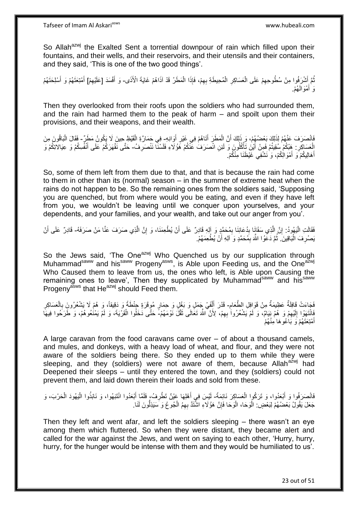So Allah<sup>azwj</sup> the Exalted Sent a torrential downpour of rain which filled upon their fountains, and their wells, and their reservoirs, and their utensils and their containers, and they said, 'This is one of the two good things'.

نُمَّ أَشْرَفُوا مِنْ سُطُوحِهِمْ عَلَى الْعَسَاكِرِ الْمُحِيطَةِ بِهِمْ، فَإِذَا الْمَطَرُ قَدْ آذَاهُمْ غَايَةَ الْأَذَى- وَ أَفْسَدَ [عَلَيْهِمْ] أَمْتِعَتَهُمْ وَ أَسْلِحَتَهُمْ ِ َ ْ ِ ْ ِ ِ َ َ رَ أَمْوَالَـهُمْ. َ

Then they overlooked from their roofs upon the soldiers who had surrounded them, and the rain had harmed them to the peak of harm – and spoilt upon them their provisions, and their weapons, and their wealth.

فَانْصَرَفَ عَنْهُمْ لِذَلِكَ بَعْضُهُمْ، وَ ذَلِكَ أَنَّ الْمَطَرَ أَتَاهُمْ فِي غَيْرِ أَوَانِهِ- فِي حَمَارَةِ الْقَيْظِ حِينَ لَا يَكُونُ مَطَرٌ- فَقَالَ الْبَاقُونَ مِنَ َ ِ َ ْ َ ْ إِلْعَسَاكِرِ ۚ هَذِكُمْ سُقِيتُمْ فَمِنْ أَيْنَ تَأْكُلُونَ وَ لَئِنِ انْصَرَفَ عَنْكُمْ هَؤُلَاءِ فَلَسْنَا نَنْصَرِفُ- حَتَّى نَقْهَرَكُمْ عَلَى أَنْفُسِكُمْ وَ عِيَالاتِكُمْ وَ **∶ ٔ** َ ِ َ أَهَالِيكُمْ َوَ أَمْوَالِكُمْ، وَ نَشْفِي غَيْظَنَا مِنْكُمْ. َ َ

So, some of them left from them due to that, and that is because the rain had come to them in other than its (normal) season – in the summer of extreme heat when the rains do not happen to be. So the remaining ones from the soldiers said, 'Supposing you are quenched, but from where would you be eating, and even if they have left from you, we wouldn't be leaving until we conquer upon yourselves, and your dependents, and your families, and your wealth, and take out our anger from you'.

فَقَالَتِ الْيَهُودُ: إِنَّ الَّذِي سَقَانِا بِدُعَائِنَا بِمُحَمَّدٍ وَ إِلهِ قَادِرٌ عَلَى أَنْ يُطْعِمَنَا، وَ إِنَّ الَّذِي صَرَفَ عَنَّا مَنْ صَرَفَهُ- قَادِرٌ عَلَى أَنْ :<br>ا ه ِ ِ ِ ه ِ َ يَصْرِفَ الْبَاقِينَ ۖ ثُمَّ دَعَوُا اللَّهَ بِمُحَمَّدٍ وَ اَلِهِ أَنْ يُطْعِمَهُمْ. :<br>ا ِ َ ِ ُ

So the Jews said, 'The One<sup>azwj</sup> Who Quenched us by our supplication through Muhammad<sup>saww</sup> and his<sup>saww</sup> Progeny<sup>asws</sup>, is Able upon Feeding us, and the One<sup>azwj</sup> Who Caused them to leave from us, the ones who left, is Able upon Causing the remaining ones to leave', Then they supplicated by Muhammad<sup>saww</sup> and his<sup>saww</sup> Progeny<sup>asws</sup> that He<sup>azwj</sup> should Feed them.

ِ َمَاءَتْ قَافِلَةٌ عَظِيمَةٌ مِنْ قَوَافِلِ الطَّعَامِ- قَدْرَ أَلْفَيْ جَمَلٍ وَ بَغْلٍ وَ حِمَارٍ مُوقَرَةٍ جِنْطَةً وَ دَقِيقاً، وَ هُمْ لَا يَشْعُرُونَ بِالْعَسَاكِرِ ْ َ ِ ْ ِ ُفَاٰنْتَهَوْا إِلَيْهِمْ وَ هُمْ نِيَامٌ، وَ لَمْ يَشْعُرُواْ بِهِمْ، لِأَنَّ اللَّهَ تَعَالَى ثَقَّلَ نَوْمَهُمْ-<br>فَانْتَهَوْا إِلَيْهِمْ وَ هُمْ نِيَامٌ، وَ لَمْ يَشْعُرُواْ بِهِمْ، لِأَنَّ اللَّهَ تَعَالَى ثَقَلَ نَوْ َ ِ ِ لَ  $\frac{1}{2}$ ْ أَمْتِعَتَهُمْ وَ بَاٰعُوهَا ٰمِنْهُمْ

A large caravan from the food caravans came over – of about a thousand camels, and mules, and donkeys, with a heavy load of wheat, and flour, and they were not aware of the soldiers being there. So they ended up to them while they were sleeping, and they (soldiers) were not aware of them, because Allah<sup>azwj</sup> had Deepened their sleeps – until they entered the town, and they (soldiers) could not prevent them, and laid down therein their loads and sold from these.

#### فَانْصَرَفُوا وَ أَبْعَدُوا، وَ تَرَكُوا الْعَسَاكِرَ نَائِمَةً- لَيْسَ فِي أَهْلِهَا عَيْنٌ تَطْرِفُ، فَلَمَّا أَبْعَدُوا انْتَبَهُوا، وَ نَابَذُوا الْيَهُودَ الْحَرْبَ، وَ َ ْ ْ ْ َ **∶** َ لَ جَعَلَ يَقُولُ بَعْضُهُمْ لِبَعْضٍ ۚ الْوَحَا، الْوَحَا فَإِنَّ هَؤُلَاءِ اشْتَذَّ بِهِمُ الْجُوعُ وَ سَيَذِلُّونَ لَنَا ِ ْ ِ ْ :<br>ا

Then they left and went afar, and left the soldiers sleeping – there wasn't an eye among them which fluttered. So when they were distant, they became alert and called for the war against the Jews, and went on saying to each other, 'Hurry, hurry, hurry, for the hunger would be intense with them and they would be humiliated to us'.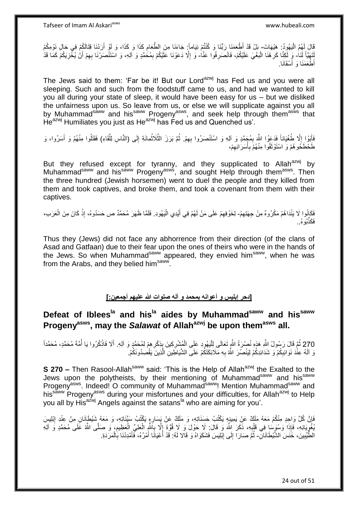قَالَ لَهُمُ الْيَهُودُ: هَيْهَاتَ- بَلْ قَدْ أَطْعَمَنَا رَبُّنَا وَ كُنْتُمْ نِيَاماً: جَاءَنَا مِنَ الطَّعَامِ كَذَا وَ كَذَا، وَ لَوْ أَرَدْنَا قِتَالَكُمْ فِي حَالِ نَوْمِكُمْ ֦֦֦֦֧֦֧֦֧֦֧֦֧֦֧֦֧֦֧֦֧֦֧֝֟֟֓֕֝֟֓֕֝֟֓֓֡֟֓֟֓֡֟֓֡֟֓֡֟֓֓֞֟֓֡֟֓֓֞֓֞֓֞֟֓֡֟֓֓֞֟֓֟֓֓֞֓֞֓֟֓֝֬֝ ِ َ نَهَيَّأُ لَذَا ۖ وَ لِكَئِّا كَرِ هُنَا الْبَغْيَ عَلَيْكُمْ، فَانْصَرِفُوا عَنَّا وَ إِلَّا دَعَوْنَا عَلَيْكُمْ بِمُحَمَّدٍ وَ اَلِهِ، وَ اسْتَنْصَرْنَا بِهِمْ أَنْ يُخْزِيَكُمْ كَمَا قَدْ َ ِ ْ ِ ِ َ ِ ِ ।<br>। أَطْعَمَنَا وَ أَسْقَانَا.

The Jews said to them: 'Far be it! But our Lord<sup>azwj</sup> has Fed us and you were all sleeping. Such and such from the foodstuff came to us, and had we wanted to kill you all during your state of sleep, it would have been easy for us – but we disliked the unfairness upon us. So leave from us, or else we will supplicate against you all by Muhammad<sup>saww</sup> and his<sup>saww</sup> Progeny<sup>asws</sup>, and seek help through them<sup>asws</sup> that  $He^{azwj}$  Humiliates you just as He $a^{2x}$  has Fed us and Quenched us'.

فَأَبَوْا إِلَّا طُغْيَاناً فَدَعَوُا اللَّهَ بِمُجَمَّدٍ وَ اَلِهِ وَ اسْتَنْصَرُوا بِهِمْ. ثُمَّ بَرَزَ الثَّلاثُمِائَةِ إِلَى (النَّاسِ لِلْقَاءِ) فَقَتُلُوا مِنْهُمْ وَ أَسَرُوا، وَ<br>فَإِنَّا إِلَیْ الْمُغْیَانَ یَکْمَ  $\overline{\phantom{a}}$ ز<br>ا ِ ِ َ ِّ ِ ُ ه ُ طَخْطَخُو هُمْ وَ اسْتَوْثَقُوا مِنْهُمْ بِأَسَرَائِهِمْ، ِ ا<br>المال **∶** ة<br>أ

But they refused except for tyranny, and they supplicated to Allah<sup>azwj</sup> by Muhammad<sup>saww</sup> and his<sup>saww</sup> Progeny<sup>asws</sup>, and sought Help through them<sup>asws</sup>. Then the three hundred (Jewish horsemen) went to duel the people and they killed from them and took captives, and broke them, and took a covenant from them with their captives.

فَكَانُوا لَا يَنْدَاهُمْ مَكْرُوهٌ مِنْ جِهَتِهِمْ- لِخَوْفِهِمْ عَلَى مَنْ لَهُمْ فِي أَيْدِي الْيَهُودِ. فَلَمَّا ظَهَرَ مُحَمَّدٌ ص حَسَدُوهُ، إِذْ كَانَ مِنَ الْعَرَبِ،<br>يَحْقِنُونَ ِ ْ َ ِ ْ **ٔ** ُبوه..ُ َف َكذه

Thus they (Jews) did not face any abhorrence from their direction (of the clans of Asad and Gatfaan) due to their fear upon the ones of theirs who were in the hands of the Jews. So when Muhammad<sup>saww</sup> appeared, they envied him<sup>saww</sup>, when he was from the Arabs, and they belied him<sup>saww</sup> .

## **]دحر إبليس و أعوانه بمحمد و آله صلوات هللا عليهم أجمعين:[**

# **Defeat of Ibleesla and hisla aides by Muhammadsaww and hissaww Progenyasws, may the** *Salawat* **of Allahazwj be upon themasws all.**

270 ثُمَّ قَالَ رَسُولُ اللَّهِ هَذِهِ نُصْرَةُ اللَّهِ تَعَالَى لِلْيَهُودِ عَلَى الْمُشْرِكِينَ بِذِكْرِهِمْ لِمُحَمَّدٍ وَ آلِهِ. أَلَا فَاذْكُرُوا يَا أُمَّةَ مُحَمَّدٍ، مُحَمَّداً<br>270 ثُمَّ عَبَيْبِ مُرتَّبِينَ فَيُر ْ ا<br>ا **ٔ** َ وَ آلَهُ عِنْْدَ نَوَائِبِكُمْ وَ شَدَائِدِكُمْ لِيَنْصُرَ اللَّهُ بِهِ مَلَائِكَتَكُمْ عَلَى الشَّيَاطِينِ الَّذِينَ يَقْصِدُونَكُمْ. ه ِ ِ

**S 270 –** Then Rasool-Allah<sup>saww</sup> said: 'This is the Help of Allah<sup>azwj</sup> the Exalted to the Jews upon the polytheists, by their mentioning of Muhammad<sup>saww</sup> and his<sup>saww</sup> Progeny<sup>asws</sup>. Indeed! O community of Muhammad<sup>saww</sup>! Mention Muhammad<sup>saww</sup> and his<sup>saww</sup> Progeny<sup>asws</sup> during your misfortunes and your difficulties, for Allah<sup>azwj</sup> to Help you all by His<sup>azwj</sup> Angels against the satans<sup>la</sup> who are aiming for you'.

َفَإِنَّ كُلَّ وَاحِدٍ مِنْكُمْ مَعَهُ مَلَكٌ عَنِّ بَمِينِهٍ يَكْتُبُ حَسَنَاتِهِ، وَ مَلَكٌ عَنْ يَسَارِهٍ يَكْتُبُ سَيِّئَاتِهِ، وَ مَعَهُ شَيْطَإِنَانِ مِنْ عِنْدِ إِبْلِيسَ ِ ِ ِ ُبِغُوِيَانِهِ، فَإِذَا وَسْوَسَا فِي قَلْبِهِ، ذَكَرَ اللَّهَ وَ قَالَ: لَا حَوْلَ وَ لَا قُوَّةَ إِلَّا بِاَللَّهِ الْعَلِيِّ الْعَظِيمِ، وَ صَلَّى اللَّهُ عَلَى مُحَمَّدٍ وَ اَلِهِ **∶** ْ Į, ِ ْ ْ ِ ِ الطُّيِّبِينَ، خَنَسَ الشَّيْطَانَانِّ- ثُمَّ صَارَا إِلَى إِبْلِيسَ فَشَكَوَاهُ وَ قَالا لَهُ: قَدْ أَعْيَانًا أَمْرُهُ، فَأَمْدِدْنَا بِالْمَرَدَةِ. **!** ْ ِ َ َ َ ِ ِ ُ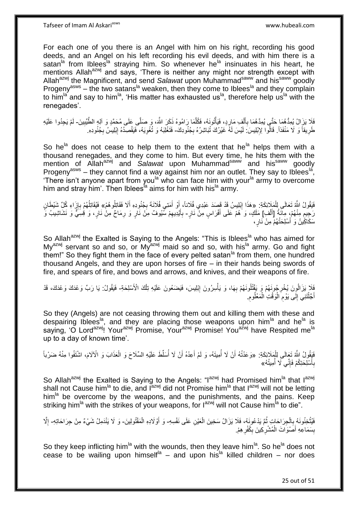For each one of you there is an Angel with him on his right, recording his good deeds, and an Angel on his left recording his evil deeds, and with him there is a satan<sup>la</sup> from Iblees<sup>la</sup> straying him. So whenever he<sup>la</sup> insinuates in his heart, he mentions Allah<sup>azwj</sup> and says, 'There is neither any might nor strength except with Allah<sup>azwj</sup> the Magnificent, and send Salawat upon Muhammad<sup>saww</sup> and his<sup>saww</sup> goodly Progeny<sup>asws</sup> – the two satans<sup>la</sup> weaken, then they come to Iblees<sup>la</sup> and they complain to him<sup>la</sup> and say to him<sup>la</sup>. 'His matter has exhausted us<sup>la</sup>, therefore help us<sup>la</sup> with the renegades'.

فَلَا يَزَالُ يُمِدُّهُمَا حَتَّى يُمِدَّهُمَا بِأَلْفِ مَارِدٍ، فَيَأْتُونَهُ، فَكُلَّمَا رَامُوهُ ذَكَرَ اللَّهَ، وَ صَلَّى عَلَى مُحَمَّدٍ وَ آلِهِ الطَّيِّبِينَ- لَمْ يَجِدُوا عَلَيْهِ ه **ٔ** ِ ْ َ ِ ِ طَرِيقاً وَ لَا مَنْفَذاً. قَالُوا لِإِبْلِيسَ لَيْسَ لَهُ غَيْرُكَ تُبَاشِرُهُ بِجُنُودِكَ- فَتَغْلِبَهُ وَ تُغْوِيَهُ، فَيَقْصِدُهُ إِبْلِيسُ بِجُنُودِهِ. ِ **∶** ِ ِ ِ

So he<sup>la</sup> does not cease to help them to the extent that he<sup>la</sup> helps them with a thousand renegades, and they come to him. But every time, he hits them with the mention of Allah<sup>azwj</sup> and *Salawat* upon Muhammad<sup>saww</sup> and his<sup>saww</sup> goodly Progeny<sup>asws</sup> – they cannot find a way against him nor an outlet. They say to Iblees<sup>la</sup>, 'There isn't anyone apart from you<sup>la who</sup> can face him with your<sup>la</sup> army to overcome him and stray him'. Then Iblees<sup>1</sup> aims for him with his<sup>la</sup> army.

فَيَقُولُ اللَّهُ تَعَالَى لِلْمَلَائِكَةِ: «هَذَا إِبْلِيسُ قَدْ قَصَدَ عَبْدِي فُلَاناً، إِّوْ أَمَتِي فُلَانَة بِجُنُودِهِ أَلَا فَقَاتِلُوهُمْ» فَيُقَاتِلُهُمْ بِإِزَاءِ كُلِّ شَيْطَانٍ ْ َ **∶** َ َ ِ ∣اٍ **∶** ُ رَجِدِمٍ مِنْهُمْ، مِانَةُ [أَلْفِ) مَلَكٍ، وَ هُمْ عَلَى أَفْرَاسٍ مِنْ نَارٍ- بِأَيْدِيهِمْ سُبُوفٌ مِنْ نَارٍ وَ رِمَاحٌ مِنْ نَارٍ، وَ قِسِيَّ وَ نَشَاشِيبُ وَّ ْ َ م ِ ِ َ ِ سَكَاكِّينُ وَ أَسْلِحَتُّهُمّْ مِنْ نَارٍ، َ

So Allah<sup>azwj</sup> the Exalted is Saying to the Angels: "This is Iblees<sup>la</sup> who has aimed for My<sup>azwj</sup> servant so and so, or My<sup>azwj</sup> maid so and so, with his<sup>la</sup> army. Go and fight them!" So they fight them in the face of every pelted satan<sup>la</sup> from them, one hundred thousand Angels, and they are upon horses of fire – in their hands being swords of fire, and spears of fire, and bows and arrows, and knives, and their weapons of fire.

فَلَا يَزَالُونَ يُخْرِجُونَهُمْ وَ يَقْتُلُونَهُمْ بِهَا، وَ يَأْسِرُونَ إِبْلِيسَ، فَيَضَعُونَ عَلَيْهِ تِلْكَ الْأَسْلِحَةِ- فَيَقُولُ: يَا رَبِّ وَعْدَكَ وَعْدَكَ، قَدْ ْ ِ ْ **∶ ∶** أَجَّلْتَنِي إِلَى يَوْمَ الْوَقْتِ الْمَعْلُومِ ْ ِ  $\frac{1}{2}$ ֧֦֦֧֦֧֦֧֦֧֦֧֦֧֦֧֦֧֦֧֦֧֦֧֧֦֧֪֦֧֧֧֧֪ׅ֧֪֧֧֪֧֧֧֧֧֧֧֧֧֧֧֧֧֧֧֪֟֟֟֟֟֟֟֟֟֟֟֟֟֟֟֟֟֟֟֟֟֟֓֕֬֟֟֟֓֟֟֓֕֓֞֟֟֓֡֟֩֕֓֟֩֓֟֩֓֟֩֓֟֓֟֩֓֝֬֝֓֞֝֝֬֝֝֝֬֝֬֝֬֝֝<br>֧֧֧֪֧֪֪֪֪֪֪֪֧֪֧֧֜֜֝֬֝֬֩ َ ِ ْ

So they (Angels) are not ceasing throwing them out and killing them with these and despairing Iblees<sup>la</sup>, and they are placing those weapons upon him<sup>la</sup> and he<sup>la</sup> is saying, 'O Lord<sup>azwj</sup>! Your<sup>azwj</sup> Promise, Your<sup>azwj</sup> Promise! You<sup>azwj</sup> have Respited me<sup>la</sup> up to a day of known time'.

فَيِقُولُ اللَّهُ تَعَالَى لِلْمَلَائِكَةِ: «وَعَدْتُهُ أَنْ لَا أُمِيتَهُ، وَ لَمْ أَعِدْهُ أَنْ لَا أَسَلَّطَ عَلَيْهِ السِّلَاحَ وَ الْعَذَابَ وَ الْأَلَامَ، اشْتَفُوا مِنْهُ ضَرْباً ْ ْ ُ َ َ ُ اً بِأَسْلِحَتِكُمْ فَإِنِّـي لَا أُمِيتُهُ» ِ َ **∶** ا<br>ا

So Allah<sup>azwj</sup> the Exalted is Saying to the Angels: "I<sup>azwj</sup> had Promised him<sup>la</sup> that I<sup>azwj</sup> shall not Cause him<sup>la</sup> to die, and I<sup>azwj</sup> did not Promise him<sup>la</sup> that I<sup>azwj</sup> will not be letting him<sup>la</sup> be overcome by the weapons, and the punishments, and the pains. Keep striking him<sup>la</sup> with the strikes of your weapons, for  $I^{axmj}$  will not Cause him<sup>la</sup> to die".

فَيُتْخِنُونَهُ بِالْجِرَاحَاتِ ثُمَّ يَدْعُونَهُ، فَلَا يَزَالُ سَخِينَ الْعَيْنِ عَلَى نَفْسِهِ- وَ أَوْلَادِهِ الْمَقْتُولِينَ- وَ لَا يَنْدَمِلُ شَيْءٌ مِنْ جِرَاحَاتِهِ- إِلَّا ْ .<br>• • • • ْ **∶** ْ ْ ِ بِسَمَاعِهِ أَصْوَاتَ الْمُشْرِكِينَ بِكُفْرِهِمْ **∶** ِ **∶** ْ 

So they keep inflicting him<sup>la</sup> with the wounds, then they leave him<sup>la</sup>. So he<sup>la</sup> does not cease to be wailing upon himself $a$  – and upon his $a$  killed children – nor does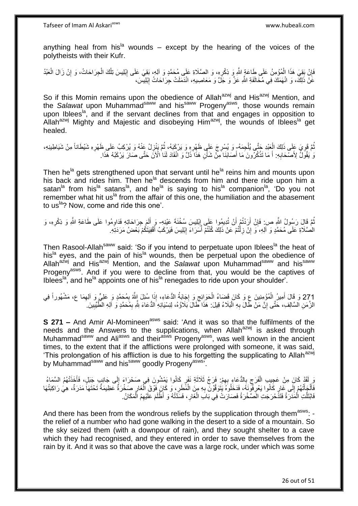anything heal from his<sup>la</sup> wounds – except by the hearing of the voices of the polytheists with their Kufr.

فَإِنْ بَقِيَ هَذَا الْمُؤْمِنُ عَلَى طَاعَةٍ اللَّهِ وَ ذِكْرِهِ، وَ الصَّلَاةِ عَلَى مُحَمَّدٍ وَ أَلِهِ، بَقِيَ عَلَى إِبْلِيسَ تِلْكَ الْجِرَاحَاتُ، وَ إِنْ زَالَ الْعَبْدُ ِ ِ ْ ِ ْ ِ ْ ْ عََنْ ذَلِكَ، وَ انْهَمَكَ فِي مُخَالَفَةِ اللَّهِ عَزَّ وَ جَلَّ وَ مَعَاصِيهِ، انْدَمَلَتْ جِرَاحَاتُ إِبْلِيسَ، ِ

So if this Momin remains upon the obedience of Allah<sup>azwj</sup> and His<sup>azwj</sup> Mention, and the *Salawat* upon Muhammadsaww and hissaww Progenyasws, those wounds remain upon Iblees<sup>la</sup>, and if the servant declines from that and engages in opposition to Allah<sup>azwj</sup> Mighty and Majestic and disobeying Him<sup>azwj</sup>, the wounds of Iblees<sup>la</sup> get healed.

نُّمَّ قَوِيَ عَلَى ذَلِكَ الْعِبْدِ جَنَّى يُلْجِمَهُ ٍ وَ يُسْرِجَ عَلَى ظَهْرِهِ وَ يَرْكَبَهُ، ثُمَّ يَنْزِلُ عَنْهُ وَ يُرْكِبُ عَلَى ظَهْرِهِ شَيْطَاناً مِنْ شَيَاطِينِهِ، ْ ْ ِ ُ ِ ِ ان<br>المقامات المقامات المقامات المقامات المقامات المقامات المقامات المقامات المقامات المقامات المقامات المقامات<br>المقامات المقامات المقامات المقامات المقامات المقامات المقامات المقامات المقامات المقامات المقامات المقامات ِ **∶** يَ يُقُوِّلُ لِأَصْحَابِهِ: أَ مَا تَذْكُرُونَ مَا أَصَابَنَا مِنْ شَأْنِ هَذَا َذَلَّ وَ اَنْقَادَ لَذَا ٰالْآنَ حَتَّى صَالَ يَرْكَبُهُ هَذَا. ِ ْ َ **ٔ** َ

Then he<sup>la</sup> gets strengthened upon that servant until he<sup>la</sup> reins him and mounts upon his back and rides him. Then he<sup>la</sup> descends from him and there ride upon him a satan<sup>la</sup> from his<sup>la</sup> satans<sup>la</sup>, and he<sup>la</sup> is saying to his<sup>la</sup> companion<sup>la</sup>, 'Do you not remember what hit us<sup> $a$ </sup> from the affair of this one, the humiliation and the abasement to us<sup>la</sup>? Now, come and ride this one'.

ُمَّ قَالَ رَسُولُ اللَّهِ ص: فَإِنْ أَرَدْتُمْ أَنْ تُدِيمُوا عَلَى إِبْلِيسَ سُخْنَةَ عَيْنِهِ- وَ أَلَمَ جِرَاحَاتِهِ فَدَاوِمُوا عَلَى طَاعَةِ اللَّهِ وَ ذِكْرِهِ، وَ ِ اُ ِ ِ ِ لَ َ الْصَّلَاةِ عَلَى مُحَمَّدٍ وَ آلِهِ، َوَ إِنْ زِلْتُمْ عَنْ ذَلِكَ كُنْتُمْ أَسَرَاءَ إِبْلِيسَ فَيَرْكَبُ أَقْفِيَتَكُمْ بَعْضُ مَرَدَتِهِ. ْ **∶** ِ َ ِ اُ

Then Rasool-Allah<sup>saww</sup> said: 'So if you intend to perpetuate upon Iblees<sup>la</sup> the heat of his<sup>la</sup> eyes, and the pain of his<sup>la</sup> wounds, then be perpetual upon the obedience of Allah<sup>azwj</sup> and His<sup>azwj</sup> Mention, and the *Salawat* upon Muhammad<sup>saww</sup> and his<sup>saww</sup> Progeny<sup>asws</sup>. And if you were to decline from that, you would be the captives of Iblees<sup>la</sup>, and he<sup>la</sup> appoints one of his<sup>la</sup> renegades to ride upon your shoulder'.

271 وَ قَالَ أَمِيرُ الْمُؤْمِنِينَ ع وَ كَانَ قَضَاءُ الْحَوَائِجِ وَ إِجَابَةُ الدُّعَاءِ، إِذَا سُئِلَ اللَّهُ بِمُحَمَّدٍ وَ عَلِيٍّ وَ أَلِمِمَا ع، مَشْهُوراً فِي<br>لاَ يَرِيلُ وَلاَ يَسِئَمَ الْمُؤْمِنِينَ عَلَيْهِ مِ ِ  $\ddot{\cdot}$ ِ ُ ·<br>∶ ْ َ ْ الزَّمَنِ السَّالِفِ، حَتَّى إِنَّ مَنْ طَلْ بِهِ الْبَلَاءُ قِيلَ: هَذَا طَالَ بَلَاؤُهُ، لِنِسْيَانِهِ الدُّعَاءَ شِّهِ بِمُحَمَّدٍ وَ اللِّهِ الطَّيِّبِينَ ـ ِ ِ ِ ِ :<br>ا

**S 271 –** And Amir Al-Momineen<sup>asws</sup> said: 'And it was so that the fulfilments of the needs and the Answers to the supplications, when Allah<sup>azwj</sup> is asked through Muhammad<sup>saww</sup> and Ali<sup>asws</sup> and their<sup>asws</sup> Progeny<sup>asws</sup>, was well known in the ancient times, to the extent that if the afflictions were prolonged with someone, it was said, 'This prolongation of his affliction is due to his forgetting the supplicating to Allah<sup>azwj</sup> by Muhammad<sup>saww</sup> and his<sup>saww</sup> goodly Progeny<sup>asws'</sup>.

رَ لَقَدْ كَانَ مِنْ عَجِيبِ الْفَرَجِ بِالدُّعَاءِ بِهِمْ: فَزَجُ ثَلَاثَةِ نَفَرٍ كَانُوا يَمْشُونَ فِي صَحْرَاءَ إِلَى جَانِبٍ جَبَلٍ، فَأَخَذَتْهُمُ السَّمَاءُ لَ اا ة<br>أ ِ  $\overline{\phantom{a}}$ ِ ْ َ فَأَلْجَأَتْهُمْ إِلَى غَارٍ كَانُوا يَعْرِفُونَيَّهُ، فَدَخَلُوهُ يَتَوَقَّوْنَ بِهِ مِنَ الْمَُطَرِ ، وَ كَإِنَ فَوْقَ الْغَارِ صَخْرَةٌ عَظِيمَةٌ تَحْتَهَاً مَدَرَةٌ، هِيَ رَاكِبَتُهَا **∶** ْ ِ ِ ِ َ ْ َ ِ ْ فَابْتَلَّتِ الْمَذَرَةُ فَتَذَّحْرَ جَت الْصَخْرَةُ فَصَارَتْ فِي بَابَ الْغَارِ ، فَسَّدَّتْهُ وَ أَظْلَمَ عَلَيْهِمُ الْمَكَانُ. ْ **∶** ْ ْ

And there has been from the wondrous reliefs by the supplication through them<sup>asws</sup>: the relief of a number who had gone walking in the desert to a side of a mountain. So the sky seized them (with a downpour of rain), and they sought shelter to a cave which they had recognised, and they entered in order to save themselves from the rain by it. And it was so that above the cave was a large rock, under which was some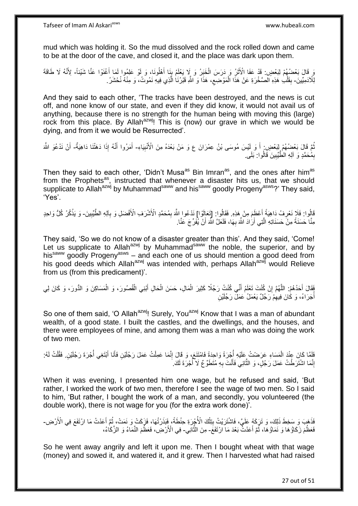mud which was holding it. So the mud dissolved and the rock rolled down and came to be at the door of the cave, and closed it, and the place was dark upon them.

وَ قَالَ بَعْضُهُمْ لِبَعْضٍ. قَدْ عَفَا الْأَثَرُ وَ دَرَسَ الْخَبَرُ وَ لَا يَعْلَمُ بِنَا أَهْلُونَا، وَ لَوْ عَلِمُوا لَمَا أَغْنَوْا عَنَّا شَيْئاً- لِأَنَّهُ لَا طَاقَةَ َ ¦ ْ َ َ لِلْأَدَمِيِّينَ- بِقَلْبِ هَذِهِ الصَّخْرَةِ عَنْ هَذَا الْمَوْضِعِ، هَذَا وَ اللَّهِ قَبْرُنَا الَّذِي فِيهِ نَمُوتُ، وَ مِنْهُ نُحْشَرُ ـ ْ **ِ** ه  $\zeta$ ْ

And they said to each other, 'The tracks have been destroyed, and the news is cut off, and none know of our state, and even if they did know, it would not avail us of anything, because there is no strength for the human being with moving this (large) rock from this place. By Allah<sup>azwj</sup>! This is (now) our grave in which we would be dying, and from it we would be Resurrected'.

نْمَ قَالَ بَعْضُهُمْ لِِبَعْضٍ ۚ أَ وَ لِنَيسَ مُوسَى بْنُ عِمْرَانَ ع وَ مَنْ بَعْدَهُ مِنَ الْأَنْبِيَاءِ- أَمَرُوا أَنَّهُ إِذَا دَهَنْنَا دَاهِيَةٌ- أَنْ نَدْعُوَ اللَّهَ َ ِ َ َ َ بِمُٰحَمَّدٍ وَ آلِهِ الطُّيِّبِينَ قَالُوا: بَلَى **!** ِ

Then they said to each other, 'Didn't Musa<sup>as</sup> Bin Imran<sup>as</sup>, and the ones after him<sup>as</sup> from the Prophets<sup>as</sup>, instructed that whenever a disaster hits us, that we should supplicate to Allah<sup>azwj</sup> by Muhammad<sup>saww</sup> and his<sup>saww</sup> goodly Progeny<sup>asws</sup>?' They said, 'Yes'.

قَالُوا: فَلَا نَعْرِفُ دَاهِيَةً إَعْظَمَ مِنْ هَذِهِ. فَقَالُوا: [تَعَالَوْا] نَدْعُوا اللَّهَ بِمُحَمَّدٍ الْأَشْرَف الْأَفْضَل وَ بِأَلِهِ الطَّيِّبِينَ- وَ يَذْكُرُ كُلُّ وَاحِدٍ َ **∶** ِ ِ ِ **ٔ** مِنَّا حَسَنَةً مِنْ حَسَنَاتِهِ الَّتِي أَرَٰادَ اللَّهَ بِهَا، فَلَعَلَّ اللَّهَ أَنْ يُفَرِّجَ عَنَّا. اُ **∶** اُ ه

They said, 'So we do not know of a disaster greater than this'. And they said, 'Come! Let us supplicate to Allah<sup>azwj</sup> by Muhammad<sup>saww</sup> the noble, the superior, and by his<sup>saww</sup> goodly Progeny<sup>asws</sup> – and each one of us should mention a good deed from his good deeds which Allah<sup>azwi</sup> was intended with, perhaps Allah<sup>azwj</sup> would Relieve from us (from this predicament)'.

فَقَالَ أَحَدُهُمْ: اللَّهُمَّ إِنْ كُنْتَ تَعْلَمُ أَنِّي كُنْتُ رَجُلًا كَثِيرَ الْمَالِ، حَسَنَ الْحَالِ أَبْنِي الْقُصُورَ، وَ الْمَسَاكِنَ وَ الدُّورَ، وَ كَانَ لِي ْ َ ْ ْ َ ِ ه ْ أَجَرَاءُ، وَ كَانَ فِيهِمْ رَجُلٌ يَعْمَلُ عَمَلَ رَجُلَيْنِ ا<br>ا ِ

So one of them said, 'O Allah<sup>azwj</sup>! Surely, You<sup>azwj</sup> Know that I was a man of abundant wealth, of a good state. I built the castles, and the dwellings, and the houses, and there were employees of mine, and among them was a man who was doing the work of two men.

فَلَمَا كَانَ عِنْدَ الْمَسَاءِ عَرَضْتُ عَلَيْهِ أَجْرَةً وَاحِدَةً فَامْتَنَعَ، وَ قَالَ إِنَّمَا عَمِلْتُ عَمَلَ رَجُلَيْنِ فَأَنَا أَبْتَغِي أَجْرَةَ رَجُلَيْنِ. فَقُلْتُ لَهُ: ْ ؛<br>أ َ َ ْ ِ ان<br>المستقبل ْ إِنَّمَا اشْتَرَطْتُ عَمَلَ رَجُلٍۗ، وَ الثَّانِي فَأَنْتَ بِهِ مُتَطَوِّعٌ لَا أُجْرَةَ لَكَ ِ ِ ابل<br>المسلمان ِ َ ه

When it was evening, I presented him one wage, but he refused and said, 'But rather, I worked the work of two men, therefore I see the wage of two men. So I said to him, 'But rather, I bought the work of a man, and secondly, you volunteered (the double work), there is not wage for you (for the extra work done)'.

فَذَهَبَ وَ سَخِطَ ذَلِكَ، وَ تَرَكَهُ عَلَيَّ، فَاشْتَرَيْتُ بِتِلْكَ الْأُجْرَةِ حِنْطَةً، فَنَذَرْتُهَا، فَزَكَتْ وَ نَمَتْ، ثُمَّ أَعَدْتُ مَا ارْتَفَعَ فِي الْأَرْضِ-ْ **∣** َ ا پایا<br>سال فَعَظُمَ زَكَاؤُهَا وَ نَمَاؤُهَا، ثُمَّ أَعَدْتُۖ بَعْدَ مَا الْاتَفَعَ- مِنَ الثَّالِي- فِي الْأَرْضِ، فَعَظُمَ النَّمَاءُ وَ الزَّكَاءُ، َ ُ ه

So he went away angrily and left it upon me. Then I bought wheat with that wage (money) and sowed it, and watered it, and it grew. Then I harvested what had raised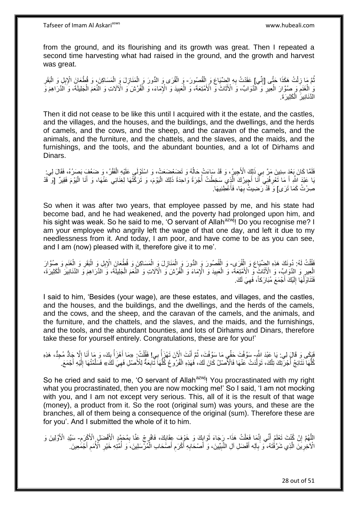from the ground, and its flourishing and its growth was great. Then I repeated a second time harvesting what had raised in the ground, and the growth and harvest was great.

ثُمَّ مَا زِلْتُ هَكَذَا حَتَّى [إِنِّي] عَقَدْتُ بِهِ الضَّيِّاعَ وَ الْقُصُورَ - وَ الْقُرَى وَ الْمَقَازِلَ وَ الْمَسَاكِنَ، وَ قُطْعَانَ الْإِبِلِ وَ الْبَقَرِ<br>أَمَّةَ نَّذَا بِهِ الْقَدَامَ الْمَسَوِّمَةِ مَنْ يَقْدَ ِ ْ ِ ْ **∶** ْ ِ ْ ْ ِ ْ ُ الْغَنَمِ وَ صُوَّارَ الْعِيرِ ۖ وَ الْذَوَابِّ، وَ الْأَثَاثَ وَ الْأَمْتِعَةَ، وَ الْإِعْلِيةَ وَ الْإِمَاءَ، وَ الْفُرُشَ وَ الْأَلَاثِ وَ النُّعَمَ الْجَلِيلَةَ، وَ الْذَرَاهِمَ وَ ْ ِ ْ ة<br>أ ِ ْ ِ ْ الدَّنَـٰانِيرَ ۖ الْكَثِيرَ ةَ ۖ ْ

Then it did not cease to be like this until I acquired with it the estate, and the castles, and the villages, and the houses, and the buildings, and the dwellings, and the herds of camels, and the cows, and the sheep, and the caravan of the camels, and the animals, and the furniture, and the chattels, and the slaves, and the maids, and the furnishings, and the tools, and the abundant bounties, and a lot of Dirhams and Dinars.

فَلَمَّا كَانَ بَعْدَ سِنِينَ مَرَّ بِي ذَلِكَ الْأَجِيرُ، وَ قَدْ سَاءَتْ حَالُهُ وَ تَضَعْضَعَتْ، وَ اسْتَوْلَى عَلَيْهِ الْفَقْرُ، وَ ضَعُفَ بَصَرُهُ، فَقَالَ لِي:<br>. ْ ا<br>ا يَا عَبْدَ اللَّهِ أَ مَا تَعْرِفُنِيَ أَنَا أَجِيرُكَ الَّذِِي سَخِطْتُ أُجْرَةً وَاحِدَةً ذَلِكَ الْيَوْمَ، وَ تَرَكَّتُهَا لِغِنَائِي عَنْهَا، وَ أَنَا الْيَوْمَ فَقِيرٌ [وَ قَدْ ْ ا<br>أ ه َ ِ َ ْ َ صِرْتُ كَمَا تَرَى] وَ قَدْ رَضِيتُ بِهَا، فَأعْطِنِيهَا. َ ِ

So when it was after two years, that employee passed by me, and his state had become bad, and he had weakened, and the poverty had prolonged upon him, and his sight was weak. So he said to me, 'O servant of Allah<sup>azwj</sup>! Do you recognise me? I am your employee who angrily left the wage of that one day, and left it due to my needlessness from it. And today, I am poor, and have come to be as you can see, and I am (now) pleased with it, therefore give it to me'.

قُفْلَتُ لَهُ: دُونَكَ هَذِهِ الضِّيِّاعَ وَ الْقُرَىِ- وَ الْقُصُورَ وَ الدُّورَ وَ الْمَنَازِلَ وَ الْمَسَاكِنَ وَ قُطْعَانَ الْإِبِلِ وَ الْبَقَرِ وَ الْغَنَمِ وَ صُوَّارَ<br>فَقَلْتُ لَهُ: دُونِي وَ الْعَنْدِ فَيَقْدَمُو ْ ْ ْ ِ ْ ِ ْ ِ ْ الْعِيرِ وَ الدَّوَابِّ، وَ الْأَثَاثَ وَ الْأَمْتِعَةَ، وَ الْعَبِيدَ وَ الْإِمَاءَ وَ الْفُرُشَ وَ الْأَلَاثِ وَ النَّعَمَ الْجَلِيلَةَ، وَّ اَلدَّارَاهِمَ وَ الْذَنَانِيْرَ الْكَثِيرَةَ، ْ **!** ْ ة<br>أ ِ ْ ْ فَتَذَاوَلْهَا إِلَيْكَ أَجْمَعَ مُبَارَكاً، فَهِيَ لَكَ. ِ َ لَ  $\frac{1}{2}$ ْ

I said to him, 'Besides (your wage), are these estates, and villages, and the castles, and the houses, and the buildings, and the dwellings, and the herds of the camels, and the cows, and the sheep, and the caravan of the camels, and the animals, and the furniture, and the chattels, and the slaves, and the maids, and the furnishings, and the tools, and the abundant bounties, and lots of Dirhams and Dinars, therefore take these for yourself entirely. Congratulations, these are for you!'

فَبَكَي وَ قَالَ لِي: يَا عَبْدَ اللَّهِ- سَوَّفْتَ حَقِّي مَا سَوَّفْتَ، ثُمَّ أَنْتَ الْآنَ تَهْزَأُ بِي! فَقُلْتُ: «مَا أَهْزَأُ بِكَ، وَ مَا أَنَا إِلَّا جَادٌّ مُجِدٌّ، هَذِهِ<br>وَلَمِّ يَرْمُ أَنَّهَا إِلَّا جَبَّدُ ا ْ ا<br>ا َ ُ ِ َ ِ ا<br>ا َ كُلُّهَا ۖ نَتَابَجُ أُجْرَبِّكَ تِلْكَ، تَوَلَّدَتْ عَنْهَا فَالْأَصْلُ كَانَ لَكَ، فَهَذِهِ الْفُرُوعُ كُلُّهَا ثَّابِعَةٌ لِلْأَصْلِ فَهِيَ لَكَ، فَسَلَّمْتُهَا إِلَٰٓئِهِ أَجْمَعَ. ْ .<br>ا ُّ ِ ِ ُّ ْ َ لَ ِ ه

So he cried and said to me, 'O servant of Allah<sup>azwj</sup>! You procrastinated with my right what you procrastinated, then you are now mocking me!' So I said, 'I am not mocking with you, and I am not except very serious. This, all of it is the result of that wage (money), a product from it. So the root (original sum) was yours, and these are the branches, all of them being a consequence of the original (sum). Therefore these are for you'. And I submitted the whole of it to him.

الِلَّهُمَّ إِنْ كُنْتَ تَعْلَمُ أَنِّي إِنَّمَا فَعِلْتُ هَذَا- رَِجَاءَ ثَوَابِكَ وَ خَوْفَ عِقَابِكَ، فَافْرِجْ عَنَّا بِمُحَمَّدٍ الْأَفْضَلِ الْأَكْرِرَمِ- سَيِّدِ الْأَوَّلِينَ وَ ْ ֺ֧ׅ֧ׅ֧֧֚֚֚֚֚֚֚֚֚֚֚֚֚֚֚֚֚֝֝֬֓֡֡֡֡֡֡֡֬֓֡֟֓֡֟֓֡֟֓֡֡֡֬֓֡֡֬֩֓֓֬֩ َ ِ ِ ِ ¦  $\frac{1}{2}$ ِ َ ُ الْآخِرِيَّنَ الَّذِي شَرَّقْتَهُ، وَ بِالِه أَفْضَلِ آلِ النَّبِيِّينَ، وَ أَصْحَابِهِ أَكْرَمِ أَصْحَابِ الْمُرْسَلِينَ، وَ أُمَّتِهِ خَيْرِ الْأُمَمِ أَجْمَعِينَ ۖ ْ ِ َ ِ َ ِ َ **∶** ه ِ َ ِ ِ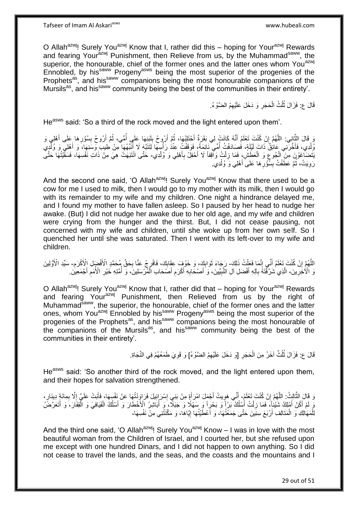Tafseer of Imam Al Askariasws www.hubeali.com

O Allah<sup>azwj</sup>! Surely You<sup>azwj</sup> Know that I, rather did this – hoping for Your<sup>azwj</sup> Rewards and fearing Your<sup>azwj</sup> Punishment, then Relieve from us, by the Muhammad<sup>saww</sup>, the superior, the honourable, chief of the former ones and the latter ones whom You<sup>azwj</sup> Ennobled, by his<sup>saww</sup> Progeny<sup>asws</sup> being the most superior of the progenies of the Prophets<sup>as</sup>, and his<sup>saww</sup> companions being the most honourable companions of the Mursils<sup>as</sup>, and his<sup>saww</sup> community being the best of the communities in their entirety'.

> قَالَ ع: فَزَالَ ثُلُثُ الْحَجَرِ وَ دَخَلَ عَلَيْهِمُ الضَّوْءُ. **∶** ْ ُ

He<sup>asws</sup> said: 'So a third of the rock moved and the light entered upon them'.

وَ قَالَ الثَّانِي: اللَّهُمَّ إِنْ كُنْتَ تَعْلَمُ أَنَّهُ كَانَتْ لِي بَقَرَةٌ أَخْتَلِبُهَا، ثُمَّ أَرُوحُ بِلَنِيهَا عَلَى أَمْ أَرُوحُ بِسُؤْرِهَا عَلَى أَهْلِي وَ لَ **∫** اً ُ َ َ ِ ه ه َ ِ ِ َ ُ ُ وُلْدِي، فَأَخَّرَنِي عَائِقٌ ذَاتَ لَيْلَةٍ، فَصَادَفْتُ أُمِّي نَائِمَةً، فَوَقَفْتُ عِنْدُ رَأْسِهَا لِنَتَبَّهِ لَا أُنَبِّهُهَا مِنْ طِيبِ وَسَنِهَا، وَ أَهْلِي وَ وُلْدِي َ ُ ْ َ ا<br>ا يَتَضَاغُوْنَ مِنَ الْجُوعِ وَ الْعَطَشِّ فَمَا زِلْتُ وَاقِفاً لَا أَحْفِلُ بِأَهْلِي وَ وُلْدِي- حَتَّى انْتَبَهَتْ هِيَ مِنْ ذَاتِ نَفْسِهَا، فَسَقَيْتُهَا حَتَّى ْ َ ِ َ ْ **∶** ْ ِ رَوِيَتْ، ثُمَّ عَطَّفْتُ بِسُّؤْرِهَا عَلَى أَهْلِي وَ وُلْدِي. ْ َ **∶ ∣** ُ ِ

And the second one said, 'O Allah<sup>azwj</sup>! Surely You<sup>azwj</sup> Know that there used to be a cow for me I used to milk, then I would go to my mother with its milk, then I would go with its remainder to my wife and my children. One night a hindrance delayed me, and I found my mother to have fallen asleep. So I paused by her head to nudge her awake. (But) I did not nudge her awake due to her old age, and my wife and children were crying from the hunger and the thirst. But, I did not cease pausing, not concerned with my wife and children, until she woke up from her own self. So I quenched her until she was saturated. Then I went with its left-over to my wife and children.

اللَّهُمَّ إِنْ كُنْتَ تَعْلَمُ أَنِّي إِنَّمَا فَعَلْتُ ذَلِكَ- رَجَاءَ ثَوَابِكَ، وَ خَوْفٍ عِقَابِكَ، فَافْرِجْ عَنَّا بِحَقٍّ مُحَمَّدٍ الْأَفْضِلِ الْأَكْرَمِ- سَيِّدِ الْأَوَّلِينَ ْ ِ َ <u>֚֚֚֚֚֚֚֚</u> ه ِ ِ **; ِ**  $\ddot{\phantom{0}}$ ِ وَ الْأُخْرِينَ، الَّذِي شَرَّقَتَهُ بِآلِهِ أَفْضَلِ آلِ الْنَّبِيِّينَ، وَ َأَصْحَابِهِ أَكْرَمِ أَصَحَابِ الْمُرْسَلِينَ، وَ أُمَّتِهِ خَيْرِ الْأُمَمِ أَجْمَعِينَ ْ ِ َ ِ َ ِ َ ِ ه ِ َ ِ ِ ا<br>ا

O Allah<sup>azwj</sup>! Surely You<sup>azwj</sup> Know that I, rather did that – hoping for Your<sup>azwj</sup> Rewards and fearing Your<sup>azwj</sup> Punishment, then Relieved from us by the right of Muhammad<sup>saww</sup>, the superior, the honourable, chief of the former ones and the latter ones, whom You<sup>azwj</sup> Ennobled by his<sup>saww</sup> Progeny<sup>asws</sup> being the most superior of the progenies of the Prophets<sup>as</sup>, and his<sup>saww</sup> companions being the most honourable of the companions of the Mursils<sup>as</sup>, and his<sup>saww</sup> community being the best of the communities in their entirety'.

> قَالَ ع: فَزَالَ ثُلُثٌ آخَرُ مِنَ الْحَجَرِ [وَ دَخَلَ عَلَيْهِمُ الضَّوْءُ] وَ قَوِيَ طَمَعُهُمْ فِي النَّجَاةِ. ُ **∶** ِ ْ

He<sup>asws</sup> said: 'So another third of the rock moved, and the light entered upon them, and their hopes for salvation strengthened.

وَ قَالَ الثَّالِثُ: اللَّهُمَّ إِنْ كُنْتَ تَعْلَمُ- أَنِّي هَوِيتُ أَجْمَلَ امْرَأَةٍ مِنْ بَنِي إِسْرَائِيلَ فَرَاوَدْتُهَا عَنْ نَفْسِهَا، فَأَبَتْ عَلَيَّ إِلَّا بِمِائَةٍ دِينَارٍ ،<br>وَ يَا مُرْسَلَةٍ مِن اللَّهُمَّ إ ِ ه ه ِ ِ َ ِ َ ِ َ يِّ لَمْ أَكُنْ أَمْلِكُ شَيْئاً، ۖ فَمَا زِلْتُ أَسْلُكُ بَرّاً وَ بَحْرِاً وَ سَهْلًا وَ جَبَلًا ۚ وَ أَبَاشِرُ الْأَخْطَارَ وَ أَسْلُكُ الْفَيَافِيَ وَ الْفِقَارَ ، َوَ أَتَعَرَّضَّ ا<br>أ اُ اُر ْ **∶** َ َ َ ْ ْ اُ َ لِلْمَهَالِكِ وَ الْمَتَالِفِ أَرْبَعَ سِنِيَنَ حَتَّى جَمَعْتُهَا، وَ أَعْطَيْتُهَا إِيَّاهَا، وَ مَكَّنَتْنِي مِنْ نَفْسِهَا، ِ ا<br>ا َ ْ ْ

And the third one said, 'O Allah<sup>azwj</sup>! Surely You<sup>azwj</sup> Know  $-1$  was in love with the most beautiful woman from the Children of Israel, and I courted her, but she refused upon me except with one hundred Dinars, and I did not happen to own anything. So I did not cease to travel the lands, and the seas, and the coasts and the mountains and I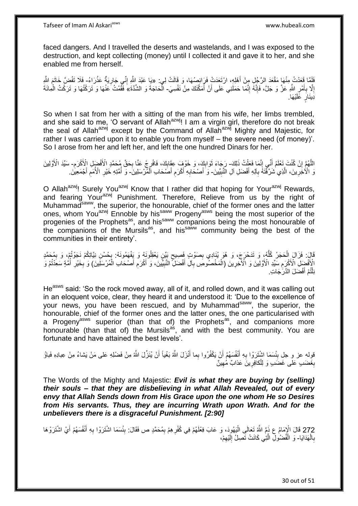faced dangers. And I travelled the deserts and wastelands, and I was exposed to the destruction, and kept collecting (money) until I collected it and gave it to her, and she enabled me from herself.

فَلَمَّا قَعَدْتُ مِنْهَا مَقْعَدَ الرَّجُلِ مِنْ أَهْلِهِ، ارْتَعَدَتْ فَرَائِصُهَا، وَ قَالَتْ لِي: «بَا عَبْدَ اللَّهِ إِنِّي جَارِيَةٌ عَذْرَاءُ- فَلَا تَفُضِّ خَاتَمَ اللَّهِ َ **ٔ** ِ ِ إِلَّا بِأَمْرِ اللَّهِ عَزَّ وَ جَلَّ، فَإِنَّهُ إِنَّمَا حَمَلَنِي عَلَى أَنْ أُمَكِّنَكَ مِنْ نَفْسِيَ- الْحَاجَةَ وَ الشِّدَّةَ» فَقُمْتُ عَنْهَا وَ تَرَكْتُهَا وَ تَرَكْتُ الْمِائَةَ ر<br>ا اُ ِ ∣اٍ<br>∶ ِ َ ِ ِ ْ يُنِلَلٍ عََلَيْهَا.

So when I sat from her with a sitting of the man from his wife, her limbs trembled, and she said to me, 'O servant of Allah<sup>azwj</sup>! I am a virgin girl, therefore do not break the seal of Allah<sup>azwj</sup> except by the Command of Allah<sup>azwj</sup> Mighty and Majestic, for rather I was carried upon it to enable you from myself – the severe need (of money)'. So I arose from her and left her, and left the one hundred Dinars for her.

اللَّهُمَّ إِنْ كُنْتَ تَعْلَمُ أَنِّي إِنَّمَا فَعَلْتُ ذَلِكَ- رَجَاءَ ثَوَابِكٍ، وَ خَوْفٍ عِقَابِكَ، فَافْرِجْ عَنَّا بِحَقٍّ مُحَمَّدٍ الْأَفْضِلِ الْأَكْرَمِ- سَيِّدَ الْأَوَّلِينَ ْ ِ َ ا ِ ِ ¦ ِ ِ وَ الْأُخْرِينَ، الَّذِي شَرَّقْتَهُ بِآلِهِ أَفْضَلِ آلِ النَّبِيِّينَ- وَ أَصْحَابِهِ أَكْرَمِ أَصَحَابِ الْمُرْسَلِينَ- وَ أُمَّتِهِ خَيْرِ الْأُمَمِ أَجْمَعِينَ. **!** َ ِ ه ِ ْ َ ِ َ ِ َ َ ِ ِ ا<br>المستقبل

O Allah<sup>azwj</sup>! Surely You<sup>azwj</sup> Know that I rather did that hoping for Your<sup>azwj</sup> Rewards, and fearing Your<sup>azwj</sup> Punishment. Therefore, Relieve from us by the right of Muhammad<sup>saww</sup>, the superior, the honourable, chief of the former ones and the latter ones, whom You<sup>azwj</sup> Ennoble by his<sup>saww</sup> Progeny<sup>asws</sup> being the most superior of the progenies of the Prophets<sup>as</sup>, and his<sup>saww</sup> companions being the most honourable of the companions of the Mursils<sup>as</sup>, and his<sup>saww</sup> community being the best of the communities in their entirety'.

قَالَ: فَزَالَ إِلْحَجَرُ كُلُّهُ، وَ تَدَحْرَجَ، وَ هُوَ يُنَادِي بِصَوْتٍ فَصِيحٍ بَيِّنٍ يَعْقِلُونَهُ وَ يَفْهَمُونَهُ: بِحُسْنِ نِيَّاتِكُمْ نَجَوْتُوْ، وَ بِهُحَمَّدٍ ٍ ِ ُّ ْ ِ ِ الْأَفْضِلِ الْأَكْرَمِ سَيِّدِ الْأَوَّلِينَ وَ الْآخِرِينَ (اَلْمَخْصُوصِ بِآلِ أَفْضَلِّ النَّبِيِّيْنَ، وَ أَكْرَمِ أَصْحَابِ الْمُرْسَلِينَ) وَ بِخَيْرِ أُمَّةٍ سَعِدْتُمْ وَ َ ِ َ ِ َ ِ ْ ِ ِ ا<br>ا ِ ِ ْ نِلْتُمْ أَفْضَلَ الذَّرَّجَاتِ. ֺ֦֦֪֦֧֦֦֖֦֦֪֦֧֦֪֦֧֦֪֪֦֧֦֪֦֪֪֦֧֦֪֦֧֦֧֦֪֦֧֦֧֦֪֪֦֧֪֦֧֪֦֧֦֧֦֧֝֟֟֟֟֟֟֟֟֟֟֟֟֟֟֟֟֟֟֟֟֟֟֓֕֬֟֓֡֟֓֟֓֞֟֟֓֞֟֟֟֟֟֟֟֩֓֞֟֟֟֟֟֟ َ

He<sup>asws</sup> said: 'So the rock moved away, all of it, and rolled down, and it was calling out in an eloquent voice, clear, they heard it and understood it: 'Due to the excellence of your news, you have been rescued, and by Muhammad<sup>saww</sup>, the superior, the honourable, chief of the former ones and the latter ones, the one particularised with a Progeny<sup>asws</sup> superior (than that of) the Prophets<sup>as</sup>, and companions more honourable (than that of) the Mursils<sup>as</sup>, and with the best community. You are fortunate and have attained the best levels'.

قوِله عز و جلِ بِئْسَمَا اشْتَرَوْا بِهِ أَنْفُسَهُمْ أَنْ يَكْفُرُوا بِما أَنْزَلَ اللَّهُ بَغْياً أَنْ يُنَزِّلَ اللَّهُ مِنْ فَضْلِهِ عَلى مَنْ يَشاءُ مِنْ عِبادِهِ فَباؤُ اُ َ اُ َ ِ ِ بِغَضَىبٍ عَلٰى غَضَىبٍ وَ لِلْكافِرِينَ عَذابٌ مُهِينٌ **∶** ْ ِ **∶** 

The Words of the Mighty and Majestic: *Evil is what they are buying by (selling) their souls – that they are disbelieving in what Allah Revealed, out of every envy that Allah Sends down from His Grace upon the one whom He so Desires from His servants. Thus, they are incurring Wrath upon Wrath. And for the unbelievers there is a disgraceful Punishment. [2:90]*

272 قَالَ الْإِمَامُ عِ ذَمَّ النَّهُ نَعَالَى الْيَهُودَ، وَ عَابَ فِعْلَهُمْ فِي كُفْرِهِمْ بِمُحَمَّدٍ ص فَقَالَ: بِئْسَمَا اشْتَرَوْا بِهِ أَنْفُسَهُمْ أَيْ اشْتَرَوْهَا َ ْ َ **∶** ¦ ِ :<br>ا بِالْهَدَايَا- وَ الْفُضُولِ الَّذِي كَانَتْ تَصِلُ إِلَيْهِمْ، ْ **∶** ِ لَ ِ ه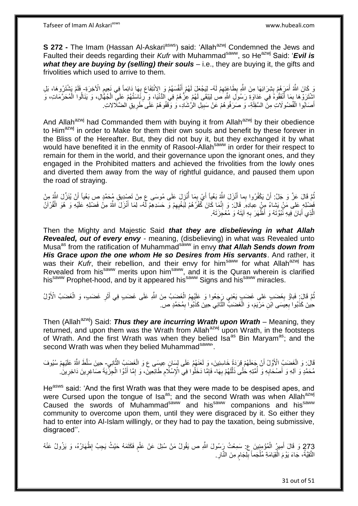**S 272 -** The Imam (Hassan Al-Askari<sup>asws</sup>) said: 'Allah<sup>azwj</sup> Condemned the Jews and Faulted their deeds regarding their *Kufr* with Muhammad<sup>saww</sup>, so He<sup>azwj</sup> Said: '*Evil is what they are buying by (selling) their souls* – i.e., they are buying it, the gifts and frivolities which used to arrive to them.

وَ كَانَ اللَّهُ أَمَرَ هُمْ بِشِرَائِهَا مِنَ اللَّهِ بِطَاعَتِهِمْ لَهُ- لِيَجْعَلَ لَهُمْ أَنْفُسَهُمْ وَ الِانْتِفَاعَ بِهَا دَائِماً فِي نَعِيمِ الْآخِرَةِ- فَلَمْ يَشْتَرُوهَا، بَلِ ِ ¦ **∣** َ َ ِ ِ اشْتَرَوْهَا بِمَا أَنْفَقُوهُ فِي عَدَاوَةِ رَسُولِ اللَّهِ ص لِيَبْقَى لَهُمْ عِزُّهُمْ فِي الدُّنْيَا، وَ رِئَاسَتُهُمْ عَلَيِّ الْجُهَّالِ، وَ يَنَالُوا الْمُحَرَّمَاتِ، وَ ِ َ **∫** ْ ْ أَصَابُوا الْفُضُولَاتِ مِنَّ السَّفِلَةِ- وَ صَرَفُوهُمْ عَنْ سَبِيلِ الرَّشَادِ، وَ وَقَفُوهُمْ عَلَى طَرِيقِ الضَّلَالاتِ. ْ َ ِ ِ

And Allah<sup>azwj</sup> had Commanded them with buying it from Allah<sup>azwj</sup> by their obedience to Him<sup>azwj</sup> in order to Make for them their own souls and benefit by these forever in the Bliss of the Hereafter. But, they did not buy it, but they exchanged it by what would have benefited it in the enmity of Rasool-Allah<sup>saww</sup> in order for their respect to remain for them in the world, and their governance upon the ignorant ones, and they engaged in the Prohibited matters and achieved the frivolities from the lowly ones and diverted them away from the way of rightful guidance, and paused them upon the road of straying.

نُّمَّ قَالَ عَزَّ وَ جَلَّ: أَنْ يَكْفُرُوا بِما أَنْزَلَ اللَّهِ بَغْياً أَيْ بِمَا أُنْزِلَ عَلَى مُوسَى عِ مِنْ تَصْدِيقِ مُحَمَّدٍ صِ بَغْياً أَنْ يُنَزِّلَ اللَّهُ مِنْ ُ َ ِ ِ َ فَضْلِهِ عَلَى مَنْ يَشاءُ مِنْ عِبادِهِ. قَالَ: وَ إِنَّمَا كَانَ كُفْرُهُمْ لِبَخْيِهِمْ وَ حَسَدِهِمْ لَّهُ- لِمَا أَنْزَلَ اللَّهُ مِنْ فَضْلِهِ عَلَيْهِ وَ هُوَ الْقُرْآنَ ِ ِ ْ الَّذِي أَبَانَ فِيهِ نَّبُوَّتَهُ وَ أَظْهَرَ بِهِ آيَتَهُ وَ مُعْجِزَتَهُ. ِ َ ه

Then the Mighty and Majestic Said *that they are disbelieving in what Allah Revealed, out of every envy* - meaning, (disbelieving) in what was Revealed unto Musaas from the ratification of Muhammadsaww in envy *that Allah Sends down from His Grace upon the one whom He so Desires from His servants*. And rather, it was their *Kufr*, their rebellion, and their envy for him<sup>saww</sup> for what Allah<sup>azwj</sup> has Revealed from his<sup>saww</sup> merits upon him<sup>saww</sup>, and it is the Quran wherein is clarified his<sup>saww</sup> Prophet-hood, and by it appeared his<sup>saww</sup> Signs and his<sup>saww</sup> miracles.

نُمَّ قَالَ:ِ فَباوُ بِغَضَبٍ عَلى غَضَبٍ يَعْنِي رِجَعُوا وَ عَلَيْهِمُ الْغَضَبُ مِنَ اللَّهِ عَلَى غَضَبٍ فِي أَثَرِ غَضَبٍ، وَ الْغَضَبُ الْأَوَّلُ **∶** ِ ْ ِ َ ْ حِينَ كَذَبُوا بِعِيَسَى ابْنِ مَرْيَمَ، وَ الْغَضَبُّ الثَّانِي حِينَ كَذَبُوا بِمُحَمَّدٍ ص. ِ ه ْ ِ

Then (Allah<sup>azwj</sup>) Said: *Thus they are incurring Wrath upon Wrath* – Meaning, they returned, and upon them was the Wrath from Allah<sup>azwj</sup> upon Wrath, in the footsteps of Wrath. And the first Wrath was when they belied Isa<sup>as</sup> Bin Maryam<sup>as</sup>; and the second Wrath was when they belied Muhammad<sup>saww</sup>.

قَالَ: وَ الْغَضَبُ الْأَوَّلُ أَنْ جَعَلَهُمْ قِرَدَةً خَاسِئِينَ، وَ لَعَنَهُمُ عَلَى لِسَانٍ عِيسَى ع وَ الْغَضِبُ الثَّانِي- حِينَ سَلَّطَ اللَّهُ عَلَيْهِمْ سُيُوفَ َ ه ْ ِ مُحَمَّدٍ وَ أَلِهِ وَ أَصْحَابِهِ وَ أُمَّتِهِ خُتَّى ذَلَّلَهُمْ بِهَا- فَإِمَّا دَخَلُوا فِي الْإِسْلَامِ طَائِعِينَ، وَ إِمَّا أَدَّوُا الْجِزْيَةَ صَاغِرِينَ دَاخِرِينَ ۚ ِ لَ ه ُ **∶** ِ ِ ِ ِ ْ َ ِ

He<sup>asws</sup> said: 'And the first Wrath was that they were made to be despised apes, and were Cursed upon the tongue of Isa<sup>as</sup>; and the second Wrath was when Allah<sup>azwj</sup> Caused the swords of Muhammad<sup>saww</sup> and his<sup>saww</sup> companions and his<sup>saww</sup> community to overcome upon them, until they were disgraced by it. So either they had to enter into Al-Islam willingly, or they had to pay the taxation, being submissive, disgraced''.

273 وَ قَالَ أَمِيرُ الْمُؤْمِنِينَ عِ: سَمِعْتُ رَسُولَ اللَّهِ ص يَقُولُ مَنْ سُئِلَ عَنْ عَلْمٍ فَكَتَمَهُ حَيْثُ يَجِبُ إِظْهَارُهُ، وَ يَزُولُ عَنْهُ<br>273 وَ يَا اللَّهُ وَ يَا اللَّهُ وَ يَا اللَّهِ عَلَيْهِ اللَّهِ ِ ْ َ ْ النَّقِيَّةُ، جَاءَ يَوْمَ الْقِيَامَةِ مُلْجَماً بِلِجَامِ مِنَ النَّارِ ِ ِ ٍ ِ ْ ْ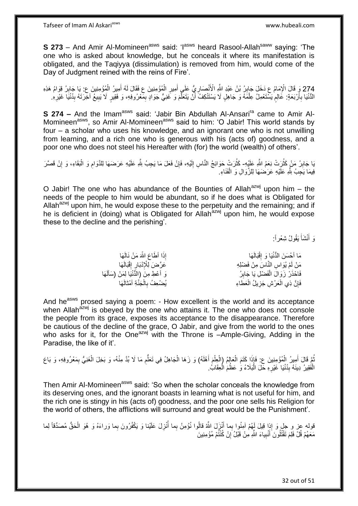**S 273** – And Amir Al-Momineen<sup>asws</sup> said: 'I<sup>asws</sup> heard Rasool-Allah<sup>saww</sup> saying: 'The one who is asked about knowledge, but he conceals it where its manifestation is obligated, and the Taqiyya (dissimulation) is removed from him, would come of the Day of Judgment reined with the reins of Fire'.

274 وَ قَالَ الْإِمَامُ عِ دَخَلَ جَابِرُ. بْنُ عَبْدِ اللَّهِ الْأَنْصَارِيُّ عَلَي أَمِيرِ الْمُؤْمِنِينَ عِ فَقَالَ لَهُ أَمِيرُ الْمُؤْمِنِينَ عِ يَا جَابِرُ قِوَامُ هَذِهِ<br>ثَلاثِ وَمِن مِنْ وَفَالَ الْإِمَامُ عِ دَفِ ِ ْ َ ْ َ ْ ِ الدُّنْيَا بِأَرْبَعَةٍ: عَالِمٍ يَسْتَعْمِلُ عِلْمَهُ وَ جَاهِلٍ لَا يَسْتَنْكِفُ أَنْ يَتَعَلَّمَ وَ غَنِيٍّ جَوَادٍ بِمَعْرُوفِهِ، وَ فَقِيرٍ لَا يَبِيعُ آخَرَتَهُ بِدُنْيَا غَيْرِهِ ه َ ْ ٍ َ **∶** ِ ِ ِ ِ

**S 274 -** And the Imam<sup>asws</sup> said: 'Jabir Bin Abdullah Al-Ansari<sup>ra</sup> came to Amir Al-Momineen<sup>asws</sup>, so Amir Al-Momineen<sup>asws</sup> said to him: 'O Jabir! This world stands by four – a scholar who uses his knowledge, and an ignorant one who is not unwilling from learning, and a rich one who is generous with his (acts of) goodness, and a poor one who does not steel his Hereafter with (for) the world (wealth) of others'.

ُبَا جَابِرُ ۚ مَنْ كَثُرَتْ نِعَمُ اللَّهِ عَلَيْهِ- كَثُرَتْ حَوَائِجُ النَّاسِ إِلَيْهِ، فَإِنْ فَعَلَ مَا يَجِبُ لِلَّهِ عَلَيْهِ عَرَضَهَا لِلذَّوامِ وَ الْبَقَاءِ، وَ إِنْ قَصَّرَ ان<br>سالات **!** ِ ْ ِ ِ لَ ِ ن<br>نال فِيمَا يَجِبُ لِثَّهِ عَلَيْهِ عَرَضَهَا لِلزَّوَالِ وَ الْفَنَاءِ. ْ

O Jabir! The one who has abundance of the Bounties of Allah<sup>azwj</sup> upon him – the needs of the people to him would be abundant, so if he does what is Obligated for Allah<sup>azwj</sup> upon him, he would expose these to the perpetuity and the remaining; and if he is deficient in (doing) what is Obligated for Allah<sup>azwj</sup> upon him, he would expose these to the decline and the perishing'.

> وَ أَنْشَأَ يَقُولُ شِعْراً: َ َ

| إِذَا أَطَاعَ اللَّهَ مَنْ نَالَهَا          | مَا أَحْسَنَ الْدُّنْيَا وَ إِقْبَالَهَا |
|----------------------------------------------|------------------------------------------|
| عَرَّضَ لِلْإِدْبَارِ إِقْبَالَهَا           | مَنْ لَمْ يُوَاسِ النَّاسَ مِنْ فَضْلِهِ |
| وَ أَعْطِ مِنَ (الدُّنْيَا لِمَنْ (سَأَلَهَا | فَاحْذَرْ زَوَالَ الْفَضْلِ يَا جَابِرُ  |
| يُضْعِفُ بِالْجَنَّةِ أَمْثَالَهَا           | فَإِنَّ ذِي الْعَرْشِ جَزِيلُ الْعَطَاءِ |

And he<sup>asws</sup> prosed saying a poem: - How excellent is the world and its acceptance when Allah<sup>azwj</sup> is obeyed by the one who attains it. The one who does not console the people from its grace, exposes its acceptance to the disappearance. Therefore be cautious of the decline of the grace, O Jabir, and give from the world to the ones who asks for it, for the One<sup>azwj</sup> with the Throne is  $-Amp$ le-Giving, Adding in the Paradise, the like of it'.

نُمَّ قَالَ أَمِيرُ الْمُؤْمِنِينَ ع: فَإِذَا كَتَمَ الْعَالِمُ (الْعِلْمَ أَهْلَهُ) وَ زَهَا الْجَاهِلُ فِي تَعَلّْمِ مَا لَا بُدَّ مِنْهُ، وَ بَخِلَ الْغَنِيُّ بِمَعْرُوفِهِ، وَ بَاعَ ِ ُّ ْ َ ْ ْ ْ ْ َ ِ ْ الْفُقِيرُ دِينَهُ بِدُنْيَا غَيْرِهِ حَلَ الْبَلَاءُ وَٰ عَظُمَ الْعِقَابُ. **∶** ِ ْ ْ :<br>ا

Then Amir Al-Momineen<sup>asws</sup> said: 'So when the scholar conceals the knowledge from its deserving ones, and the ignorant boasts in learning what is not useful for him, and the rich one is stingy in his (acts of) goodness, and the poor one sells his Religion for the world of others, the afflictions will surround and great would be the Punishment'.

ُقوله عز و جل وَ إِذا قِيلَ لَهُمْ آمِنُوا بِما أَنْزَلَ اللَّهُ قالُوا نُؤْمِنُ بِما أُنْزِلَ عَلَيْنا وَ يَكْفُرُونَ بِما وَراءَهُ وَ هُوَ الْحَقُّ مُصَدِّقاً لِما َ ْ **∶** ا<br>ا مَعَهُمْ قُلْ فَلِمَ تَقْتُلُونَ أَنْبِياءَ اللَّهِ مِنْ قَبْلُ إِنْ كُنْتُمْ مُؤْمِنِينَ ِ **!** َ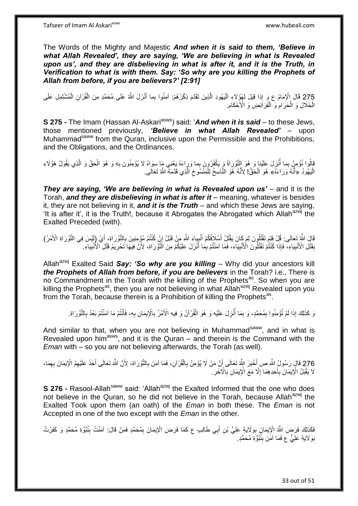The Words of the Mighty and Majestic *And when it is said to them, 'Believe in what Allah Revealed', they are saying, 'We are believing in what is Revealed*  upon us', and they are disbelieving in what is after it, and it is the Truth, in *Verification to what is with them. Say: 'So why are you killing the Prophets of Allah from before, if you are believers?' [2:91]*

275 قَالَ الْإِمَامُ ع وَرِ إِذا قِيلَ لِهَؤٍُلَاءِ الْيَهُودِ الَّذِينَ تَقَدَّمَ ذِكْرُهُمْ: أَمِنُوا بِما أُنْزَلَ اللَّهُ عَلَى مُحَمَّدٍ مِنَ الْقُرْآنِ الْمُشْتَمِلِ عَلَى ْ ْ ْ َ ِ ه :<br>ا الْحَلَالِ وَ الْحَرَامِ وَ الْفَرَاَئِضِ وَ الْأَحْكَامِ. ْ **ُ** ْ ْ ِ

**S 275 -** The Imam (Hassan Al-Askari<sup>asws</sup>) said: '*And when it is said* – to these Jews, those mentioned previously, *'Believe in what Allah Revealed'* – upon Muhammad<sup>saww</sup> from the Quran, inclusive upon the Permissible and the Prohibitions, and the Obligations, and the Ordinances.

قالُوا نُؤمِنُ بِما أُنْزِلَ عَلَيْنا وَ هُوَ النُّوْرَاةُ وَ يَكْفُرُونَ بِما وَرٍاءَهُ يَعْنِي مَا سِوَاهُ لَا يُؤمِنُونَ بِهِ وَ هُوَ الْحَقُ وَ الَّذِي يَقُولُ هَؤُلَاءِ ֦֧֦֧ ا<br>أ **∶** ه الْيَهُودُ ۚ «أَنَّهُ وَرَاءَهُ» هُوَ الْحَقُّ! لِأَنَّهُ هُوَ النَّاسِخُ لِلْمَنْسُوخِ الَّذِي قَدَّمَهُ اللَّهُ تَعَالَى. ا<br>ا َ ه ِ ْ ْ

*They are saying, 'We are believing in what is Revealed upon us'* – and it is the Torah, *and they are disbelieving in what is after it* – meaning, whatever is besides it, they are not believing in it, *and it is the Truth* – and which these Jews are saying, 'It is after it', it is the Truth!, because it Abrogates the Abrogated which Allah<sup>azwj</sup> the Exalted Preceded (with).

قَالَ اللَّهُ تَعَالَى: قُلْ فَلِمَ تَقْتُلُونَ لِمَ كَانَ يَقْتُلُ أَسْلَافُكُمْ أَنْبِياءَ اللَّهِ مِنْ قَبْلُ إِنْ كُنْتُمْ مُؤْمِنِينَ بِالنَّوْرَاةِ، أَيْ إِلَيْسَ فِي النَّوْرَاةِ الْأَمْرُ) َ ׀<br>֦֦֧֝֝֝֝֝֝֝֝֝֝֝֝֝֝֝֝֝֝֝֝֝֞*֡* ِ َ َ ِ بِقَنْلِ الْأَنْبِيَاءِ، فَإِذَا كُنْتُمْ تَقْتُلُونَ الْأَنْبِيَاءَ، فَمَا آمَنْتُمْ بِمَا أَنْزَلَ عَلَيْكُمْ مِنَ الْثَّوَرَاةِ، لِأَنَّ فِيهَا تَحْرِيمُ قَتْلِ الْأُنْبِيَاءِ. **! ! ِ** ِ ِ َ ِ

Allah<sup>azwj</sup> Exalted Said Say: 'So why are you killing – Why did your ancestors kill *the Prophets of Allah from before, if you are believers* in the Torah? i.e., There is no Commandment in the Torah with the killing of the Prophets<sup>as</sup>. So when you are killing the Prophets<sup>as</sup>, then you are not believing in what Allah<sup>azwj</sup> Revealed upon you from the Torah, because therein is a Prohibition of killing the Prophets<sup>as</sup>.

وَ كَذَلِكَ إِذَا لَمْ تُؤْمِنُوا بِمُحَمَّدٍ، وَ بِمَا أُنْزِلَ عَلَيْهِ وَ هُوَ الْقُرْآنُ وَ فِيهِ الْأَمْرُ بِالْإِيمَانِ بِهِ- فَأَنْتُمْ مَا آمَنْتُمْ بَعْدُ بِالتَّوْرَاةِ. ِ ْ **∶** ا<br>ا ِ ِ ِ ِ َ

And similar to that, when you are not believing in Muhammad<sup>saww</sup>, and in what is Revealed upon him<sup>asws</sup>, and it is the Quran – and therein is the Command with the *Eman* with – so you are not believing afterwards, the Torah (as well).

276 قَالَ رَسُولُ اللَّهِ صِ أَخْبَرَ اللَّهُ تَعَالَى أَنَّ مَنْ لَا يُؤْمِنُ بِالْقُوْاَنِ، فَمَا آمَنَ بِالتَّوْرَاةِ، لِأَنَّ اللَّهَ تَعَالَى أَخَذَ عَلَيْهِمُ الْإِيمَانَ بِهِمَا،<br>نَمِّذُنُّوْ وَرَسُولُ اللَّهِ صَلَ ْ َ ْ **∶** َ َ لَا يَقْبَلُ الْإِيمَانَ بِأَحَدِهِمَا إِلَّا مَعَ الْإِيمَانِ بِالْآخَرِ. **∶ ∶** ِ َ ِ

**S 276 -** Rasool-Allah<sup>saww</sup> said: 'Allah<sup>azwj</sup> the Exalted Informed that the one who does not believe in the Quran, so he did not believe in the Torah, because Allah $a^{2xy}$  the Exalted Took upon them (an oath) of the *Eman* in both these. The *Eman* is not Accepted in one of the two except with the *Eman* in the other.

فَكَذَلِكَ فَرَضَ اللَّهُ الْإِيمَانَ بِوَلَايَةٍ عَلِيٍّ بْنِ أَبِي طَالِبٍ ع كَمَا فَرَضَ الْإِيمَانَ بِمُحَمَّدٍ فَمَنْ قَالَ: آمَنْتُ بِنُبُوَّةِ مُحَمَّدٍ وَ كَفَرْتُ ِ ِ َ ِ بِوَلَايَةِ عَلِيٍّ ع فَمَا آمَنَ بِنُبُوَّةِ مُحَمَّدٍ. ِ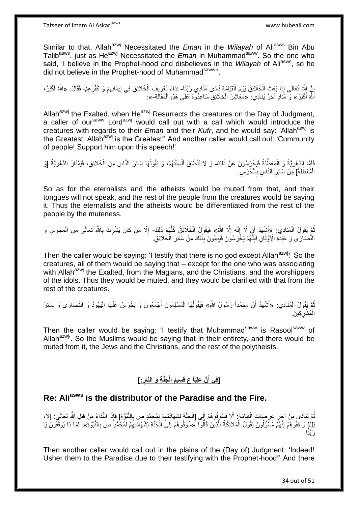Similar to that, Allah<sup>azwj</sup> Necessitated the *Eman* in the *Wilayah* of Ali<sup>asws</sup> Bin Abu Talib<sup>asws</sup>, just as He<sup>azwj</sup> Necessitated the *Eman* in Muhammad<sup>saww</sup>. So the one who said, 'I believe in the Prophet-hood and disbelieves in the *Wilayah* of Aliasws, so he did not believe in the Prophet-hood of Muhammad<sup>saww</sup>

إِنَّ الثَّهَ تَعَالَى إِذَا بَعَثَ الْخَلَائِقَ يَوْمَ الْقِيَامَةِ نَادَى مُنَادِي رَبِّنَا- نِدَاءَ تَعْرِيفِ الْخَلَائِقِ فِي إِيمَانِهِمْ وَ كُفْرِهِمْ، فَقَالَ: «الثَّهُ أَكْبَرُ، <u>֖֚֚֚֚֚֚֚֓</u> ْ ْ ْ ِ ِ ِ ِ َ اَنَّهُ أَكْبَرُ » وَ مُنَادٍ آخَرُ يُنَادِي: «مَعَاشِرَ الْخَلَائِقِ سَاعِدُوهُ عَلَى هَذِهِ الْمَقَالَةِ-»: َ ْ ْ

Allah<sup>azwj</sup> the Exalted, when He<sup>azwj</sup> Resurrects the creatures on the Day of Judgment, a caller of our<sup>saww</sup> Lord<sup>azwj</sup> would call out with a call which would introduce the creatures with regards to their *Eman* and their *Kufr*, and he would say: 'Allah<sup>azwj</sup> is the Greatest! Allah<sup>azwj</sup> is the Greatest!' And another caller would call out: 'Community of people! Support him upon this speech!'

فَأَمَّا إِذَهْرِيَّةُ وَ الْمُعَطِّّلَةُ فَيَخْرَسُونَ عَنْ ذَلِكَ- وَ لَا تَنْطَلِقُ أَلْسِنَتُهُمْ، وَ يَقُولُهَا سَائِرُ النَّاسِ مِنَ الْخَلَائِقِ، فَيَمْتَازُ الدَّهْرِيَّةُ [وَ ْ ِ ْ ِ ْ ُ الْمُعَطِّلَةُ] مِنْ سَائِرِ النَّاسِ بِالْخَرْسِ ْ **∶** ِ ْ

So as for the eternalists and the atheists would be muted from that, and their tongues will not speak, and the rest of the people from the creatures would be saying it. Thus the eternalists and the atheists would be differentiated from the rest of the people by the muteness.

تُمَّ يَقُولُ الْمُنَادِي: «إِنَّشِهَدُ أَنْ لَا إِلَهَ إِلَّا الشَّهُ» فَيَقُولُ الْخَلَائِقُ كُلُّهُمْ ذَلِكَ- إِلَّا مَنْ كَانَ يُشْرِكُ بِاللَّهِ تَعَالَى مِنَ الْمَجُوسِ وَ ْ ِ لَ ِ اُ ُّ ْ ْ ِ ِ ِ النُّصَارَى وَ عَبَدَةِ الْأَوْثَانِ فَإِنَّهُمْ يَخْرَسُونَ فَيَبِينُونَ بِذَلِكَ مِنْ سَائِرِ الْخُلائِقِ. ِ ة<br>أ ْ ِ ِ

Then the caller would be saying: 'I testify that there is no god except Allah<sup>azwj</sup>!' So the creatures, all of them would be saying that – except for the one who was associating with Allah<sup>azwj</sup> the Exalted, from the Magians, and the Christians, and the worshippers of the idols. Thus they would be muted, and they would be clarified with that from the rest of the creatures.

ثُمَّ يَقُولُ الْمُنَادِي: «أَشْهَدُ أَنَّ مُحَمَّداً رَسُولُ اللَّهِ» فَيَقُولُهَا الْمُسْلِمُونَ أَجْمَعُونَ وَ يَخْرَسُ عَنْهَا الْيَهُودُ وَ النَّصَارَى وَ سَائِرُ ْ ُ اً ْ ا<br>ا ْ َ الْمُشْرِكِينَ. ِ ْ

Then the caller would be saying: 'I testify that Muhammad<sup>saww</sup> is Rasool<sup>saww</sup> of Allah<sup>azwj</sup>. So the Muslims would be saying that in their entirety, and there would be muted from it, the Jews and the Christians, and the rest of the polytheists.

# **]:ِ َجَّن ِة َو الَّنار ُم الْ ِسي َّن َعلِّياً ع قَ ]فِي أ**

# **Re: Aliasws is the distributor of the Paradise and the Fire.**

نُّمَّ يُنَادَى مِنْ آخِرِ عَرَصَاتِ الْقِيَامَةِ: أَلَا فَسُوقُوهُمْ إِلَى [الْجَنَّةِ لِشَهَادَتِهِمْ لِمُحَمَّدٍ ص بِالنُّبُوَّةِ] فَإِذَا النِّدَاءُ مِنْ قِبَلِ النُّوِ تَعَالَى . [لَا، َ ْ **∶** ُ ِ ِ ْ  $\frac{1}{2}$ بَلْ] وَ قِفُوهُمْ إِنَّهُمْ مَسْؤُلُونَ يَقُولُ الْمَلَائِكَةُ الَّذِينَ فَاَلُوا «سُوقُوهُمْ إِلَىَ الْجَنَّة لِشَهَادَتِهِمْ لِمُحَمَّدٍ ص بِالنُّبُوَّةِ»: لِمَا ذَا يُوقَفُونَ يَا ا<br>ا יִי (ו ُ ه ْ ْ ∣∣<br>∶ ِ ِ َ رَبَّنَا

Then another caller would call out in the plains of the (Day of) Judgment: 'Indeed! Usher them to the Paradise due to their testifying with the Prophet-hood!' And there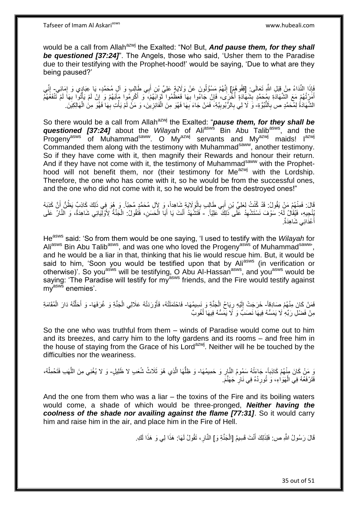would be a call from Allah<sup>azwj</sup> the Exalted: "No! But, **And pause them, for they shall** *be questioned [37:24]*". The Angels, those who said, 'Usher them to the Paradise due to their testifying with the Prophet-hood!' would be saying, 'Due to what are they being paused?'

فَإِذَا النِّدَاءُ مِنْ قِبَلِ اللَّهِ تَعَالَى: [قِفُوهُمْ] إِنَّهُمْ مَسْؤُلُونَ عَنْ وَلَايَةٍ عَلِيِّ بْنِ أَبِي طَالِبٍ وَ آلِ مُحَمَّدٍ، يَا عِبَادٍي وَ إِمَائِي- إِنِّي ِ ِ َ ِ أَمَرْتُهُمْ مَعَ الشَّهَادَةِ بِمُحَمَّدٍ بِشَهَّادَةٍ أُخْرَى، فَإِنْ جَاءُوا بِهَا فَعَظُّمُوا ثَوَابَهُمْ، وَ أَكْرِمُوا مَآتِهُمْ وَ إِنْ لَمْ يَأْتُوا بِهَا لَمْ تَتْفَعُهُمْ ِ ابل<br>ا **∣** ِ ِ َ َ **∶ ∶** :<br>أ ِ الشَّهَادَةُ لِمُحَمَّدٍ ص بِاَلنَّبُوَّةِ- وَ لَا لِي بِالرُّبُوبِيَّةِ، فَمَنْ جَاءَ بِهَا فَهُوَ مِنَ الْفَائِزِينَ، وَ مَنْ لَمْ يَأْتِ بِهَا فَهُوَ مِنَ الْهَالِكِينَ **∶ ∶ المشارا** ِ ْ ِ ِ ِ ْ

So there would be a call from Allah<sup>azwj</sup> the Exalted: "**pause them, for they shall be** *questioned [37:24]* about the *Wilayah* of Ali<sup>asws</sup> Bin Abu Talib<sup>asws</sup>, and the Progeny<sup>asws</sup> of Muhammad<sup>saww</sup>. O My<sup>azwj</sup> servants and My<sup>azwj</sup> maids! I<sup>azwj</sup> Commanded them along with the testimony with Muhammad<sup>saww</sup>, another testimony. So if they have come with it, then magnify their Rewards and honour their return. And if they have not come with it, the testimony of Muhammad<sup>saww</sup> with the Prophethood will not benefit them, nor (their testimony for Me<sup>azwj</sup> with the Lordship. Therefore, the one who has come with it, so he would be from the successful ones, and the one who did not come with it, so he would be from the destroyed ones!"

قَالَ: فَمِنْهُمْ مَنْ يَقُولُ: قَدْ كُنْتُ لِعَلِيِّ بْنِ أَبِي طَالِبٍ بِالْوَلَايَةِ شَاهِداً، وَ لِإِل مُحَمَّدٍ مُحِبَّاً. وَ هُوَ فِي ذَلِكَ كَاذِبٌ يَظُنُّ أَنَّ كَذِبَهُ ْ ِ َ َ يُنْجِيهِ، فَيُقَالُ لَّهُ: سَوْفَ نَسْتَشْهِدُ عَلَى ذَلِكَ عَلِيّاً. - فَتَشْهَدُ أَنْتَ يَا أَبَا الْحَسَنِ، فَتَقُولُ: الْجَنَّةُ لِأَوْلَٰئِيلِي شَاهِدَةٌ، وَ النَّالُ عَلَى ِ ْ َ ْ أَعْدَائِي شَاهِدَةٌ. َ

Heasws said: 'So from them would be one saying, 'I used to testify with the *Wilayah* for Aliasws Bin Abu Talib<sup>asws</sup>, and was one who loved the Progeny<sup>asws</sup> of Muhammad<sup>saww</sup>', and he would be a liar in that, thinking that his lie would rescue him. But, it would be said to him, 'Soon you would be testified upon that by Aliasws (in verification or otherwise)'. So you<sup>asws</sup> will be testifying, O Abu Al-Hassan<sup>asws</sup>, and you<sup>asws</sup> would be saying: 'The Paradise will testify for my<sup>asws</sup> friends, and the Fire would testify against my<sup>asws</sup> enemies'.

فَمَنْ كَانَ مِنْهُمْ صَادِقاً- خَرَجَتْ إِلَيْهِ رِيَاحُ الْجَنَّةِ وَ نَسِيمُهَا- فَاحْتَمَلَتْهُ، فَأَوْرَدَتْهُ عَلَالِي الْجَنَّةِ وَ غُرَفَهَا- وَ أَحَلَّتْهُ دَارَ الْمُقَامَةِ ْ ِ لَ  $\frac{1}{2}$ ْ َ ْ ه َ مِنْ فَضْلِ رَبِّهِ لَا يَمَسُّهُ فِيهَا نَصَبٌّ وَ لَا يَمَسُّهُ فِيهَا لُغُوبٌ ٔ<br>ا

So the one who was truthful from them – winds of Paradise would come out to him and its breezes, and carry him to the lofty gardens and its rooms – and free him in the house of staying from the Grace of his Lord<sup>azwj</sup>. Neither will he be touched by the difficulties nor the weariness.

وَ مَنْ كَانَ مِنْهُمْ كَاذِباً- جَاءَتْهُ سَمُومُ النَّارِ وَ حَمِيمُهَا- وَ ظِلْهَا الَّذِي هُوَ ثَلَاثُ شُعَبٍ لا ظَلِيلٍ- وَ لا يُغْنِي مِنَ اللَّهَبِ فَتَحْمِلُهُ، **∶**  $\overline{a}$ ه فَتَرْفَعُهُ فِي الْهَوَاءِ، وَ تُورِدُهُ فِي نَارِ جَهَنَّمَ. ِ ِ ْ

And the one from them who was a liar – the toxins of the Fire and its boiling waters would come, a shade of which would be three-pronged, *Neither having the coolness of the shade nor availing against the flame [77:31]*. So it would carry him and raise him in the air, and place him in the Fire of Hell.

> قَالَ رَسُولُ اللَّهِ ص: فَلِذَلِكَ أَنْتَ قَسِيمُ [الْجَذَّةِ وَ] النَّارِ ، تَقُولُ لَهَا: هَذَا لِي وَ هَذَا لَكِ َ **∶** ْ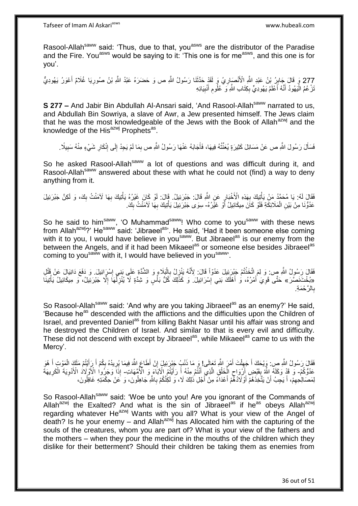Rasool-Allah<sup>saww</sup> said: 'Thus, due to that, you<sup>asws</sup> are the distributor of the Paradise and the Fire. You<sup>asws</sup> would be saying to it: 'This one is for me<sup>asws</sup>, and this one is for you'.

277 وَ قَالَ جَابِرُ بْنُ عَبْدِ الثَّهِ الْأَنْصَارِيُ وَ لَقَدْ حَدَّثَنَا رَسُولُ اللَّهِ ص وَ حَضَرَهُ عَبْدُ اللَّهِ بْنُ صُورِيَا غُلَامٌ أَعْوَرُ يَهُودِيٌّ<br>277 وَ وَ قَالَ جَابِرُ بَيْنَ عَبْدِ اللَّهِ الْأَنْصَار َ ْ ।<br>इ نَرْ عُمُ الْيَهُودُ أَنَّهُ أَعْلَمُ يَهُودِيٍّ بِكِتَابِ اللَّهِ وَ ۚ عُلُومِ أَنْبِيَائِهِ **!** َ ِ ِ َ َ ا<br>ا

**S 277 –** And Jabir Bin Abdullah Al-Ansari said, 'And Rasool-Allah<sup>saww</sup> narrated to us, and Abdullah Bin Sowriya, a slave of Awr, a Jew presented himself. The Jews claim that he was the most knowledgeable of the Jews with the Book of Allah<sup>azwj</sup> and the knowledge of the His<sup>azwj</sup> Prophets<sup>as</sup>.

فَسَأَلَ رَسُولَ اللَّهِ ص عَنْ مَسَائِلَ كَثِيرَةٍ يُعَنِّثُهُ فِيهَا، فَأَجَابَهُ عَنْهَا رَسُولُ اللَّهِ ص بِمَا لَمْ يَجِدْ إِلَى إِنْكَارِ شَيْءٍ مِنْهُ سَبِيلًا \_ َ ِ ِ ِ ِ َ ِ

So he asked Rasool-Allah<sup>saww</sup> a lot of questions and was difficult during it, and Rasool-Allah<sup>saww</sup> answered about these with what he could not (find) a way to deny anything from it.

فَقَالَ لَهُ: يَا مُحَمَّدُ مَنْ يَأْتِيكَ بِهَذِهِ الْأَخْبَارِ عَنِ اللَّهِ قَالَ: جَبْرَئِيلُ. قَالَ: لَوْ كَانَ غَيْرُهُ يَأْتِيكَ بِهَا لَآمَنْتُ بِكَ، وَ لَكِنَّ جَبْرَئِيلَ ِ **∶** ْ ِ ِ ْ عَدُوٌّنَا مِنْ بَيْنِ الْمَلَائِكَةِ فَلَوْ كَانَ مِيكَائِيلُ أَوْ غَيْرُهُ- سِوَى جَبْرَئِيلَ يَأْتِيكَ بِهَا لَآمَنْتُ بِكَ. اُ ْ ِ ِ ْ

So he said to him<sup>saww</sup>, 'O Muhammad<sup>saww</sup>! Who come to you<sup>saww</sup> with these news from Allah<sup>azwj</sup>?' He<sup>saww</sup> said: 'Jibraeel<sup>as</sup>'. He said, 'Had it been someone else coming with it to you, I would have believe in you<sup>saww</sup>. But Jibraeel<sup>as</sup> is our enemy from the between the Angels, and if it had been Mikaeel<sup>as</sup> or someone else besides Jibraeel<sup>as</sup> coming to you<sup>saww</sup> with it, I would have believed in you<sup>saww</sup>.

فَقَالَ رَسُولُ اللَّهِ صٍ وَ لِمَ اتَّخَذْتُمْ جَبْرَئِيلَ عَدُوّاً قَالَ: لِأَنَّهُ يَنْزِلُ بِالْبَلَاءِ وَ الشَّدَّةِ عَلَى بَنِي إِسْرَائِيلَ. وَ دَفَعَ دَانِيَالَ عَنْ قَتْلِ ِ **ٔ** ِ ْ ِ «بُخْتَنَصَّرَ» حَتَّى قَوِيَ ٰأَمْرُهُ، وَ أَهْلَكَ بَنِي إِسْرَائِيلَ. وَ كَذَلِكَ كُلُّ بَأْسٍ وَ شِدَّةٍ لَا يُنْزِلُهَا إِلَّا جَبْرَئِيلُ، وَ مِيكَائِيلُ يَأْتِينَا ِ َ َ ْ ا<br>ا ا<br>ا ِ ْ الرَّحْمَةِ. **∶** ب

So Rasool-Allah<sup>saww</sup> said: 'And why are you taking Jibraeel<sup>as</sup> as an enemy?' He said, 'Because he<sup>as</sup> descended with the afflictions and the difficulties upon the Children of Israel, and prevented Daniel<sup>as</sup> from killing Bakht Nasar until his affair was strong and he destroyed the Children of Israel. And similar to that is every evil and difficulty. These did not descend with except by Jibraeel<sup>as</sup>, while Mikaeel<sup>as</sup> came to us with the Mercy'.

فَقَالَ رَسُولُ اللَّهِ صِ. وَيْحَكَ أَ جَهِلْتَ أَمْرَ اللَّهِ تَعَالَى! وَ مَا ذَنْبُ جَبْرَئِيلَ إِنْ أَطَاعِ اللَّهَ فِيمَا يُرِيدُهُ بِكُمْ أَ رَأَيْتُمْ مَلَكَ الْمَوْتِ أَ هُوَ ِ َ ْ ِ َ َ ْ َ َ ِ ِ ِّهَ وَلَا الْأَوْلَادُ اللَّهُ بِقَبْضٍ أَزْوَاحٍ الْخَلْقِ الَّذِي أَنْثُمْ مِنْهُ أَ رَأَيْتُمُ الْأَبَاءَ وَ الْأَهْهَاتِ- إِذَا ۖ وَجَزُوا الْأَوْلَادُ الْأَدْوِيَةَ الْكَرِيهَةَ َ َ َ ه ْ ْ ِ **∣** ِ ْ ِ لِمَصَالِحِهِمْ، أَ يَجِبُ أَنْ يَتَّخِذَهُمْ أَوْلَادُهُّمْ أَعْدَاءً مِنْ أَجْلِ ذَلِكَ لَا، وَ لَكِنَّكُمْ بِاللَّهِ جَاهِلُونَ، وَ عَنْ حِكْمَتِهِ غَافِلُونَ، ُ ِ َ َ َ اً َ ِ اُ

So Rasool-Allah<sup>saww</sup> said: 'Woe be unto you! Are you ignorant of the Commands of Allah<sup>azwj</sup> the Exalted? And what is the sin of Jibraeel<sup>as</sup> if he<sup>as</sup> obeys Allah<sup>azwj</sup> regarding whatever He<sup>azwj</sup> Wants with you all? What is your view of the Angel of death? Is he your enemy – and Allah<sup>azwj</sup> has Allocated him with the capturing of the souls of the creatures, whom you are part of? What is your view of the fathers and the mothers – when they pour the medicine in the mouths of the children which they dislike for their betterment? Should their children be taking them as enemies from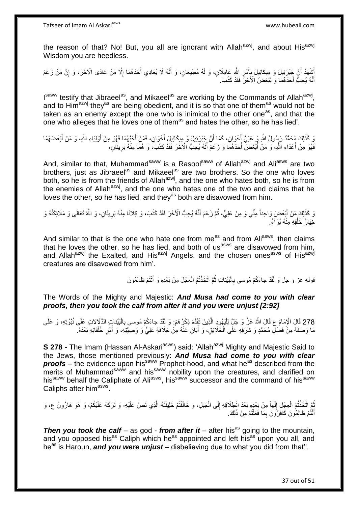the reason of that? No! But, you all are ignorant with Allah<sup>azwj</sup>, and about His<sup>azwj</sup> Wisdom you are heedless.

ُشْهَدُ أَنَّ جَبْرَئِيلَ وَ مِيكَائِيلَ بِأَمْرِ اللَّهِ عَامِلَانِ، وَ لَهُ مُطِيعَانِ، وَ أَنَّهُ لَا يُعَادِي أَحَدَهُمَا إِلَّا مَنْ عَادَى الْأَخَرَ، وَ إِنَّ مَنْ زَعَمَ َ َ ِ َ **∶** َ ِ ِ أَنَّهُ يُحِبُّ أَحَدَهُمَا وَ يُبْغِضُ الْأَخَرَ فَقَدْ كَذَبَ. َ ֪֪֪֪֪֪֪֦֪֪֦֪֪֪֦֘֝֟֘֝֟֘֝֟֘֝֟֓֟֘֝֬֟֓֟֓֡֟֓֕֓֞֟֓֡֟֓֟֓֡֟֓֟֓֡֟֓֡֟֓֡֟֓֡֟֞֟֞֟֞֟֓֞֞֟֞֓֞

I<sup>saww</sup> testify that Jibraeel<sup>as</sup>, and Mikaeel<sup>as</sup> are working by the Commands of Allah<sup>azwj</sup>, and to Him<sup>azwj</sup> they<sup>as</sup> are being obedient, and it is so that one of them<sup>as</sup> would not be taken as an enemy except the one who is inimical to the other one<sup>as</sup>, and that the one who alleges that he loves one of them<sup>as</sup> and hates the other, so he has lied'.

رَ كَذَلِكَ مُحَمَّدٌ رَسُولُ اللَّهِ وَ عَلِيٌّ أَخَوَانِ، كَمَا أَنَّ جَبْرَئِيلَ وَ مِبِكَائِيلَ أَخَوَانِ، فَمَنْ أَحَبَّهُمَا فَهُوَ مِنْ أَوْلِيَاءِ اللَّهِ، وَ مَنْ أَبْغَضَهُمَا<br>وَإِنَّ أَوْلِيَاءِ اللَّهِ، وَ مَن َ َ َ َ َ َ َ فَهُوَ مِنْ أَعْدَاءِ اللَّهِ، وَ مَنْ أَبْغَضَ أَحَدَهُمَا وَ زَعَمَ أَنَّهُ يُحِبُّ الْآخَرَ فَقَدْ كَذَبَ، وَ هُمَا مِنْهُ بَرِيئَانِ، َ َ ِ

And, similar to that, Muhammad<sup>saww</sup> is a Rasool<sup>saww</sup> of Allah<sup>azwj</sup> and Ali<sup>asws</sup> are two brothers, just as Jibraeel<sup>as</sup> and Mikaeel<sup>as</sup> are two brothers. So the one who loves both, so he is from the friends of Allah<sup>azwj</sup>, and the one who hates both, so he is from the enemies of Allah<sup>azwj</sup>, and the one who hates one of the two and claims that he loves the other, so he has lied, and they<sup>as</sup> both are disavowed from him.

وَ كَذَلِكَ مَنْ أَبْغَضَ وَاحِداً مِنِّي وَ مِنْ عَلِيٍّ، ثُمَّ زَعَمَ أَنَّهُ يُحِبُّ الْآخَرَ فَقَدْ كَذَبَ، وَ كِلَانَا مِنْهُ بَرِيئَانِ، وَ اللّهُ تَعَالَى وَ مَلَائِكَتُهُ وَ َ ِ َ ُ خِيَارُ خَلْقِهِ مِنْهُ بُرَآءُ. ْ

And similar to that is the one who hate one from me<sup>as</sup> and from Ali<sup>asws</sup>, then claims that he loves the other, so he has lied, and both of us<sup>asws</sup> are disavowed from him, and Allah<sup>azwj</sup> the Exalted, and His<sup>azwj</sup> Angels, and the chosen ones<sup>asws</sup> of His<sup>azwj</sup> creatures are disavowed from him'.

> قوله عز و جل وَ لَقَدْ جاءَكُمْ مُوسى بِالْبَيِّناتِ ثُمَّ اتَّخَذْتُمُ الْعِجْلَ مِنْ بَعْدِهِ وَ أَنْتُمْ ظالِمُونَ :<br>ا َ ْ **ٔ:** ُ

The Words of the Mighty and Majestic: *And Musa had come to you with clear proofs, then you took the calf from after it and you were unjust [2:92]*

278 قَالَ الْإِمَامُ عِ قَالَ اللَّهُ عَنَّ وَ جَلَّ لِلْيَهُودِ الَّذِينَ تَقَدَّمَ ذِكْرُ هُمْ: وَ لَقَدْ جاءَكُمْ مُوسى بِالْبَيِّناتِ الذَّلَالاتِ عَلَى نُبُوَّتِهِ، وَ عَلَى<br>278 قَالَ الْإِمَامُ عِ فَانَ سَبَّرَتَ مَ ْ ه ا.<br>إ مَا وَصَفَهُ مِنْ فَضْلِ مُحَمَّدٍ وَ شَرَفِهِ عَلَى الْخَلَائِقِ، وَ أَبَانَ عَنْهُ مِنْ خِلَافَةِ عَلِيٍّ وَ وَصِيَّتِهِ، وَ أَمْرِ خُلَفَائِهِ بَعْدَهُ. َ ْ ِ َ

**S 278 -** The Imam (Hassan Al-Askari<sup>asws</sup>) said: 'Allah<sup>azwj</sup> Mighty and Majestic Said to the Jews, those mentioned previously: *And Musa had come to you with clear*  **proofs** – the evidence upon his<sup>saww</sup> Prophet-hood, and what he<sup>as</sup> described from the merits of Muhammad<sup>saww</sup> and his<sup>saww</sup> nobility upon the creatures, and clarified on his aww behalf the Caliphate of Ali<sup>asws</sup>, his<sup>saww</sup> successor and the command of his<sup>saww</sup> successor and the command of his<sup>saww</sup> Caliphs after him<sup>asws</sup>.

ثُمَّ اتَّخَذْتُمُ الْعِجْلَ إِلَهاً مِنْ بَعْدٍهِ بَعْدَ انْطِلَاقِهِ إِلَى الْجَبَلِ، وَ خَالَفْتُمْ خَلِيفَتَهُ الَّذِي نَصَّ عَلَيْهِ- وَ تَرَكَهُ عَلَيْكُمْ، وَ هُوَ هَارُونُ ع، وَ ْ **ٔ** ُ ِ ه ْ  $\frac{1}{2}$ أَنْتُمْ ظالِمُونَ كَافِرُونَ بِمَا فَعَلْتُمْ مِنْ ذَلِكَ. ْ ِ

*Then you took the calf – as god - from after it – after his***<sup>as</sup> going to the mountain,** and you opposed his<sup>as</sup> Caliph which he<sup>as</sup> appointed and left his<sup>as</sup> upon you all, and he<sup>as</sup> is Haroun, **and you were unjust** – disbelieving due to what you did from that".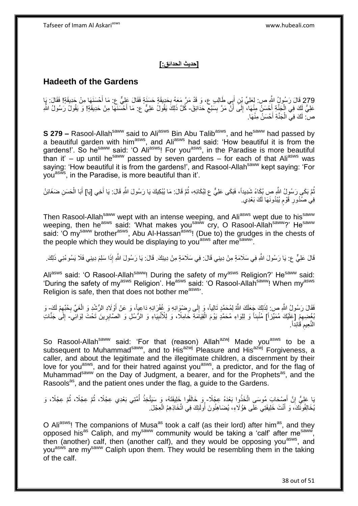#### **]حديث الحدائق:[**

# **Hadeeth of the Gardens**

279 قَالَ رَسُولُ اللَّهِ ص: لِعَلِيِّ بْنِ أَبِي طَالِبٍ ع، وَ قَدْ مَرَّ مَعَهُ بِحَدِيقَةٍ حَسَنَةٍ فَقَالَ عَلِيٍّ ع: مَا أَحْسَنَهَا مِنْ جَدِيقَةٍ! فَقَالَ: يَإِ َ ِ **∶** َ عَلِيُّ لَكَ فِي الْجَذَّةِ أَحْسَنُ مِنْهَا، ۖ إِلَى أَنْ مَرَّ بِسَبْعٍ حَدَائِقَ- كُلَّ ذَلِكَ يَقُولُ عَلِيٌّ ع: مَا أَحْسَنَهَا مِنْ حَدِيقَةٍ! وَ يَقُولُ رَسُولُ اللَّهِ ِ **!** َ ِ ْ َ َ صْ: لَكَ فِيِّ الْجَذَّةِ أَحْسَنُ مِنْهَا. َ ْ

**S 279 –** Rasool-Allah<sup>saww</sup> said to Ali<sup>asws</sup> Bin Abu Talib<sup>asws</sup>, and he<sup>saww</sup> had passed by a beautiful garden with him<sup>asws</sup>, and Ali<sup>asws</sup> had said: 'How beautiful it is from the gardens!'. So he<sup>saww</sup> said: 'O Ali<sup>asws</sup>! For you<sup>asws</sup>, in the Paradise is more beautiful than it' – up until he<sup>saww</sup> passed by seven gardens – for each of that Ali<sup>asws</sup> was saying: 'How beautiful it is from the gardens!', and Rasool-Allah<sup>saww</sup> kept saying: 'For vou<sup>asws</sup>, in the Paradise, is more beautiful than it'.

نُّمَّ بَكَى رَسُولُ اللَّهِ صِ بُكَاءً شَدِيداً، فَبَكَى عَلِيٌّ ع لِبُكَائِهِ، ثُمَّ قَالَ: مَا يُبْكِيكَ يَا رَسُولَ اللَّهِ قَالَ: يَا أَخِي [يَا] أَبَا الْحَسَنِ ضَغَائِنُ ُ ْ َ َ فِي صُدُورِ قَوْمِ يُبْدُونَهَا لَكَ بَعْدِي. ٍ **∶** 

Then Rasool-Allah<sup>saww</sup> wept with an intense weeping, and Ali<sup>asws</sup> wept due to his<sup>saww</sup> weeping, then he<sup>asws</sup> said: 'What makes you<sup>saww</sup> cry, O Rasool-Allah<sup>saww</sup>?' He<sup>saww</sup> said: 'O my<sup>saww</sup> brother<sup>asws</sup>, Abu Al-Hassan<sup>asws</sup>! (Due to) the grudges in the chests of the people which they would be displaying to you<sup>asws</sup> after me<sup>saww</sup>.

قَالَ عَلِيٌّ ع: يَا رَسُولَ اللَّهِ فِي سَلَامَةٍ مِنْ دِينِي قَالَ: فِي سَلَامَةٍ مِنْ دِينِكَ. قَالَ: يَا رَسُولَ اللَّهِ إِذَا سَلِمَ دِينِي فَلَا يَسُوءُنِي ذَلِكَ.

Ali<sup>asws</sup> said: 'O Rasool-Allah<sup>saww</sup>! During the safety of my<sup>asws</sup> Religion?' He<sup>saww</sup> said: 'During the safety of my<sup>asws</sup> Religion'. He<sup>asws</sup> said: 'O Rasool-Allah<sup>saww</sup>! When my<sup>asws</sup> Religion is safe, then that does not bother measws<sup>3</sup>.

فَقَالَ رَسُولُ اللَّهِ ص: لِذَلِكَ جَعَلَكَ اللَّهُ لِمُحَمَّدٍ تَالِياً، وَ إِلَى رِضْوَانِهِ وَ غُفْرَانِهِ دَاعِباً، وَ عَنْ أَوْلَادِ الرُّشْدِ وَ الْغَيِّ بِحُبِّهِمْ لَكَ ِ وَ ِ ِ ِ ِ ْ ِ بُغْضِيقِرْ [عَلَيْكَ مُمَيِّزاً] مُنْبِئاً وَ لِلِوَاءِ مُحَمَّدٍ يَوْمَ الْقِيَاَمَةِ خَامِلًا، وَ لِلْأَنْبِيَاءِ وَ الرُّسُلِ وَ الصَّابِرِينَ تَحْتَ لِوَائِّي- إِلَىٰ جَنَّاتِ **ِ** ِ ِ ْ ِ النَّعِيم<sup>ِ</sup> قَائِداً. **ُ** 

So Rasool-Allah<sup>saww</sup> said: 'For that (reason) Allah<sup>azwj</sup> Made you<sup>asws</sup> to be a subsequent to Muhammad<sup>saww</sup>, and to His<sup>azwj</sup> Pleasure and His<sup>azwj</sup> Forgiveness, a caller, and about the legitimate and the illegitimate children, a discernment by their love for you<sup>asws</sup>, and for their hatred against you<sup>asws</sup>, a predictor, and for the flag of Muhammad<sup>saww</sup> on the Day of Judgment, a bearer, and for the Prophets<sup>as</sup>, and the Rasools<sup>as</sup>, and the patient ones under the flag, a guide to the Gardens.

بَا عَلِيُّ إِنَّ أَصِنْحَابَ مُوسَى اتَّخَذُوا بَعْدَهُ عِجْلًا- وَ خَالَفُوا خَلِيفَتَهُ، وَ سَيَتَّخِذُ أُمَّتِي بَعْدِي عِجْلًا، ثُمَّ عِجْلًا، ثُمَّ عِجْلًا، وَ َ ِ ُ ُ ا<br>ا يُخَالِفُونَّكَ، وَ أَنْتَ خَلِيفَتِي عَلَى هَؤُلَاءِ، يُضَاهِئُونَ أَولَئِكَ فِي اتِّخَاذِهِمُ الْعِجْلَ. ْ ا<br>ا َ

O Ali<sup>asws</sup>! The companions of Musa<sup>as</sup> took a calf (as their lord) after him<sup>as</sup>, and they opposed his<sup>as</sup> Caliph, and my<sup>saww</sup> community would be taking a 'calf' after me<sup>saww</sup>, then (another) calf, then (another calf), and they would be opposing you<sup>asws</sup>, and you<sup>asws</sup> are my<sup>saww</sup> Caliph upon them. They would be resembling them in the taking of the calf.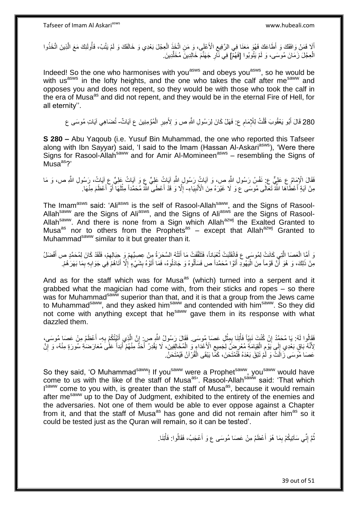أَلاَ فَمَنْ وَافَقَكَ وَ أَطَاعَكَ فَهُوَ مَعَنَا فِي الرَّفِيعِ الْأَعْلَى، وَ مَنِ اتَّخَذَ الْعِجْلَ بَعْدِي وَ خَالَفَكَ وَ لَمْ يَتُبْ، فَأُولَئِكَ مَعَ الَّذِينَ اتَّخَذُوا ْ ِ َ ه ا استعمال العاملية المصرية المصرية المصرية المصرية المصرية المصرية المصرية المصرية المصرية المصرية المصرية الم<br>المصرية المصرية المصرية المصرية المصرية المصرية المصرية المصرية المصرية المصرية المصرية المصرية المصرية المصري الْعِجْلَ زَمَانَ مُوسَى، وَ لَمْ يَتُوبُوا [فَهُمْ] فِي نَّارِ جَهَنَّمَ خَالِدِينَ مُخَلَّدِينَ. ْ ِ ه

Indeed! So the one who harmonises with you<sup>asws</sup> and obeys you<sup>asws</sup>, so he would be with us<sup>asws</sup> in the lofty heights, and the one who takes the calf after me<sup>saww</sup> and opposes you and does not repent, so they would be with those who took the calf in the era of Musa<sup>as</sup> and did not repent, and they would be in the eternal Fire of Hell, for all eternity''.

280 قَالَ أَبُو يَعْقُوبَ قُلْتُ لِلْإِمَامِ ع: فَهَلْ كَانَ لِرَسُولِ اللَّهِ ص وَ لِأَمِيرِ الْمُؤْمِنِينَ ع آياتٌ تُضَاهِي آيَاتٍ مُوسَى ع ْ َ ْ

**S 280 –** Abu Yaqoub (i.e. Yusuf Bin Muhammad, the one who reported this Tafseer along with Ibn Sayyar) said, 'I said to the Imam (Hassan Al-Askari<sup>asws</sup>), 'Were there Signs for Rasool-Allah<sup>saww</sup> and for Amir Al-Momineen<sup>asws</sup> – resembling the Signs of  $Musa<sup>as</sup>$ ?

فَقَالَ الْإِمَامُ عِ عَلِيٍّ عِ نَفْسُ رَسُولِ اللَّهِ ص، وَ آيَاتُ رَسُولِ اللَّهِ آيَاتُ عَلِيٍّ عِ وَ آيَاتُ عَلِيٍّ عِ آيَاتُ، رَسُولِ اللَّهِ ص، وَ مَا مِنْ آيَةٍ أَعْطُاهَا اللَّهُ تَعَالَى مُوسَى عَ وَ لَا غَيْرَهُ مِنَ الْأَنْبِيَاءِ- إِلَّا وَ قَدْ أَعْطَى اللَّهُ مُحَمَّداً مِثْلَهَا أَوْ أَعْظَمَ مِنْهَا ۚ ِ َ َ َ لَ **ٔ** َ ِ

The Imam<sup>asws</sup> said: 'Ali<sup>asws</sup> is the self of Rasool-Allah<sup>saww</sup>, and the Signs of Rasool-Allah<sup>saww</sup> are the Signs of Ali<sup>asws</sup>, and the Signs of Ali<sup>asws</sup> are the Signs of Rasool-Allah<sup>saww</sup>. And there is none from a Sign which Allah<sup>azwj</sup> the Exalted Granted to Musa<sup>as</sup> nor to others from the Prophets<sup>as</sup> – except that Allah<sup>azwj</sup> Granted to Muhammad<sup>saww</sup> similar to it but greater than it.

ِ وَ أَمَّا الْعَصَا الَّتِي كَانَتْ لِمُوسَى ع فَانْقَلَبَتْ نُعْبَاناً، فَتَلَقَّفَتْ مَا أَتَتْهُ السَّحَرَةُ مِنْ عِصِيِّهِمْ وَ حِبَالِهِمْ، فَلَقَدْ كَانَ لِمُحَمَّدٍ ص أَفْضَلُ ُ ه ْ ِ َ مِنْ ذَلِكَ، وَ هُوَ أَنَّ قَوْماً مِنَ الْيَهُودِ أَتَوْا مُحَمَّداً ص فَسَأَلُوهُ وَ جَادَلُوهُ، فَمَا أَتَوْهُ بِشَيْءٍ إِلَّا أَتَاهُمْ فِي جَوَابِهِ بِمَا بَهَرَهُمْ. ِ َ َ َ :<br>ا ۔<br>ا ِ **∶** َ ِ

And as for the staff which was for Musa<sup>as</sup> (which) turned into a serpent and it grabbed what the magician had come with, from their sticks and ropes – so there was for Muhammad<sup>saww</sup> superior than that, and it is that a group from the Jews came to Muhammad<sup>saww</sup>, and they asked him<sup>saww</sup> and contended with him<sup>saww</sup>. So they did not come with anything except that he<sup>saww</sup> gave them in its response with what dazzled them.

فَقَالُوا لَهُ: يَا مُحَمَّدُ إِنْ كُنْتَ نَبِيّاً فَأْتِنَا بِمِثْلِ عَصَا مُوسَى. فَقَالَ رَسُولُ اللَّهِ ص: إِنَّ الَّذِي أَتَيْتُكُمْ بِهِ- أَعْظَمُ مِنْ عَصَا مُوسَى، **ٔ** ្ត្ ْ  $\frac{1}{2}$ יֲ<br>י ِ َ ه ِ ا َ لِأَنَّهُ بَاقٍ بَعْدِي إِلَى يَوْمِ الْقِيَامَةِ مُعْرِضٌ لِكَمِيعِ الْأَعْدَاءِ ۖ وَ الْمُخَالِفِينَ، لَا يَقْدِرُ أَحَدٌ مِنْهُمْ أَبَداً عَلَٰىَ مُعَارَضَةِ سُورَةٍ مِنْهُ، وَ إِنَّ ِ ْ ِ ِ ِ َ َ ْ ્ عَصَا مُوَسَى زَالَتْ وَ لَمْ تَبْقَ بَعْدَهُ فَتُمْتَحَنَ، كَمَّا يَبْقَى الْقُرْآنُ فَيُمْتَحَنُ. ْ

So they said, 'O Muhammad<sup>saww</sup>! If you<sup>saww</sup> were a Prophet<sup>saww</sup>, you<sup>saww</sup> would have come to us with the like of the staff of Musa<sup>as</sup>'. Rasool-Allah<sup>saww</sup> said: 'That which I<sup>saww</sup> come to you with, is greater than the staff of Musa<sup>as</sup>, because it would remain after me<sup>saww</sup> up to the Day of Judgment, exhibited to the entirety of the enemies and the adversaries. Not one of them would be able to ever oppose against a Chapter from it, and that the staff of Musa<sup>as</sup> has gone and did not remain after him<sup>as</sup> so it could be tested just as the Quran will remain, so it can be tested'.

> ُّمَّ إِنِّي سَآتِيكُمْ بِمَا هُوَ أَعْظَمُ مِنْ عَصَا مُوسَى ع وَ أَعْجَبُ، فَقَالُوا: فَأْتِنَا. ْ َ اً<br>ا ِ ֺ֧֖ׅ֧ׅ֧֧֚֚֚֚֚֚֚֚֚֚֚֚֚֚֝֝֬֓֡֡֓֡֟֡֡֡֡֡֡֬֓֡֟֓֡֟֓֡֟֓֡֡֡֬֩֓֓֩ ُ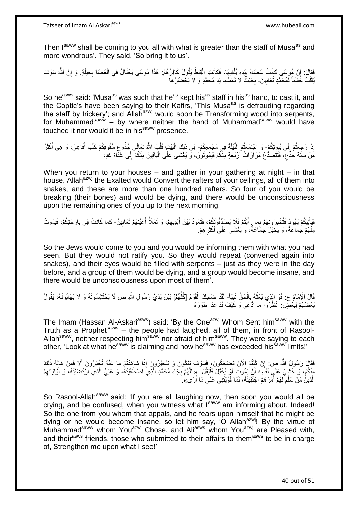Then Isaww shall be coming to you all with what is greater than the staff of Musa<sup>as</sup> and more wondrous'. They said, 'So bring it to us'.

ِّقَالَ: إِنَّ مُوسَى كَانَتْ عَصَاهُ بِبَدِهِ بُلْقِيهَا، فَكَانَتِ الْقِبْطُ يَقُولُ كَافِرُهُمْ: هَذَا مُوسَى يَحْتَالُ فِي الْعَصَا بِحِيلَةٍ. وَ إِنَّ اللَّهَ سَوْفَ ْ ْ ِ ֧<u>֚֚֚֚֚֚֓</u> ِ ِ ُقَلِّبُ خََشَباً لِمُحَمَّدٍ ثَعَابِينَ- بِحَيْثُ لَا تَمَسُّهَا يَدُ مُحَمَّدٍ وَ لَا يَحْضُرُ هَا **!** َ ِّ ِ

So he<sup>asws</sup> said: 'Musa<sup>as</sup> was such that he<sup>as</sup> kept his<sup>as</sup> staff in his<sup>as</sup> hand, to cast it, and the Coptic's have been saying to their Kafirs, 'This Musa<sup>as</sup> is defrauding regarding the staff by trickery'; and Allah<sup>azwj</sup> would soon be Transforming wood into serpents, for Muhammad<sup>saww</sup> – by where neither the hand of Muhammad<sup>saww</sup> would have touched it nor would it be in hissaww presence.

إِذَا رَجَعْتُمْ إِلَى بُيُوِتِكُمٍْ- وَ اجْتَمَعْتُمُ اللَّيْلَةَ فِي مَجْمَعِكُمْ- فِي ذَلِكَ الْبَيْتِ قَلَّبَ اللَّهُ تَعَالَى جُذُوعِ سُقُوفِكُمْ كُلَّهَا أَفَاعِيَ، وَ هِيَ أَكْثَرُ ِ ه َ أَ َ ه ه ْ مِّنْ مِائَةِ حِذَّعٍ، فَتَتَصَدُّعُ مَرَارَاتُ أَرْبَعَةٍ مِنْكُمْ فَيَمُوتُونَ، وَّ يُغْشَى عَلَى الْبَاقِينَ مِنْكُمْ إِلَى غَذَاةِ غَدٍ، ٍ ِ ْ

When you return to your houses – and gather in your gathering at night – in that house, Allah<sup>azwj</sup> the Exalted would Convert the rafters of your ceilings, all of them into snakes, and these are more than one hundred rafters. So four of you would be breaking (their bones) and would be dying, and there would be unconsciousness upon the remaining ones of you up to the next morning.

فَيَأْتِيكُمْ يَهُودُ فَتُخْبِرُ وِنَهُمْ بِمَا رِكَأَيْتُمْ فَلَا يُصَدِّقُونَكُمْ، فَتَعُودُ بَيْنَ أَيْدِيهِمْ، وَ تَمْلَأُ أَعْيُنَهُمْ ثَعَابِينُ- كَمَا كَانَتْ فِي بَارِحَتِكُمْ، فَيَمُوتُ ِ ْ ِ َ َ ِ َ َ ِ مِنْهُمْ جُمَاعَةٌ، وَ يُخَبَّلُ جُمَاعَةٌ، وَ يُغْشَى عَلَى أَكْثَرِهِمْ. **∶** َ

So the Jews would come to you and you would be informing them with what you had seen. But they would not ratify you. So they would repeat (converted again into snakes), and their eyes would be filled with serpents – just as they were in the day before, and a group of them would be dying, and a group would become insane, and there would be unconsciousness upon most of them'.

قَالَ الْإِمَامُ ع: فَوَ الَّذِي بَعَثَهُ بِالْحَقِّ نَبِيّاً- لَقَدْ ضَحِكَ الْقَوْمُ [كُلُّهُمْ] بَيْنَ يَدَيْ رَسُولِ اللَّهِ ص لَا يَخْتَشِمُونَهُ وَ لَا يَهَابُونَهُ، يَقُولُ **!** ْ ِ  $\ddot{\cdot}$ ه ُّ ْ بَعْضُهُمُ لِبَعْضٍ. اَنْظُرُوا مَا ادَّعَى وَ كََيْفَ قَدْ عَدَا طَوْرَهُ

The Imam (Hassan Al-Askari<sup>asws</sup>) said: 'By the One<sup>azwj</sup> Whom Sent him<sup>saww</sup> with the Truth as a Prophet<sup>saww</sup> – the people had laughed, all of them, in front of Rasool-Allah<sup>saww</sup>, neither respecting him<sup>saww</sup> nor afraid of him<sup>saww</sup>. They were saying to each other, 'Look at what he<sup>saww</sup> is claiming and how he<sup>saww</sup> has exceeded his<sup>saww</sup> limits!'

ْْل َن َت ْض َح ُكو َن، َف َسْو َف َتْب ُكو َن َو َتَت َحهي ُرو َن َفَقا َل َر ُسو ُل هَّللاِ ص: ُم ا تُ ْن ُكنْ ُه تُ ْخ إ َب ُرو َنْم َما َعنْ ا َشا َهْدتُ إ لِ َك ِذَ ُه ذَ ََل َف َم ْن َهالَ أ ِ َ مِنْكُمْ، وَ خَشِيَ عَلَى نَفْسِهِ أَنْ يَمُوتَ أَوْ يُخَبَّلَ فَلْيَقُلْ: «اللَّهُمَّ بِجَاهِ مُحَمَّدٍ الَّذِي اصْطَفَيْتَهُ، وَ عَلِيٍّ الَّذِي ارْتَضَيْتَهُ، وَ أَوْلِيَائِهِمُ ا<br>ا َ ه **∶** ِ َ ه الَّذِينَ مَنْ سَلَّمَ لَهُمْ أَمْرَ هُمْ اجْتَبَيْتَهُ، لَمَّا قَوَّيْتَنِي عَلَى مَا أَرَى» ِ اُ َ

So Rasool-Allah<sup>saww</sup> said: 'If you are all laughing now, then soon you would all be crying, and be confused, when you witness what Isaww am informing about. Indeed! So the one from you whom that appals, and he fears upon himself that he might be dying or he would become insane, so let him say, 'O Allah<sup>azwi</sup>! By the virtue of Muhammad<sup>saww</sup> whom You<sup>azwj</sup> Chose, and Ali<sup>asws</sup> whom You<sup>azwj</sup> are Pleased with, and their<sup>asws</sup> friends, those who submitted to their affairs to them<sup>asws</sup> to be in charge of, Strengthen me upon what I see!'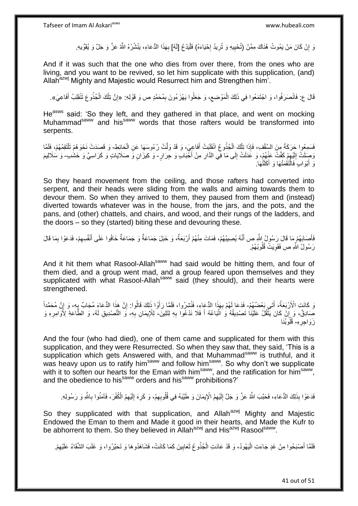وَ إِنْ كَانَ مَنْ يَمُوتُ هُٰنَاكَ مِمَّنْ (تُحْيِيهِ وَ تُرِيدُ إِحْيَاءَهُ) فَلْيَدْعُ [لَهُ] بِهَذَا الدُّعَاءِ، يَنْشُرُهُ اللَّهُ عَزَّ وَ جَلَّ وَ يُقَوِّيهِ. **∶** ِ ِ ِ :<br>إ ِ

And if it was such that the one who dies from over there, from the ones who are living, and you want to be revived, so let him supplicate with this supplication, (and) Allah<sup>azwj</sup> Mighty and Majestic would Resurrect him and Strengthen him'.

ئَالَ ع: فَانْصَرَفُوا، وَ اجْتَمَعُوا فِي ذَلِكَ الْمَوْضِع، وَ جَعَلُوا يَهْزَءُونَ بِمُحَمَّدٍ ص وَ قَوْلِهِ: «إِنَّ تِلْكَ الْجُذُوعَ تَنْقَلِبُ أَفَاعِيَ». ِ ِ ْ َ ْ ْ ِ

He<sup>asws</sup> said: 'So they left, and they gathered in that place, and went on mocking Muhammad<sup>saww</sup> and his<sup>saww</sup> words that those rafters would be transformed into serpents.

فَسَمِعُوا جَرَكَةً مِنَ السَّقْفِ، فَإِذَا تِلْكَ الْجُذُوعُ انْقَلَبَتْ أَفَاعِيَ، وَ قَدْ وَلَّتْ رُءُوسَهَا عَنِ الْحَائِطِ- وَ قَصِدَتْ نَحْوَهُمْ تَلْتَقِمُهُمْ، فَلَمَّا َ ْ ْ ْ ْ رَصَلَتْ إِلَيْهِمْ كَفَّتْ عَنْهُمْ، وَ عَدَلَتْ إِلَى مَا فِّي الذَّارِ مِنْ أُخْبَابِ وَ جِرَارٍ- وَ كِيزَانٍ وَ صَلَايَاتٍ وَ كَرَاسِيَّ وَ خَشُبٍ- وَ سَلَالِيمَ َ ِ ∣∣<br>∶ ِ لَ  $\frac{1}{2}$ وَ أَبْوَابٍ فَالْتَقَمَنْهَا وَ أَكَلَنْهَا ِ ْ َ َ

So they heard movement from the ceiling, and those rafters had converted into serpent, and their heads were sliding from the walls and aiming towards them to devour them. So when they arrived to them, they paused from them and (instead) diverted towards whatever was in the house, from the jars, and the pots, and the pans, and (other) chattels, and chairs, and wood, and their rungs of the ladders, and the doors – so they (started) biting these and devouring these.

فَأَصَابَهُمْ مَا قَالَ رَسُولُ اللَّهِ ص أَنَّهُ يُصِيبُهُمْ، فَمَاتَ مِنْهُمْ أَرْبَعَةٌ، وَ خَبَلَ جَمَاعَةٌ وَ جَمَاعَةٌ خَافُوا عَلَى أَنْفُسِهِمْ، فَدَعَوْا بِمَا قَالَ َ َ َ ِ ِ َ رَسُولُ اللَّهِ ص فَقَوِيَتْ قُلُوبُهُمْ. **∶** 

And it hit them what Rasool-Allah<sup>saww</sup> had said would be hitting them, and four of them died, and a group went mad, and a group feared upon themselves and they supplicated with what Rasool-Allah<sup>saww</sup> said (they should), and their hearts were strengthened.

رَ كَانَتِ الْأَرْبَعَةُ، أَتَى بَعْضُهُمْ- فَدَعَا لَهُمْ بِهَذَا الدُّعَاءِ، فَتُشِرُوا، فَلَمَّا رَأَوْا ذَلِكَ قَالُوا: إِنَّ هَذَا الدُّعَاءَ مُجَابٌ يِهِ، وَ إِنَّ مُحَمَّداً َ ا<br>ا َ ِ ِ **∴** ِ صِّادِقٌ، وَ إِنْ كَانَ يَثْقُلُ عَلَيْنَا تَصْدِيقُهُ وَ اتّبَاعُهُ أَ فَلَا نَدْعُوا بِهِ لِتَلِينَ- لِلْإِيمَانِ بِهِ، وَ التَّصْدِيقِ لَهُ، وَ الطَّاعَةِ لِأُوَامِرِهِ وَ **∶** َ ْ ِ ِ ِ زَوَاجِرِهِ- قُلُوَبُنَا ِ ِّ ِ

And the four (who had died), one of them came and supplicated for them with this supplication, and they were Resurrected. So when they saw that, they said, 'This is a supplication which gets Answered with, and that Muhammad<sup>saww</sup> is truthful, and it was heavy upon us to ratify him<sup>saww</sup> and follow him<sup>saww</sup>. So why don't we supplicate with it to soften our hearts for the Eman with him<sup>saww</sup>, and the ratification for him<sup>saww</sup>, and the obedience to his<sup>saww</sup> orders and his<sup>saww</sup> prohibitions?'

فَدَعَوْا بِذَلِكَ الدُّعَاءِ، فَحَبَّبَ اللَّهُ عَزَّ وَ جَلَّ إِلَيْهِمُ الْإِيمَانَ وَ طَيَّبَهُ فِي قُلُوبِهِمْ، وَ كَرِهَ إِلَيْهِمُ الْكُفْرَ، فَآمَنُوا بِاللَّهِ وَ رَسُولِهِ. ِ ِ لَ ِ ِ لَ ِ

So they supplicated with that supplication, and Allah<sup>azwj</sup> Mighty and Majestic Endowed the Eman to them and Made it good in their hearts, and Made the Kufr to be abhorrent to them. So they believed in Allah<sup>azwj</sup> and His<sup>azwj</sup> Rasool<sup>saww</sup>.

فَلَمَّا أَصْبَحُوا مِنْ غَدٍ جَاءَتِ الْيَهُودُ، وَ قَدْ عَادَتِ الْجُذُوعُ ثَعَابِينَ كَمَا كَانَتْ، فَشَاهَدُوهَا وَ تَحَيَّرُوا، وَ غَلَبَ الشَّقَاءُ عَلَيْهِمْ. َ ِ َ ْ ِ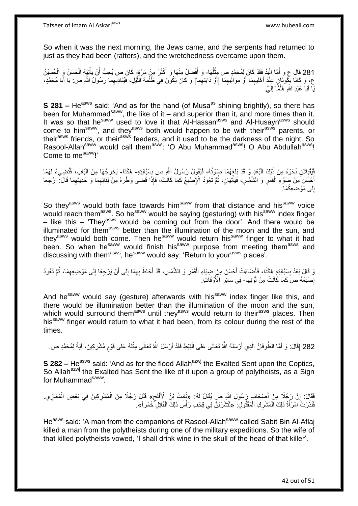So when it was the next morning, the Jews came, and the serpents had returned to just as they had been (rafters), and the wretchedness overcame upon them.

281 قَالَ ع وَ أَمَّا الْيَدُ فَقَدْ كَانَ لِمُحَمَّدٍ ص مِثْلُهَا- وَ أَفْضَلُ مِنْهَا وَ أَكْثَرُ مِنْ مَرَّةٍ- كَانَ ص يُحِبُّ أَنْ يَأْتِيَهُ الْحَسَنُ وَ الْحُسَيْنُ ْ ْ َ ْ َ ا<br>ا ֦֧֦֖֧֦֧֦֧֦֧֦֧֦֧֦֧֦֧֦֧֦֧֦֧֧֧֧֧֧֧֡֝֟֟֓֕֝֝֟֓֟֓֓֓֟֓֡֟֓֓֟֓֓֞֟֓֓֞֟֓֡֟֓֓֞֟֓֓֞֟֓֡֟֓֓֓֞֟֓֓֓֓֝֓֝֬֝֬֝֬֝֬ َ ا<br>ا َ َ ع، وَ كَانَا يَكُونَانٍ عِنْدَ أَهْلِيهِمَا أَوْ مَوَالَيهِمَا [أَوْ دَايَتِهِمَا] وَ كَانَ يَكُونُ فِي ظُلْمَةِ اللَّيْلِ، فَيُنَادِيهِمَا رَسُولُ اللَّهِ ص: يَا أَبَا مُحَمَّدٍ، َ ه َ َ يَا أَبَا عَبْدِ اللَّهِ هَلُمَّا إِلَيَّ. لَ  $\frac{1}{2}$ ُ َ

**S 281 –** He<sup>asws</sup> said: 'And as for the hand (of Musa<sup>as</sup> shining brightly), so there has been for Muhammad<sup>saww</sup>, the like of it – and superior than it, and more times than it. It was so that he<sup>saww</sup> used to love it that Al-Hassan<sup>asws</sup> and Al-Husayn<sup>asws</sup> should come to him<sup>saww</sup>, and they<sup>asws</sup> both would happen to be with their<sup>asws</sup> parents, or their<sup>asws</sup> friends, or their<sup>asws</sup> feeders, and it used to be the darkness of the night. So Rasool-Allahsaww would call themasws: 'O Abu Muhammadasws! O Abu Abdullahasws! Come to me<sup>saww</sup>!'

يُفْتِلِانِ نَحْوَهُ مِنْ ذَلِكَ الْبُعْدِ وَ قَدْ بَلَغَهُمَا صَوْتُهُ، فَيَقُولُ رَسُولُ اللَّهِ صِ بِسَبَّابَتِهِ- هَكَذَا- يُخْرِجُهَا مِنَ الْبَابِ، فَتُضِيءُ لَهُمَا ْ ِ **∫** ْ ِ أَحْسَنَ مِنْ ضَوْءِ الْقَمَرِ وَ الشَّمْسِ، فَيَأْتِيَانِ، ثُمَّ تَعُودُ الْإِصْبَعُ كَمَا كَانَتْ، فَإِذَا قَضَى وَطَرَهُ مِنْ لِقَائِهِمَا وَ حَدِيثِهِمَا قَالَ: ارْجِعَا ان<br>المقام العالمية ْ ِ ْ ِ ِ إِلَى مَوْضِعِكُمَا. ِ

So they<sup>asws</sup> would both face towards him<sup>saww</sup> from that distance and his<sup>saww</sup> voice would reach them<sup>asws</sup>. So he<sup>saww</sup> would be saying (gesturing) with his<sup>saww</sup> index finger  $-$  like this  $-$  'They<sup>asws</sup> would be coming out from the door'. And there would be illuminated for them<sup>asws</sup> better than the illumination of the moon and the sun, and they<sup>asws</sup> would both come. Then he<sup>saww</sup> would return his<sup>saww</sup> finger to what it had been. So when he<sup>saww</sup> would finish his<sup>saww</sup> purpose from meeting them<sup>asws</sup> and discussing with them<sup>asws</sup>, he<sup>saww</sup> would say: 'Return to your<sup>asws</sup> places'.

وَ قَالَ بَعْدُ بِسَبَّابَتِهِ هَكَذَا، فَأَضَاءَتْ أَحْسَنَ مِنْ ضِيَاءِ الْقَمَرِ وَ الشَّمْسِ، قَدْ أَحَاطَ بِهِمَا إِلَى أَنْ يَرْجِعَا إِلَى مَوْضِعِهِمَا، ثُمَّ تَعُودُ ِ ِ َ **∶** ْ َ َ **ِ** ِ ُ ِ إِصْبَعُهُ ص َكَمَا كَانَتْ مِنْ لَوْنِهَا- فِي سَائِرِ الْأَوْقَاتِ ِ ِ

And he<sup>saww</sup> would say (gesture) afterwards with his<sup>saww</sup> index finger like this, and there would be illumination better than the illumination of the moon and the sun. which would surround them<sup>asws</sup> until they<sup>asws</sup> would return to their<sup>asws</sup> places. Then his<sup>saww</sup> finger would return to what it had been, from its colour during the rest of the times.

282 [قَالَ: وَ أَمَّا الطُّوفَانُ الَّذِي أَرْسَلَهُ اللَّهُ تَعَالَى عَلَى الْقِبْطِ فَقَدْ أَرْسَلَ اللَّهُ تَعَالَى مِثْلَهُ عَلَى قَوْمٍ مُشْرِكِينَ، آيَةً لِمُحَمَّدٍ ص. ً َ ْ اُ ه َ

**S 282 –** He<sup>asws</sup> said: 'And as for the flood Allah<sup>azwj</sup> the Exalted Sent upon the Coptics, So Allah<sup>azwj</sup> the Exalted has Sent the like of it upon a group of polytheists, as a Sign for Muhammad<sup>saww</sup>.

فَقَالَ: إِنَّ رَجُلًا مِنْ أَصْحَابٍ رَسُولِ الثَّهِ ص يُقَالُ لَهُ: «تَابِتُ بْنُ الْأَفْلَحِ» قَتَلَ رَجُلًا مِنَ الْمُشْرِكِينَ فِي بَعْضِ الْمَغَازِي. َ ِ ِ **ِ** ِ ْ ِ ْ فَنَذَرَتْ امْرَأَةُ ذَلِكَ الْمُشْرِكِ الْمَقْتُولِ. ۚ «لَتَشْرَبَنَّ فِي قِحْفِ رَأْسِ ذَلِكَ الْقَاتِلِ ۖ خَمْر أَ». ْ **∶** ْ َ ْ :<br>ا

He<sup>asws</sup> said: 'A man from the companions of Rasool-Allah<sup>saww</sup> called Sabit Bin Al-Aflaj killed a man from the polytheists during one of the military expeditions. So the wife of that killed polytheists vowed, 'I shall drink wine in the skull of the head of that killer'.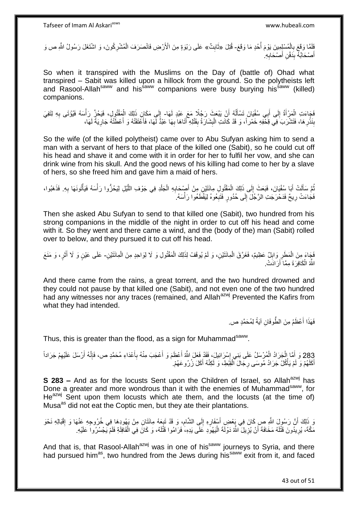فَلَقًا وَقَعَ بِالْمُسْلِمِينَ يَوْمَ أُحُدٍ مَا وَقَعَ- قُتِلَ «ثَابِتٌ» عَلَى رَبْوَةٍ مِنَ الْأَرْضِ فَانْصَرَفَ الْمُشْرِكُونَ، وَ اشْتَغَلَ رَسُولُ اللَّهِ ص وَ ا<br>أ ْ **∶ ِ** ِ ْ أَصْحَابُهُۖ بِدَفْنِ أَصْحَابِهِ ۖ **∶** َ **∣** َ

So when it transpired with the Muslims on the Day of (battle of) Ohad what transpired – Sabit was killed upon a hillock from the ground. So the polytheists left and Rasool-Allah<sup>saww</sup> and his<sup>saww</sup> companions were busy burying his<sup>saww</sup> (killed) companions.

فَجَاءَتِ الْمَرْأَةُ إِلَى أَبِي سُفْيَانَ تَسْأَلُهُ أَنْ يَبْعَثَ رَجُلًا مَعَ عَبْدٍ لَهَا- إِلَى مَكَانِ ذَلِكَ الْمَقْتُولِ، فَيَحُزَّ رَأْسَهُ فَيُوْتَى بِهِ لِتَفِيَ اُ ا<br>ا َ َ י<br>י َ ْ **∶** ْ ْ ا بَذْرِ هَا، فَتَشْرَبَ فِي قِحْفِهِ خَمْرٍ أَ، وَ قَدْ كَانَتِ الْبِشَارَةُ بِقَتْلِهِ ۖ أَتَاهَا بِهَا عَبْدًّ لَهَا، فَأَعْتَقَتْهُ وَ أَعْطَتْهُ جَارِيَةً لَهَا، ِ **ٔ ِ** لَ ِ َ َ ِ **∣** ِ ْ

So the wife (of the killed polytheist) came over to Abu Sufyan asking him to send a man with a servant of hers to that place of the killed one (Sabit), so he could cut off his head and shave it and come with it in order for her to fulfil her vow, and she can drink wine from his skull. And the good news of his killing had come to her by a slave of hers, so she freed him and gave him a maid of hers.

تُمَّ سَأَلَتْ أَبَا سُفْيَانَ، فَبَعَثَ إِلَى ذَلِكَ الْمَقْتُولِ مِائَتَيْنِ مِنْ أَصْبْحَابِهِ الْجَلْدِ فِي جَوْفِ اللَّيْلِ لِيَحُزُّوا رَأْسَهُ فَيَأْتُونَهَا بِهِ. فَذَهَبُوا، ْ ْ ِ َ ْ  $\frac{1}{2}$ َ َ ُ ِ ْ ْ ه فَجَاءَتْ رِيحٌ فَدَحْرَجَتِ الرَّجُلَ إِلَى حُدُورٍ فَتَبِعُوهُ لِيَقْطَعُوا رَأْسَهُ. :<br>ا ِ  $\frac{1}{2}$ ِ

Then she asked Abu Sufyan to send to that killed one (Sabit), two hundred from his strong companions in the middle of the night in order to cut off his head and come with it. So they went and there came a wind, and the (body of the) man (Sabit) rolled over to below, and they pursued it to cut off his head.

ْ فَجَاءَ مِنَ الْمَطَرِ وَابِلٌ عَظِيمٌ، فَغَرَّقَ الْمِائَنَيْنِ، وَ لَمْ يُوقَفْ لِذَلِكَ الْمَقْتُولِ وَ لَا لِوَاحِدِ مِنَ الْمِائَنَيْنِ- عَلَى عَيْنٍ وَ لَا أَثَرٍ، وَ مَنَعَ ِ **∶** ْ ْ َ َ اللَّهُ الْكَافِرَةَ مِمَّاً أَرَادَتْ. اُ ْ

And there came from the rains, a great torrent, and the two hundred drowned and they could not pause by that killed one (Sabit), and not even one of the two hundred had any witnesses nor any traces (remained, and Allah<sup>azwj</sup> Prevented the Kafirs from what they had intended.

> فَهَذَا أَعْظَمُ مِنَ الطَّوفَانِ آيَةً لِمُحَمَّدٍ ص. َ

Thus, this is greater than the flood, as a sign for Muhammad<sup>saww</sup>.

283 وَ أَمَّا الْجَرَادُ الْمُرْسَلُ عَلَى بَنِي إِسْرَائِيلَ، فَقَدْ فَعَلَ اللَّهُ أَعْظَمَ وَ أَعْجَبَ مِنْهُ بِأَعْدَاءِ مُحَمَّدٍ ص، فَإِنَّهُ أَرْسَلَ عَلَيْهِمْ جَرَاداً<br>وَبَقْدِ ص اً ه ا∣<br>ِ∘ِ َ **∶** َ َ ׀<br><u>:</u> ْ ْ َ أَكَلَهُمْ وَ لَمْ يَأْكُلْ جَرَادُ مُوسَى رِجَالَ الْقِبْطِ، وَ لَكِنَّهُ أَكَلَ زُرُوعَهُمْ. َ ْ َ ْ ِ

**S 283 –** And as for the locusts Sent upon the Children of Israel, so Allah<sup>azwj</sup> has Done a greater and more wondrous than it with the enemies of Muhammad<sup>saww</sup>, for He<sup>azwj</sup> Sent upon them locusts which ate them, and the locusts (at the time of) Musa<sup>as</sup> did not eat the Coptic men, but they ate their plantations.

وَ ذَلِكَ أَنَّ رَسُولَ اللَّهِ صِ كَانَ فِي بَعْضِ أَسْفَارِهِ إِلَى الشَّامِ، وَ قَدْ تَبِعَهُ مِائَتَانِ مِنْ يَهُودِهَا فِي خُرُوجِهِ عَنْهَا وَ إِقْبَالِهِ نَحْوَ .<br>ة ِ ِ **ٍ** َ ِ مَكَّة، يُرِيدُونَ قَتْلَهُ مَخَافَةَ أَنْ يُزِيلَ اللَّهُ دَوْلَةَ الْيَهُوَدِ عَلَى يَدِهِ، فَرَامُوا قَتْلَهُ، وَ كَانَ فِي الْقَافِلَةِ فَلَمْ يَجْسُرُوا عَلَيْهِ. لَ ْ **ٍ** لَ ِ ْ

And that is, that Rasool-Allah<sup>azwj</sup> was in one of his<sup>saww</sup> journeys to Syria, and there had pursued him<sup>as</sup>, two hundred from the Jews during his<sup>saww</sup> exit from it, and faced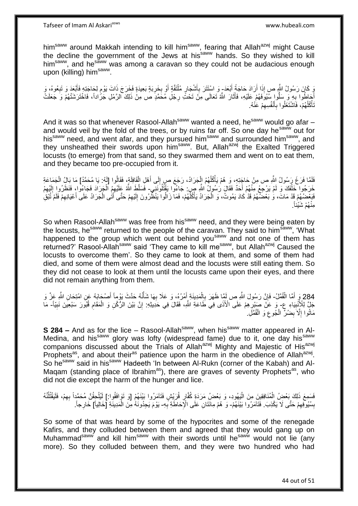him<sup>saww</sup> around Makkah intending to kill him<sup>saww</sup>, fearing that Allah<sup>azwj</sup> might Cause the decline the government of the Jews at his<sup>saww</sup> hands. So they wished to kill him<sup>saww</sup>, and he<sup>saww</sup> was among a caravan so they could not be audacious enough upon (killing) him<sup>saww</sup>.

َبَ وَبَانَ رَسُولُ اللَّهِ صِ إِذَا أَرَادَ حَاجَةً أَبْعَدَ- وَ اسْتَتَرَ بِأَشْجَارٍ مُلْتَقَّةٍ أَوْ بِخَرِبَةٍ بَعِيدَةٍ فَخَرَجَ ذَاتَ يَوْمٍ لِحَاجَتِهِ فَأَبْعَدَ وَ تَبِعُوهُ، وَ َ اُ ِ ِ َ ْ اُز ِ ِ َ ֖֖֖֖֦֦֦֧֦֧֦֧֦֧֚֚֚֚֩֘֝֝֝֓֝֝֓֝֬֜֝֓֟֓֟֓֟֓֝ أَجَاطُوا بِهِ وَ سَلُّوا سُيُوَفَهُمْ عَلَيْهِ، فَأَثَارَ اللَّهُ تَعَالَى مِنْ تَحْتَّ رِجْلِ مُخَمَّدٍ صَ مِنْ ذَلِكَ الرَّمْلِ جَرُّاداً، فَاخْتَرَشَتْهُمْ وَ جَعَلَتْ ِ َ ׇׇ֦֦֦֦֪֦֪֦֪֦֦֦֧֪֦֦֧֦֦֪֪֦֪֪֦֡֓֓֓֓֡֓֓֡֓֓֡֓֓֓֡֓֓֡֓֡֓֓֡֡֓֡֟֟֟֟֓֡֡֬֓֞֓֞֡֓֓֞֡֓֓֞֡֟ **∶** تَأْكُلُهُمْ، فَاَشْتَغَلُوا بِأَنْفُسِهِمْ عَنْهُ. ا<br>ا **ٔ** ِ َ **∶** 

And it was so that whenever Rasool-Allah<sup>saww</sup> wanted a need, he<sup>saww</sup> would go afar  $$ and would veil by the fold of the trees, or by ruins far off. So one day he<sup>saww</sup> out for his<sup>saww</sup> need, and went afar, and they pursued him<sup>saww</sup> and surrounded him<sup>saww</sup>, and they unsheathed their swords upon him<sup>saww</sup>. But, Allah<sup>azwj</sup> the Exalted Triggered locusts (to emerge) from that sand, so they swarmed them and went on to eat them, and they became too pre-occupied from it.

فَلَمَّا فَرَغَ رَسُولُ اللَّهِ ص مِنْ حَاجَتِهِ، وَ هُمْ يَأْكُلُهُمُ الْجَرَادُ، رَجَعَ صِ إِلَى أَهْلِ الْقَافِلَةِ، فَقَالُوا [لَهُ: يَا مُحَمَّدُ] مَا بَالُ الْجَمَاعَةِ ْ َ ِ ْ ُ **ٔ** ْ خَرَجُوا خَلْفَكَ وَ لَمْ يَرْجِعْ مِنْهُمْ أَحَدٌ فَقَالَ رَسُولُ اللَّهِ صِ. جَاءُوا يَقْتُلُونَنِي فَسَلَّطَ اللَّهُ عَلَيْهِمُ الْجَرَادَ فَجَاءُوا، فَنَظَرُوا إِلَيْهِمْ َ ْ ِ لَ ِ ْ فَبَعْضُهُمْ قَدْ مَاتَ، وَٰ بَعْضُهُمْ قَدْ كَادَ يَمُوتُ، وَ الْجَرَادُ يَأْكُلُهُمْ، فَمَا زَالُوا يَنْظُرُونَ إِلَيْهِمْ حَتَّى أَتَٰى الْجَرَادُ عَلَى أَعْيَانِهِمْ فَلَمْ تُبْقِ ا<br>ا **ٔ** ْ ِ َ ْ َ ِ لَ ِ . ُهْم َشْيئاً ِمنْ

So when Rasool-Allah<sup>saww</sup> was free from his<sup>saww</sup> need, and they were being eaten by the locusts, he<sup>saww</sup> returned to the people of the caravan. They said to him<sup>saww</sup>, 'What happened to the group which went out behind you<sup>saww</sup> and not one of them has returned?' Rasool-Allah<sup>saww</sup> said 'They came to kill me<sup>saww</sup>, but Allah<sup>azwj</sup> Caused the locusts to overcome them'. So they came to look at them, and some of them had died, and some of them were almost dead and the locusts were still eating them. So they did not cease to look at them until the locusts came upon their eyes, and there did not remain anything from them.

284 وَرَ أَمَّا الْقُمَّلُ- فَإِنَّ رَسُولَ اللَّهِ صِ لَمِّا ظَهَرَ بِالْمَدِينَةِ أَمْرُهُ، وَ عَلَا بِهَا شَأْنُهُ حَدَّثَ يَوْماً أَصْحَابَهُ عَنِ امْتِحَانِ اللَّهِ عَزَّ وَ ْ َ ِْ َ ْ ِ ِ َ جَلِّ لِلْأَنْبِيَاءِ عِ- وَ عَنْ صَبْرِهِمْ عَلَى الْأَذَى فِي طَاعَةِ اللَّهِ، فَقَالَ فِي حَدِيثِهِ: إِنَّ بَيْنَ الرُّكْنِ وَ الْمَقَامِ قُبُورَ سَبْعِينَ نَبِيّاً- مَا **!** ِ ِ ِ ْ ِ مَاتُوا إِلَّا بِضُلٍّ الْجُوعِ وَ الْقُمَّلِ. ْ ِ ْ ِ ِ

**S 284 –** And as for the lice – Rasool-Allah<sup>saww</sup>, when his<sup>saww</sup> matter appeared in Al-Medina, and his<sup>saww</sup> glory was lofty (widespread fame) due to it, one day his<sup>saww</sup> companions discussed about the Trials of Allah<sup>azwj</sup> Mighty and Majestic of His<sup>azwj</sup> Prophets<sup>as</sup>, and about their<sup>as</sup> patience upon the harm in the obedience of Allah<sup>azwj</sup>. So he<sup>saww</sup> said in his<sup>saww</sup> Hadeeth 'In between Al-Rukn (corner of the Kabah) and Al-Magam (standing place of Ibrahim<sup>as</sup>), there are graves of seventy Prophets<sup>as</sup>, who did not die except the harm of the hunger and lice.

فَسَمِعَ ذَلِكَ بَعْضُ الْمُنَافِقِينَ مِنَ الْيَهُودِ، وَ بَعْضُ مَرَدَةٍ كُفَّارٍ قُرَيْشٍ فَثَآمَرُوا بَيْنَهُمْ [وَ تَوَافَقُوا:] لَيُلْحِقُّنَّ مُحَمَّداً بِهِمْ، فَلَيَقْتُلْنَهُ ِ ْ ْ ُ ِ ْ بِسُيُوفِهِمْ حَتَّى لَا يَكْذِبَ. فَتَآمَرُوا بَيْنَهُمْ- وَ هُمْ مِانَتَانِ عَلَى الْإِحَاطَةِ بِهِ- يَوْمَ يَجِدُونَهُ مِنَ الْمَدِينَةِ [خَالِياً] خَارِجاً. ِ **ِ** ِ ْ

So some of that was heard by some of the hypocrites and some of the renegade Kafirs, and they colluded between them and agreed that they would gang up on Muhammad<sup>saww</sup> and kill him<sup>saww</sup> with their swords until he<sup>saww</sup> would not lie (any more). So they colluded between them, and they were two hundred who had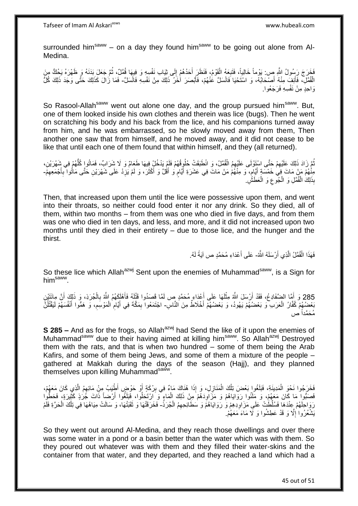surrounded him<sup>saww</sup> – on a day they found him<sup>saww</sup> to be going out alone from Al-Medina.

فَجَرَجَ رَسُولُ اللَّهِ صِ. يَوْماً خَالِياً، فَتَبِعَهُ الْقَوْمُ؛ فَنَظَرَ أَحَدُهُمْ إِلَى ثِيَابِ نَفْسِهِ وَ فِيهَا قُمَّلٌ، ثُمَّ جَعَلَ بَدَنَهُ وَ ظَهْرَهُ يَحُكُّ مِنَ ِ َ ْ ِ ُ الْقُطَّلِ، فَأَنِفَ مِنْهُ أَصْحَابُهُ، وَ اسْتَحْيَا فَانْسَلَّ عَٰنْهُمْ، فَأَبْصَرَ أَخَرُ ذَلِكَ مِنْ نَفْسِهِ فَانْسَلَّ- فَمَا زَالَ كَذَلِكَ حَتَّى وَجَدَ ذَلِكَ كُلُّ َ َ وَاحِدٍ مِنْ نَفْسِهِ فَرَجَعُوا.

So Rasool-Allah<sup>saww</sup> went out alone one day, and the group pursued him<sup>saww</sup>. But, one of them looked inside his own clothes and therein was lice (bugs). Then he went on scratching his body and his back from the lice, and his companions turned away from him, and he was embarrassed, so he slowly moved away from them, Then another one saw that from himself, and he moved away, and it did not cease to be like that until each one of them found that within himself, and they (all returned).

ُّمَّ زَادَ ذَلِكَ عَلَيْهِمْ حَتَّى اسْتَوْلَى عَلَيْهِمُ الْقُمَّلُ، وَ انْطَبَقَتْ حُلُوٍقُهُمْ فَلَمْ يَدْخُلْ فِيهَا طَعَامٌ وَ لَا شَرَابٌ، فَمَاتُوا كُلَّهُمْ فِي شَهْرَيْنِ، ْ ِ ُ ُّ يْنْهُمْ مَنْ مَاتَ فِي خَمْسَةٍ أَيَّامٍ، وَ مِنْهُمْ مَنْ مَاتَ فِي عَشَرَةِ أَيَّامٍ وَ أَقُلَّ وَ أَكْثَرَ، وَ لَمْ يَزِدْ عَلَى شَهْرَيْنِ حَتَّى مَاثُوا بِأَجْمَعِهِمْ-ِ َ َ َ ٍ ا<br>ا ֧֖֪֧֚֚֚֚֚֚֚֚֚֚֚֚֝֝֝֟֓֡֟֓֡֟֓֡֓֡֟֓֡֟֓֡֟֝֬֝֓ َ ِ َ ِ بِذَلِكَ الْقُمَّلِ وَ الْمُبَوعِ وَ الْعَطَشَ ِ ْ ِ ْ ْ

Then, that increased upon them until the lice were possessive upon them, and went into their throats, so neither could food enter it nor any drink. So they died, all of them, within two months – from them was one who died in five days, and from them was one who died in ten days, and less, and more, and it did not increased upon two months until they died in their entirety – due to those lice, and the hunger and the thirst.

> فَهَذَا الْقُمَّلُ الَّذِي أَرْسَلَهُ اللَّهُ- عَلَى أَعْدَاءِ مُحَمَّدٍ ص آيَةً لَهُ. َ ه :<br>ا َ

So these lice which Allah<sup>azwj</sup> Sent upon the enemies of Muhammad<sup>saww</sup>, is a Sign for him<sup>saww</sup>.

285 وَ أَمَّا الضَّفَادِعُ، فَقَدْ أَرْسَلَ اللَّهُ مِثْلَهَا عَلَى أَعْدَاءِ مُحَمَّدٍ صٍ لَمَّا قَصَدُوا قَتْلَهُ فَأَهْلَكِهُمُ اللَّهُ بِالْجُرَذِ، وَ ذَلِكَ أَنَّ مِائَتَيْنِ َ ْ **∶** َ َ َ َ بَعْضِهُمْ كُفَّارُ الْعَرَبِ وَ بَعْضُهُمْ يَهُودُ، وَ بَعْضُهُمْ أَخْلَاظٌ مِنَ النَّاسِ- اجْتَمَعُوا بِمَكَّةَ فِي أَيَّامِ الْمَوْسَمِ، وَ هَمُّوا أَنْفُسَهُمْ لَيَقْتُلُنَّ َ ْ ا<br>ا َ ِ ْ ِ َ ِ مُحَمَّداً ص

**S 285 –** And as for the frogs, so Allah<sup>azwj</sup> had Send the like of it upon the enemies of Muhammad<sup>saww</sup> due to their having aimed at killing him<sup>saww</sup>. So Allah<sup>azwj</sup> Destroyed them with the rats, and that is when two hundred – some of them being the Arab Kafirs, and some of them being Jews, and some of them a mixture of the people – gathered at Makkah during the days of the season (Hajj), and they planned themselves upon killing Muhammad<sup>saww</sup>.

فَخَرَجُوا نَحْوَ الْمَدِينَةِ، فَبَلَغُوا بَعْضَ تِلْكَ الْمَنَازِلِ، وَ إِذَا هُنَاكَ مَاءٌ فِي بِرْكَةٍ أَوْ حَوْضٍ أَطِْيَبُ مِنْ مَائِمِهُ الَّذِي كَانَ مَعَهُمْ، َ ِ ِ ْ ْ ْ ه فَصَبُّوا مَا كَانَ مَعَهُمْ، وَ مَلَٰثُوا رَوَايَاهُمْ وَ مَزَاوِدَهُمْ مِنْ ذَلِكَ الْمَاءٖ وَ َارْتَجَلُوا، فَبَلَغُوا أَرْضاً ذَاتَ جَرَذٍ كَثِيرَةٍ، فَحَطَّوا **∶** اُ ْ َ وَاحْلَهُمْ عِنْدَهَا فَسُلِّطَٰتْ عَلَى مَزَاوِّدِهِمْ وَ رَوَايَاهُمْ وَ سَطَانِحِهِمُ الْجُرَدُ- فَخَرَقَتْهَا وَ ثَقَبَتْهَا، وَ سَالَتْ مِيَاهُهَا فِي تِلْكَ الْحَرَّةِ فَلَّمْ ِ ِ ْ ْ َ يَشْعُرُوا إِلَّا وَ قَدْ عَطِشُوا وَ لَا مَاءَ مَعَهُمْ. ِ

So they went out around Al-Medina, and they reach those dwellings and over there was some water in a pond or a basin better than the water which was with them. So they poured out whatever was with them and they filled their water-skins and the container from that water, and they departed, and they reached a land which had a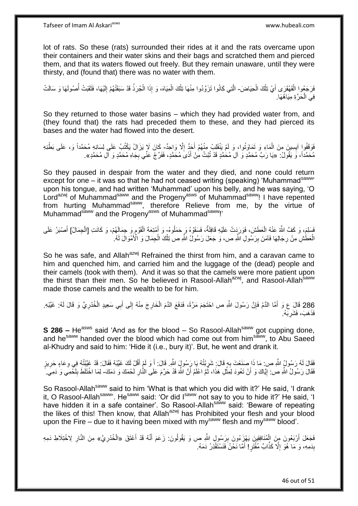lot of rats. So these (rats) surrounded their rides at it and the rats overcame upon their containers and their water skins and their bags and scratched them and pierced them, and that its waters flowed out freely. But they remain unaware, until they were thirsty, and (found that) there was no water with them.

فَرَجَعُوا الْقَهْقَرَى أَيْ تِلْكَ الْحِيَاضَ- الَّتِي كَانُوا تَزَوَّدُوا مِنْهَا تِلْكَ الْمِيَاهَ، وَ إِذَا الْجُرَذُ قَدْ سَبَقَتْهُمْ إِلَيْهَا، فَثَقَبَتْ أُصُولَهَا وَ سَالَتْ ْ ْ َ ْ ُ َ لَ ِ ْ ْ ْ ه فِي الْحَرَّةِ مِيَاهُهَا. ْ

So they returned to those water basins – which they had provided water from, and (they found that) the rats had preceded them to these, and they had pierced its bases and the water had flowed into the desert.

فَوَقَفُوا آيِسِينَ مِنَ الْمَاءِ وَ تَمَاوَتُوا، وَ لَمْ يَنْقَلِبْ مِنْهُمْ أَجَدٌ إِلَّا وَاحِدٌ- كَانَ لَا يَزَالُ يَكْتُبُ عَلَى لِسَانِهِ مُحَمَّداً وَ، عَلَى بَطْنِهِ **∶** ِ َ مُحَمَّداً، وَ يَقُولُ: «يَا رَبَّ مُحَمَّدٍ وَ آلِ مُحَمَّدٍ قَدْ تُبْتُ مِنْ أَذَىَ مُحَمَّدٍ، فَفَرِّجْ عَنِّي بِجَاهِ مُحَمَّدٍ وَ آلِ مُحَمَّدٍ». َ ِ

So they paused in despair from the water and they died, and none could return except for one – it was so that he had not ceased writing (speaking) 'Muhammad<sup>saww</sup>' upon his tongue, and had written 'Muhammad' upon his belly, and he was saying, 'O Lord<sup>azwj</sup> of Muhammad<sup>saww</sup> and the Progeny<sup>asws</sup> of Muhammad<sup>saww</sup>! I have repented from hurting Muhammadsaww, therefore Relieve from me, by the virtue of Muhammad<sup>saww</sup> and the Progeny<sup>asws</sup> of Muhammad<sup>saww</sup>!'

فَسَلِمَ، وَ كَفَّ اللَّهُ عَنْهُ الْعَطَشَ، فَوَرَدَتْ عَلَيْهِ قَافِلَةٌ، فَسَقَوْهُ وَ حَمَلُوهُ- وَ أَمْتِعَةَ الْقَوْمِ وِ جِمَالَهُمْ، وَ كَانَتِ [الْجِمَالُ] أَصْبَرُ عَلَى ُ ْ ْ ֧֧֚֚֝֩֩ ْ َ الْعَطَّشِ مِنْ رِجَالِهَا فَاَمَنَ بِرَسُولِ اللَّهِ ص، وَ جَعَلَ رَسُولُ اللَّهِ صِ تِلْكَ الْجِمَالَ وَ الْأَمْوَالَ لَهُ. ْ ْ **!** ِ

So he was safe, and Allah<sup>azwj</sup> Refrained the thirst from him, and a caravan came to him and quenched him, and carried him and the luggage of the (dead) people and their camels (took with them). And it was so that the camels were more patient upon the thirst than their men. So he believed in Rasool-Allah $a^{2}$ wj, and Rasool-Allah $a^{2}$ made those camels and the wealth to be for him.

286 قَالَ عِ وَ أَمَّا الدَّمُ فَإِنَّ رَسُولَ اللَّهِ ص احْتَجَمَ مَرَّةً، فَذَفَعَ الذَّمَ الْخَارِجَ مِنْهُ إِلَى أَبِي سَعِيدٍ الْخُدْرِيِّ وَ قَالَ لَهُ: غَيِّبْهِ.<br>نَزَيدَ ْ ِ َ ِ ْ ِ َ فَذَهَبَ، فَشَرِبَهُ. **∶** 

**S 286 –** He<sup>asws</sup> said 'And as for the blood – So Rasool-Allah<sup>saww</sup> got cupping done, and he<sup>saww</sup> handed over the blood which had come out from him<sup>saww</sup>, to Abu Saeed al-Khudry and said to him: 'Hide it (i.e., bury it)'. But, he went and drank it.

فَقَالَ لَهُ رَسُولُ اللَّهِ ص: مَا ذَا صَنَعْتَ بِهِ قَالَ: شَرِبْتُهُ يَا رَسُولٍ اللَّهِ. قَالَ: أَ وَ لَمْ أَقُلْ لَكَ غَيِّبْهُ فَقَالَ: قَدْ غَيَّبْتُهُ فِي وعَاءٍ حَرِيزٍ<br>تَفَقَالَ اللَّهُ رَسُولُ اللَّهِ ص: مَا ذَ ِ ِ ِ **∶** َ َ لَ **∶** فَقَالَ رَسُولُ اللَّهِ ص: إِيَّاكَ وَ أَنْ تَعُودَ لِمِثْلِ هَذَا، ثُمَّ اعْلَمْ أَنَّ اللَّهَ قَدْ حَرَّمَ عَلَى النَّارِ لَحْمَكَ وَ دَمَكَ- لِمَا اخْتَلَطَ بِلَحْمِي وَ دَمِيَ. َ ُ **ٔ** َ **֓**ׇ֚֓ لَ ِ

So Rasool-Allah<sup>saww</sup> said to him 'What is that which you did with it?' He said, 'I drank it, O Rasool-Allah<sup>saww</sup>'. He<sup>saww</sup> said: 'Or did I<sup>saww</sup> not say to you to hide it?' He said, 'I have hidden it in a safe container'. So Rasool-Allah<sup>saww</sup> said: 'Beware of repeating the likes of this! Then know, that Allah<sup>azwj</sup> has Prohibited your flesh and your blood upon the Fire – due to it having been mixed with my<sup>saww</sup> flesh and my<sup>saww</sup> blood'.

فَجَعَلَ أَرْبَعُونَ مِنَ الْمُنَافِقِينَ يَهْزَعُونَ بِرَسُولِ اللَّهِ ص وَ يَقُولُونَ: زَعَمَ أَنَّهُ قَدْ أَعْتَقَ «الْخُدْرِيَّ» مِنَ النَّارِ لِاخْتِلَاطِ دَمِهِ َ َ ِ ْ اً ِ ِ بِذَمِهِ، وَ مَا هُوَ إِلَّا كَذَّابٌ مُفْتَرٍ! أَمَّا نَحْنُ فَنَسْتَقْذِرُ دَمَهُ. َ ِ **∣**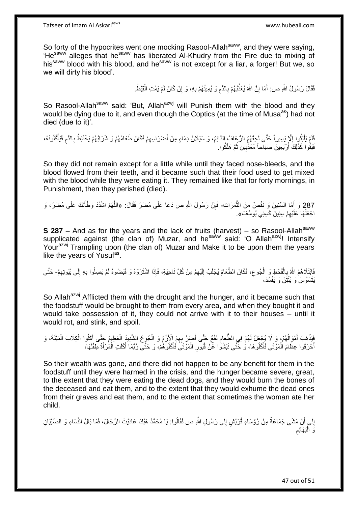So forty of the hypocrites went one mocking Rasool-Allah<sup>saww</sup>, and they were saying, 'He<sup>saww'</sup> alleges that he<sup>saww</sup> has liberated Al-Khudry from the Fire due to mixing of his<sup>saww</sup> blood with his blood, and he<sup>saww</sup> is not except for a liar, a forger! But we, so we will dirty his blood'.

> فَقَالَ رَسُولُ اللَّهِ ص: أَمَا إِنَّ اللَّهَ يُعَذِّبُهُمْ بِالذَّمِ وَ يُمِيتُهُمْ بِهِ، وَ إِنْ كَانَ لَمْ يَمُتِ الْقِبْطُ. ِ ِ ِ **∶** יֲ<br>י َ ْ

So Rasool-Allah<sup>saww</sup> said: 'But, Allah<sup>azwj</sup> will Punish them with the blood and they would be dying due to it, and even though the Coptics (at the time of Musa<sup>as</sup>) had not died (due to it)'.

فَلَمْ يَلْبَثُوا إِلَّا بِسِيراً حَتَّى لَحِقَهُمُ الرُّعَافُ الدَّائِمُ، وَ سَيَلَانُ دِمَاءٍ مِنْ أَصْرَاسِهِمْ فَكَانَ طَعَامُهُمْ وَ شَرَابُهُمْ يَخْتَلِطُ بِالدَّمِ فَيَأْكُلُونَهُ، ِ ُ :<br>ا ِ ِ َ لَ ِ اُ ْ فَبَقُوا كَذَلِكَ أَرْبَعِينَ صَبَاحاً مُعَذَّبِينَ ثُمَّ هَلَكُوا. ُ ِ َ

So they did not remain except for a little while until they faced nose-bleeds, and the blood flowed from their teeth, and it became such that their food used to get mixed with the blood while they were eating it. They remained like that for forty mornings, in Punishment, then they perished (died).

287 وَ أَمَّا السِّنِينُ وَ نَفْصٌ مِنَ الثَّمَرَاتِ- فَإِنَّ رَسُولَ اللَّهِ ص دَعَا عَلَى مُضَرَ فَقَالَ: «اللَّهُمَّ اشْدُدْ وَطْأَتَكَ عَلَى مُضَرَ، وَ َ ه ِ ه َ اجْعَلْهَا عَلَيْهِمْ سِنِينَ كَسِنِي يُوسُفَ». ِ ْ

**S 287 –** And as for the years and the lack of fruits (harvest) – so Rasool-Allah<sup>saww</sup> supplicated against (the clan of) Muzar, and he<sup>saww</sup> said: 'O Allah<sup>azwj</sup>! Intensify Yourazw<sup>j</sup> Trampling upon (the clan of) Muzar and Make it to be upon them the years like the years of Yusuf<sup>as</sup>.

**∶** فَابْتَلَاهُمُ اللَّهُ بِالْقَحْطِ وَ الْجُوعِ، فَكَانَ الطَّعَامُ يُجْلَبُ اِلَيْهِمْ مِنْ كُلِّ نَاحِيَةٍ، فَإِذَا اشْتَرَوْهُ وَ قَبَضُوهُ لَمْ يَصِلُوا بِهِ إِلَى بُيُوتِهِمْ- حَتَّى ِ لَ ِ ِ ْ ِ ِ ِ يَتَسَوَّسَ وَ يُنْتَِنَ وَ يَفْسُدَ،

So Allah<sup>azwj</sup> Afflicted them with the drought and the hunger, and it became such that the foodstuff would be brought to them from every area, and when they bought it and would take possession of it, they could not arrive with it to their houses – until it would rot, and stink, and spoil.

َفَيَذْهَبَ أَمْوَالُهُمْ، وَ ِلَا يُجِعَلُ لَهُمْ فِي الطَّعَامِ نَفْعٌ حَتَّى أَضَرَّ بِهِمُ اِلْإِزْمُ وَ الْجُوعُ الشَّدِيدُ الْعَظِيمُ حَتَّى أَكَلُوا الْكِلَابَ الْمَيْتَةَ، وَ ٔ<br>ا َ **ٔ** َ ِ ْ ْ َ ْ ْ **∶** أَحْرَقُوا عِظَامَ الْمَوْتَى فَأَكَلُوهَا، وَ حَتَّى نَبَشُوَا عَنْ قُبُورِ الْمَوْتَىَ فَأَكَلُوهُمْ، وَ حَتَّى رُبَّمَا أَكَلَتِ الْمَرْأَةُ طِفْلَهَا، َ ْ َ لَ َ ْ َ َ ْ

So their wealth was gone, and there did not happen to be any benefit for them in the foodstuff until they were harmed in the crisis, and the hunger became severe, great, to the extent that they were eating the dead dogs, and they would burn the bones of the deceased and eat them, and to the extent that they would exhume the dead ones from their graves and eat them, and to the extent that sometimes the woman ate her child.

إِلَى أَنْ مَشَى جَمَاعَةٌ مِنْ رُؤَسَاءِ قُرَيْشٍ إِلَى رَسُولِ اللَّهِ ص فَقَالُوا: يَا مُحَمَّدُ هَبْكَ عَادَيْتَ الرِّجَالَ، فَمَا بَالُ النِّسَاءِ وَ الصِّبْيَانِ ِ ُ ∣∣<br>∶ َ ِ رَ الْبَهَائِم :<br>ا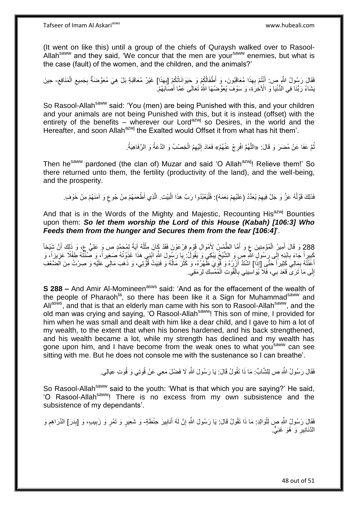(It went on like this) until a group of the chiefs of Quraysh walked over to Rasool-Allah<sup>saww</sup> and they said, 'We concur that the men are your<sup>saww</sup> enemies, but what is the case (fault) of the women, and the children, and the animals?'

فَقَالَ رَسُولُ اللَّهِ ص: أَنْتُمْ بِهَذَا مُعَاقَبُونَ، وَ أَطْفَالُكُمْ وَ حَيَوَانَاتُكُمْ [بِهَذَا] غَيْرُ مُعَاقَبَةٍ بَلْ هِيَ مُعَوَّضَةٌ بِجَمِيعِ الْمَنَافِعِ- حِينَ **∶** َ ِ ْ ِ ِ ِ َيْشَاءُ رَبُّنَا فِي الدُّنْيَا وَ الْأَخِرَةِ، وَ سَوْفَ يُعَوِّضُهَا اللَّهُ تَعَالَى عَمَّا أَصَاَبَهُمْ. َ

So Rasool-Allah<sup>saww</sup> said: 'You (men) are being Punished with this, and your children and your animals are not being Punished with this, but it is instead (offset) with the entirety of the benefits – wherever our Lord<sup>azwj</sup> so Desires, in the world and the Hereafter, and soon Allah<sup>azwj</sup> the Exalted would Offset it from what has hit them'.

> نُّمَّ عَفَا عَنْ مُضَرَ وَ قَالَ: «اللَّهُمَّ افْرِجْ عَنْهُمْ» فَعَادَ إِلَيْهِمُ الْخِصْبُ وَ الدَّعَةُ وَ الرَّفَاهِيَةُ: **∶** ْ لَ ِ

Then he<sup>saww</sup> pardoned (the clan of) Muzar and said 'O Allah<sup>azwj</sup>! Relieve them!' So there returned unto them, the fertility (productivity of the land), and the well-being, and the prosperity.

فَذَلِكَ قَوْلُهُ عَزَّ وَ جَلَّ فِيهِمْ يُعَدِّدُ (عَلَيْهِمْ نِعَمَهُ): فَلْيَعْبُدُوا رَبَّ هذَا الْبَيْتِ. الَّذِي أَطْعَمَهُمْ مِنْ جُوعٍ وَ آمَنَهُمْ مِنْ خَوْفٍ. ه ْ ْ ِ ِ ُ ٍ

And that is in the Words of the Mighty and Majestic, Recounting His<sup>azwj</sup> Bounties upon them: *So let them worship the Lord of this House (Kabah) [106:3] Who Feeds them from the hunger and Secures them from the fear [106:4]*'.

288 وَ قَالَ أَمِيرُ الْمُؤْمِنِينَ عِ وَ أَمَّا الطَّمْسُ لِأَمْوَالٍ قَوْمٍ فِرْعَوْنَ فَقَدْ كَانَ مِثْلُهُ آيَةً لِمُحَمَّدٍ ص وَ عَلِيٍّ عِ، وَ ذَلِكَ أَنَّ شَيْخاً<br>وَجَمَعَتْ مَنْ الْمَوْزِرِ الْمَوْضِينَ عَلَى النَ َ ً  $\overline{a}$ ْ َ َ تِبِيراً جَاءَ بِابْنِهِ إِلَى رَسُولِ اللَّهِ صِ وَ الشَّيْخُ يَبْكِي وَ يَقُولُ بِهَا رَسُولَ اللَّهِ ابْنِي هَذَا غَذِّوْتُهُ صَغِيراً، وَ صَنْتُهُ طِفْلًا عَزِيزِاً، وَ  $\frac{1}{2}$ **∶ !** ِ أَعَنْتُهُ بِمَالِيَ كَثِيراً حَتَّـيِ [إِذَا] اشْتَدَّ أَزْرِدُهُ وَ فَمْوِيَ ظَهْرُدُهُ، وَ كَثُرَ مَالُهُ وَ فَنِيَتْ قُوَّتِي، وَ ذَهَبَ مَالِي عَلَيْهِ وَ صِرْتُ مِنَ الضَّعْفِ َ ُ ان<br>سال ِ َ ِ إِلَى مَا َتَرَىّ قَعَدَ بِي، فَلَا َيُوَاسِينِي بِالْقُوتِ الْمُمْسِكِ لِرَمَقِي. ْ ْ **∶** ِ

**S 288 –** And Amir Al-Momineen<sup>asws</sup> said: 'And as for the effacement of the wealth of the people of Pharaoh<sup>la</sup>, so there has been like it a Sign for Muhammad<sup>saww</sup> and Ali<sup>asws</sup>, and that is that an elderly man came with his son to Rasool-Allah<sup>saww</sup>, and the old man was crying and saying, 'O Rasool-Allah<sup>saww</sup>! This son of mine, I provided for him when he was small and dealt with him like a dear child, and I gave to him a lot of my wealth, to the extent that when his bones hardened, and his back strengthened, and his wealth became a lot, while my strength has declined and my wealth has gone upon him, and I have become from the weak ones to what you<sup>saww</sup> can see sitting with me. But he does not console me with the sustenance so I can breathe'.

فَقَالَ رَسُولُ اللَّهِ ص لِلشَّابِّ: مَا ذَا تَقُولُ قَالَ: يَا رَسُولَ اللَّهِ لَا فَضْلَ مَعِي عَنْ قُوتِي وَ قُوتِ عِيَالِي

So Rasool-Allah<sup>saww</sup> said to the youth: 'What is that which you are saying?' He said, 'O Rasool-Allah<sup>saww</sup>! There is no excess from my own subsistence and the subsistence of my dependants'.

فَقَالَ رَسُولُ اللَّهِ صِ لِلْوَالِدِ: مَا ذَا تَقُولُ قَالَ: يَا رَسُولَ اللَّهِ إِنَّ لَهُ أَنَابِيرَ حِنْطَةٍ وَ شَعِيرٍ وَ تَمْرٍ وَ زَبِيبٍ، وَ [بِدَرَ] الدَّرَاهِمِ وَ ِ َ ِ ر<br>ا ِ ِ ِ الدَّنَانِيرِ وَ هُوَ غَنِيٌّ. **∶**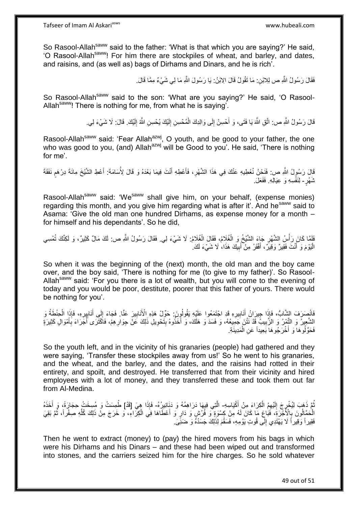So Rasool-Allah<sup>saww</sup> said to the father: 'What is that which you are saying?' He said, 'O Rasool-Allah<sup>saww</sup>! For him there are stockpiles of wheat, and barley, and dates, and raisins, and (as well as) bags of Dirhams and Dinars, and he is rich'.

فَقَالَ رَسُولُ اللَّهِ ص لِلِالنِنِ: مَا نَقُولُ قَالَ الِابْنُ: يَا رَسُولَ اللَّهِ مَا لِي شَيْءٌ مِمَّا قَالَ.

So Rasool-Allah<sup>saww</sup> said to the son: 'What are you saying?' He said, 'O Rasool-Allah<sup>saww</sup>! There is nothing for me, from what he is saying'.

> قَالَ رَسُولُ اللَّهِ ص: اتَّقِ اللَّهَ يَا فَتَى، وَ أَحْسِنْ إِلَى وَالِدِكَ الْمُحْسِنِ إِلَيْكَ يُحْسِنِ اللَّهُ إِلَيْكَ. قَالَ: لَا شَيْءَ لِي لَ ِ ْ  $\frac{1}{2}$ َ لَ ِ

Rasool-Allah<sup>saww</sup> said: 'Fear Allah<sup>azwj</sup>, O youth, and be good to your father, the one who was good to you, (and) Allah<sup>azwj</sup> will be Good to you'. He said, 'There is nothing for me'.

قَالَ رَسُولُ اللَّهِ ص: فَنَحْنُ نُعْطِيهِ عَنْكَ فِي هَذَا الشَّهْرِ، فَأَعْطِهِ أَنْتَ فِيمَا بَعْدَهُ وَ قَالَ لِأُسَامَةَ: أَعْطِ الشَّيْخَ مِائَةَ دِرْهَمِ نَفَقَةَ **ื** َ َ َ **∶** ثَمَهْرٍ- لِنَفْسِهِ وَ عِيَالِهِ. فَفَعَلَ.

Rasool-Allah<sup>saww</sup> said: 'We<sup>saww</sup> shall give him, on your behalf, (expense monies) regarding this month, and you give him regarding what is after it. And he sall to Asama: 'Give the old man one hundred Dirhams, as expense money for a month – for himself and his dependants'. So he did,

فَلَمَّا كَانَ رَأْسُ الشَّهْرِ جَاءَ الشَّيْخُ وَ الْغُلَامُ؛ فَقَالَ الْغُلَامُ: لَا شَيْءَ لِي فَقَالَ رَسُولُ اللَّهِ ص: لَكَ مَالٌ كَثِيرٌ، وَ لَكِنَّكَ تُمْسِي ِ **ٔ** ْ الْبَوْمَ وَ أَنْتَ فَقِيرٌ وَقِيرٌ ، أَفْقَرُ مِنْ أَبِيكَ هَذَا، لَا شَيْءَ لَكَ ٰ ِ َ َ َ :<br>ا

So when it was the beginning of the (next) month, the old man and the boy came over, and the boy said, 'There is nothing for me (to give to my father)'. So Rasool-Allah<sup>saww</sup> said: 'For you there is a lot of wealth, but you will come to the evening of today and you would be poor, destitute, poorer that this father of yours. There would be nothing for you'.

فَانْصِرَفَ الشَّابُّ، فَإِذَا جِيرَانُ أَنَابِيرِهِ قَدِ اجْتَمَعُوا عَلَيْهِ يَقُولُونَ. حَوِّلْ هَذِهِ الْأَنَابِيرَ عَنَّا. فَجَاءَ إِلَى أَنَابِيرِهِ، فَإِذَا الْحِنْطَةُ وَ ِ **∶ !** َ ْ ِ ِ َ ِ الشَّعِيرُ وَ النَّشِرُ وَ الزَّبِيبُ قَدْ نَتُنَ جَمِيعُهُ، وَ فَسَدَ وَ هَلَكَ، وَ أَخَذُوهُ بِتَحْوِيلِ ذَلِكَ عَلْ جِوَارِهِمْ، فَأَكْثَرَى أُجَّرَاءَ بِأَمْوَالٍ كَثِيرَةٍ ِ ُ ِ ِ **∣** َ **!** َ فَحَوَّلُوهَا وَ أَخْرَجُوهَا بَعِيداً عَنِ الْمَدِينَةِ. ْ َ

So the youth left, and in the vicinity of his granaries (people) had gathered and they were saying, 'Transfer these stockpiles away from us!' So he went to his granaries, and the wheat, and the barley, and the dates, and the raisins had rotted in their entirety, and spoilt, and destroyed. He transferred that from their vicinity and hired employees with a lot of money, and they transferred these and took them out far from Al-Medina.

ُمَّ ذَهَبَ لِيُخْرٍجَ إِلَيْهِمُ الْكِرَاءَ مِنْ أَكْيَاسِهِ- الَّتِي فِيهَا دَرَاهِمُهُ وَ دَنَانِيرُهُ- فَإِذَا هِيَ [قَدْ] طُمِسَتْ وَ مُسِخَتْ حِجَارَةً، وَ أَخَذَهُ ْ لَ ِ ⊥<br>≀ ُ َ الْحَمَّالُونَ بِالْأَجْرَةِ، فَمَاعَ مَا كَانَ لَهُ مِنْ كِسْوَةٍ وَ فُرُشٍ وَ دَارٍ وَ أَعْطَاهَا فِي الْكِرَاءِ، وَ خَرَجَ مِنْ ذَلِكَ كُلِّهِ صَفْراً، ثُمَّ بَقِيَ ْ َ ِ المناسبة<br>المناسبة ِّ فَقِيراً وَقِيراً لَا يَهْتَدِي إِلَّى قُوتِ يَوْمِهِ، فَسَقُمَ لِذَلِكَ جَسَدُهُ وَ ضَنَيَّىَ.  $\frac{1}{2}$ 

Then he went to extract (money) to (pay) the hired movers from his bags in which were his Dirhams and his Dinars – and these had been wiped out and transformed into stones, and the carriers seized him for the hire charges. So he sold whatever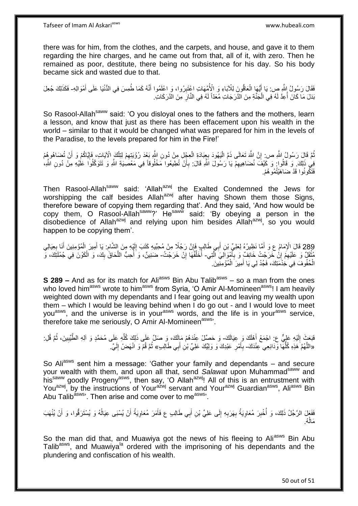there was for him, from the clothes, and the carpets, and house, and gave it to them regarding the hire charges, and he came out from that, all of it, with zero. Then he remained as poor, destitute, there being no subsistence for his day. So his body became sick and wasted due to that.

فَقَالَ رَسُولُ اللَّهِ ص: يَا أَيُّهَا الْعَاقُونَ لِلْآبَاءِ وَ الْأُمَّهَاتِ اعْتَبِرُوا، وَ اعْلَمُوا أَنَّهُ كَمَا طُمِسَ فِي الدُّنْيَا عَلَى أَمْوَالِهِ- فَكَذَلِكَ جُعِلَ َ **!** ْ َ َ بَدَلَ مَا كَانَ أُعِدَّ لَهُ فِي الْجَنَّةِ مِنَ الذَّرَجَاتِ مُعَدِّاً لَهُ فِي النَّارِ مِنَ الذَّرَكَاتِ. ِ لَ ْ ا<br>أ

So Rasool-Allah<sup>saww</sup> said: 'O you disloyal ones to the fathers and the mothers, learn a lesson, and know that just as there has been effacement upon his wealth in the world – similar to that it would be changed what was prepared for him in the levels of the Paradise, to the levels prepared for him in the Fire!'

نُّمَّ قَالَ رَسُولُ اللَّهِ ص: إِنَّ اللَّهَ تَعَالَى ذَمَّ الْيَهُودَ بِعِبَادَةِ الْعِجْلِ مِنْ دُونِ اللَّهِ بَعْدَ رُؤْيَتِهِمْ لِتِلْكَ إِلاَّيَاتِ، فَإِيَّاكُمْ وَ أَنْ تُضَاهُوهُمْ ْ ِ :<br>ا ِ َ اן<br>′ ْ ِ فِي ذَلِكَ وَ قَالُوا وَ كَيْفَ نُضَاهِيهِمْ يَا رَسُولَ اللَّهِ قَالَ: بِأَنْ تُطِيعُوا مَخْلُوقاً فِي مَعْصَلِيَةِ اللَّهِ وَ تَتَوَكَّلُوا عَلَيْهِ مِنْ دُونِ اللَّهِ، َ **∶** ِ فَتَكُونُوا قَدْ ضَاهَيْتُمُو هُمْ.

Then Rasool-Allah<sup>saww</sup> said: 'Allah<sup>azwj</sup> the Exalted Condemned the Jews for worshipping the calf besides Allah<sup>azwj</sup> after having Shown them those Signs, therefore beware of copying them regarding that'. And they said, 'And how would be copy them, O Rasool-Allah<sup>saww</sup>?' He<sup>saww</sup> said: 'By obeying a person in the disobedience of Allah<sup>azwj</sup> and relying upon him besides Allah<sup>azwj</sup>, so you would happen to be copying them'.

289 قَالَ الْإِمَامُ عِ وَ أَمَّا نَظِيرُهُ لِعَلِيٍّ بْنِ أَبِي طَالِبٍ فَإِنَّ رَجُلًا مِنْ مُحِبِّدِهِ كَتَبَ إِلَيْهِ مِنَ الشَّامِ. يَا أَمِيرَ الْمُؤْمِنِينَ أَنَا بِعِيَالِي<br>فَيَنَاهُ مَنْ أَيْرَهُ مَنْ أَوْمَ الْم َ آ ِ ِ َ ِ َ ْ مُثْقَلٌ وَ عَلَيْهِمُ إِنْ خَرَّجْتُ خَانِفٌ وَ بِأَمْوَالِيَ الَّتِي- أُخَلِّفُهَا إِنْ خَرَجْتُ- ضَنِينٌ، وَ أُحِبُّ اللَّحَاقَ بِكَ، وَ الْكَوْنَ فِي جُمْلَتِكَ، وَ ه َ ِ ِ ِ יֲ<br>י ِّ ْ ِ ه ا<br>ا الْحُفُوفَ فِي خُذْمَتِكَ، فَجُدْ لِي يَا أَمِيرَ الْمُؤْمِنِّينَ ْ ْ َ

**S 289 –** And as for its match for Ali<sup>asws</sup> Bin Abu Talib<sup>asws</sup> – so a man from the ones who loved him<sup>asws</sup> wrote to him<sup>asws</sup> from Syria, 'O Amir Al-Momineen<sup>asws</sup>! I am heavily weighted down with my dependants and I fear going out and leaving my wealth upon them – which I would be leaving behind when I do go out - and I would love to meet you<sup>asws</sup>, and the universe is in your<sup>asws</sup> words, and the life is in your<sup>asws</sup> service, therefore take me seriously,  $O$  Amir Al-Momineen<sup>asws</sup>.

فَبَعَثَ إِلَيْهِ عَلِيٌّ ع: اجْمَعْ أَهْلَكَ وَ عِيَالَكَ- وَ حَصِّلْ عِنْدَهُمْ مَالِكَ، وَ صَلِّ عَلَى ذَلِكَ كُلِّهِ عَلَى مُحَمَّدٍ وَ آلِهِ الطَّيِّبِينَ، ثُمَّ قُلِ: َ لَ ِ ا<br>المقام ِ ِّ «اللَّهُمَّ هَذِهِ كُلُّهَا وَّدَائِعِي حِنْدَكَ- بِأَمْرِ عَبْدِكَ وَ وَلِيِّكَ عَلِيِّ بْنِ أَبِي طَالِبٍ» ثُمَّ قُمْ وَ انْهَضْ إِلَيَّ. لَ ِ ْ ا دیکھیے ِ َ َ ِ ُّ ه

So Ali<sup>asws</sup> sent him a message: 'Gather your family and dependants – and secure your wealth with them, and upon all that, send Salawat upon Muhammad<sup>saww</sup> and his<sup>saww</sup> goodly Progeny<sup>asws</sup>, then say, 'O Allah<sup>azwj</sup>! All of this is an entrustment with You<sup>azwj</sup>, by the instructions of Your<sup>azwj</sup> servant and Your<sup>azwj</sup> Guardian<sup>asws</sup>, Ali<sup>asws</sup> Bin Abu Talib<sup>asws</sup>'. Then arise and come over to me<sup>asws</sup>'.

فَفَعَلَ الرَّجُلُ ذَلِكَ، وَ أُخْبِرَ مُعَاوِيَةُ بِهَرَبِهِ إِلَى عَلِيٍّ بْنِ أَبِي طَالِبٍ ع فَأَمَرَ مُعَاوِيَةُ أَنْ يُبشَبى عِيَالُهُ وَ يُسْتَرَقُّوا، وَ أَنْ يُنْهَبَ ِ َ َ  $\frac{1}{2}$ ِ **∶** ِ ِ ا<br>ا َ ُ َ ُه. َمال ا<br>ا

So the man did that, and Muawiya got the news of his fleeing to Aliasws Bin Abu Talib<sup>asws</sup>, and Muawiya<sup>la</sup> ordered with the imprisoning of his dependants and the plundering and confiscation of his wealth.

50 out of 51